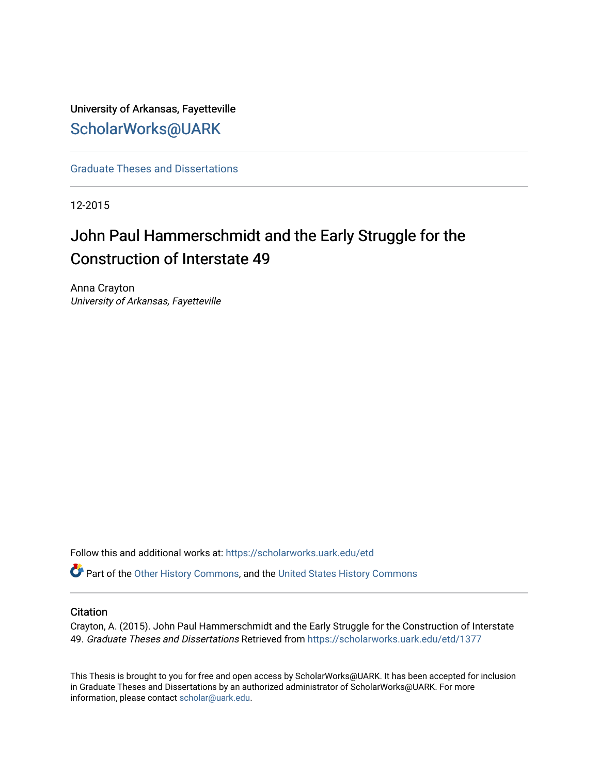# University of Arkansas, Fayetteville [ScholarWorks@UARK](https://scholarworks.uark.edu/)

[Graduate Theses and Dissertations](https://scholarworks.uark.edu/etd) 

12-2015

# John Paul Hammerschmidt and the Early Struggle for the Construction of Interstate 49

Anna Crayton University of Arkansas, Fayetteville

Follow this and additional works at: [https://scholarworks.uark.edu/etd](https://scholarworks.uark.edu/etd?utm_source=scholarworks.uark.edu%2Fetd%2F1377&utm_medium=PDF&utm_campaign=PDFCoverPages)

Part of the [Other History Commons](http://network.bepress.com/hgg/discipline/508?utm_source=scholarworks.uark.edu%2Fetd%2F1377&utm_medium=PDF&utm_campaign=PDFCoverPages), and the [United States History Commons](http://network.bepress.com/hgg/discipline/495?utm_source=scholarworks.uark.edu%2Fetd%2F1377&utm_medium=PDF&utm_campaign=PDFCoverPages) 

### **Citation**

Crayton, A. (2015). John Paul Hammerschmidt and the Early Struggle for the Construction of Interstate 49. Graduate Theses and Dissertations Retrieved from [https://scholarworks.uark.edu/etd/1377](https://scholarworks.uark.edu/etd/1377?utm_source=scholarworks.uark.edu%2Fetd%2F1377&utm_medium=PDF&utm_campaign=PDFCoverPages) 

This Thesis is brought to you for free and open access by ScholarWorks@UARK. It has been accepted for inclusion in Graduate Theses and Dissertations by an authorized administrator of ScholarWorks@UARK. For more information, please contact [scholar@uark.edu.](mailto:scholar@uark.edu)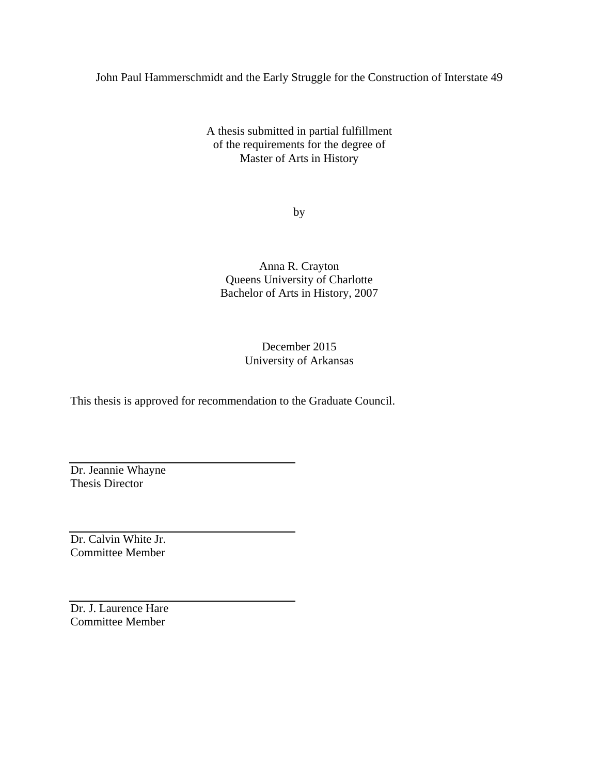John Paul Hammerschmidt and the Early Struggle for the Construction of Interstate 49

A thesis submitted in partial fulfillment of the requirements for the degree of Master of Arts in History

by

Anna R. Crayton Queens University of Charlotte Bachelor of Arts in History, 2007

> December 2015 University of Arkansas

This thesis is approved for recommendation to the Graduate Council.

Dr. Jeannie Whayne Thesis Director

Dr. Calvin White Jr. Committee Member

Dr. J. Laurence Hare Committee Member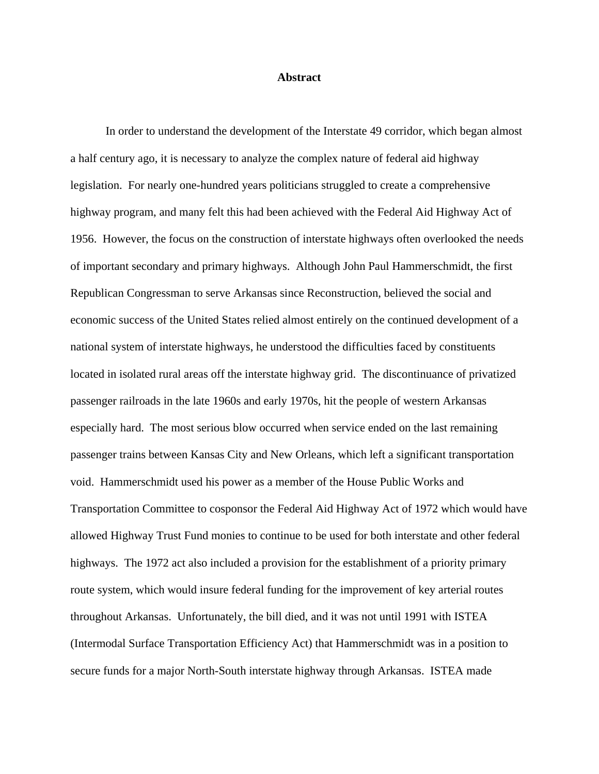#### **Abstract**

In order to understand the development of the Interstate 49 corridor, which began almost a half century ago, it is necessary to analyze the complex nature of federal aid highway legislation. For nearly one-hundred years politicians struggled to create a comprehensive highway program, and many felt this had been achieved with the Federal Aid Highway Act of 1956. However, the focus on the construction of interstate highways often overlooked the needs of important secondary and primary highways. Although John Paul Hammerschmidt, the first Republican Congressman to serve Arkansas since Reconstruction, believed the social and economic success of the United States relied almost entirely on the continued development of a national system of interstate highways, he understood the difficulties faced by constituents located in isolated rural areas off the interstate highway grid. The discontinuance of privatized passenger railroads in the late 1960s and early 1970s, hit the people of western Arkansas especially hard. The most serious blow occurred when service ended on the last remaining passenger trains between Kansas City and New Orleans, which left a significant transportation void. Hammerschmidt used his power as a member of the House Public Works and Transportation Committee to cosponsor the Federal Aid Highway Act of 1972 which would have allowed Highway Trust Fund monies to continue to be used for both interstate and other federal highways. The 1972 act also included a provision for the establishment of a priority primary route system, which would insure federal funding for the improvement of key arterial routes throughout Arkansas. Unfortunately, the bill died, and it was not until 1991 with ISTEA (Intermodal Surface Transportation Efficiency Act) that Hammerschmidt was in a position to secure funds for a major North-South interstate highway through Arkansas. ISTEA made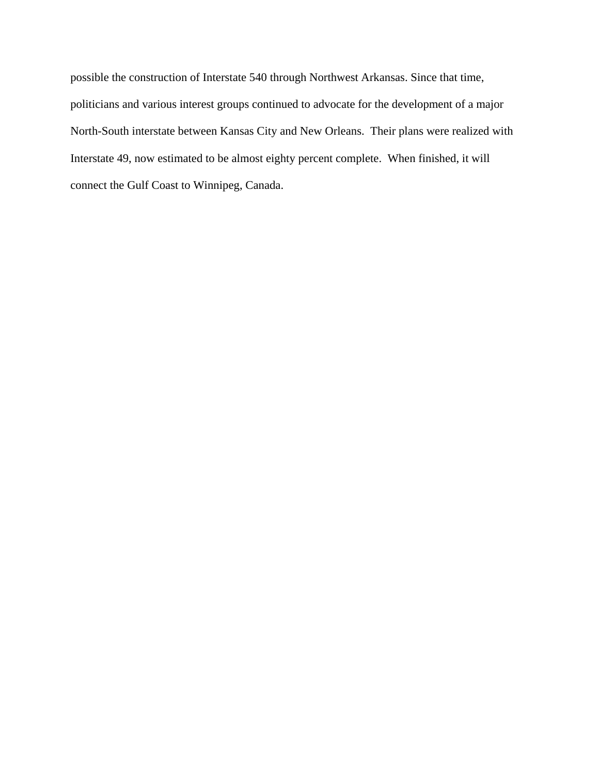possible the construction of Interstate 540 through Northwest Arkansas. Since that time, politicians and various interest groups continued to advocate for the development of a major North-South interstate between Kansas City and New Orleans. Their plans were realized with Interstate 49, now estimated to be almost eighty percent complete. When finished, it will connect the Gulf Coast to Winnipeg, Canada.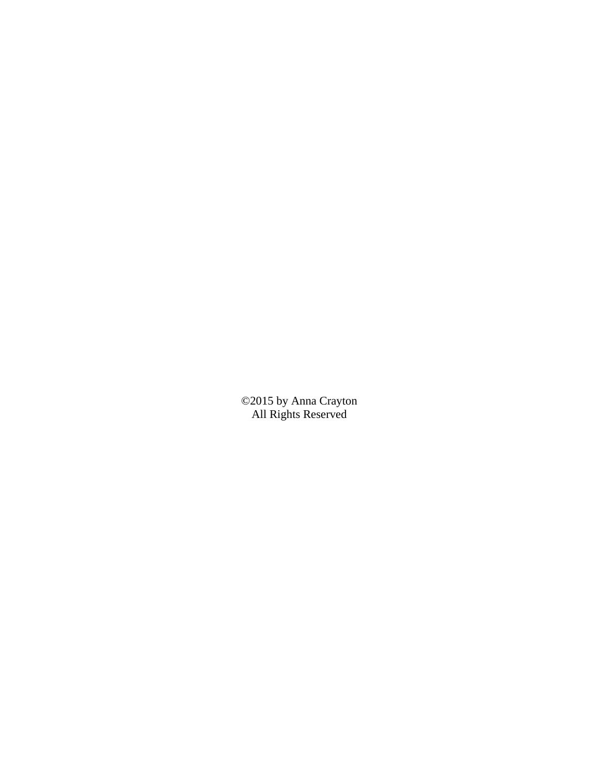©2015 by Anna Crayton All Rights Reserved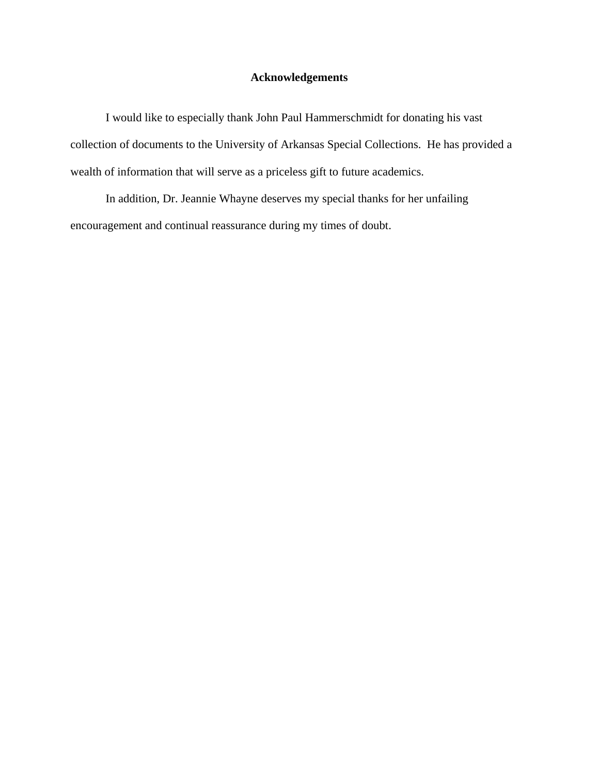# **Acknowledgements**

I would like to especially thank John Paul Hammerschmidt for donating his vast collection of documents to the University of Arkansas Special Collections. He has provided a wealth of information that will serve as a priceless gift to future academics.

In addition, Dr. Jeannie Whayne deserves my special thanks for her unfailing encouragement and continual reassurance during my times of doubt.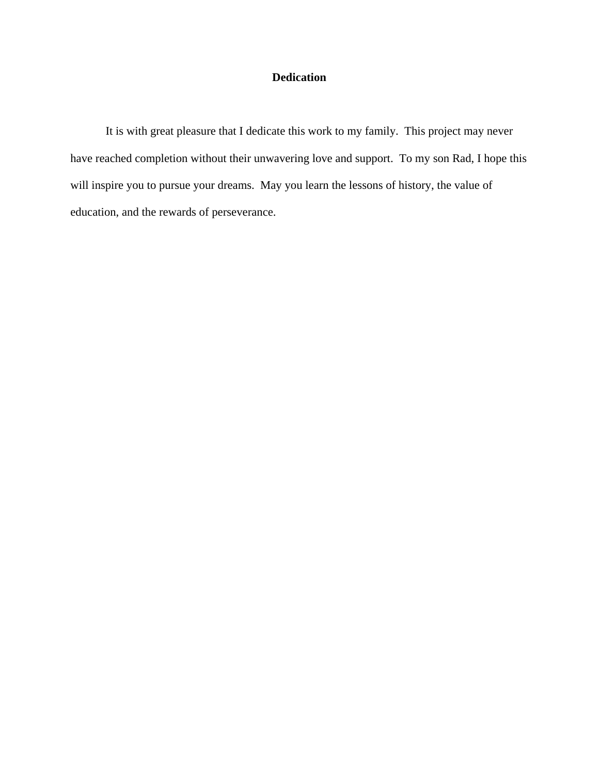# **Dedication**

It is with great pleasure that I dedicate this work to my family. This project may never have reached completion without their unwavering love and support. To my son Rad, I hope this will inspire you to pursue your dreams. May you learn the lessons of history, the value of education, and the rewards of perseverance.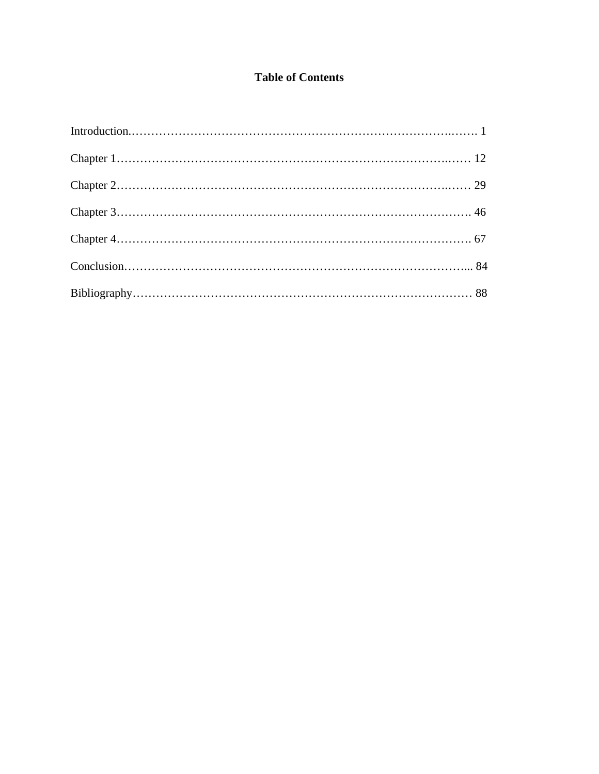# **Table of Contents**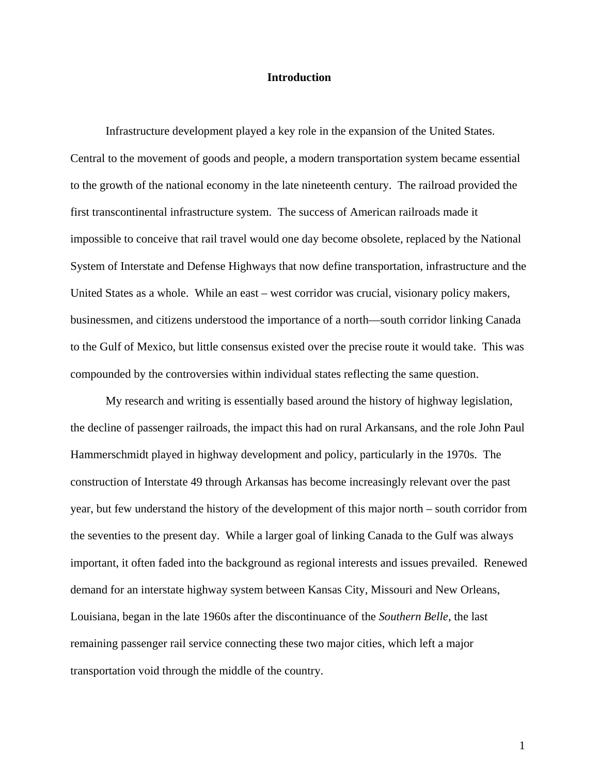#### **Introduction**

Infrastructure development played a key role in the expansion of the United States. Central to the movement of goods and people, a modern transportation system became essential to the growth of the national economy in the late nineteenth century. The railroad provided the first transcontinental infrastructure system. The success of American railroads made it impossible to conceive that rail travel would one day become obsolete, replaced by the National System of Interstate and Defense Highways that now define transportation, infrastructure and the United States as a whole. While an east – west corridor was crucial, visionary policy makers, businessmen, and citizens understood the importance of a north—south corridor linking Canada to the Gulf of Mexico, but little consensus existed over the precise route it would take. This was compounded by the controversies within individual states reflecting the same question.

My research and writing is essentially based around the history of highway legislation, the decline of passenger railroads, the impact this had on rural Arkansans, and the role John Paul Hammerschmidt played in highway development and policy, particularly in the 1970s. The construction of Interstate 49 through Arkansas has become increasingly relevant over the past year, but few understand the history of the development of this major north – south corridor from the seventies to the present day. While a larger goal of linking Canada to the Gulf was always important, it often faded into the background as regional interests and issues prevailed. Renewed demand for an interstate highway system between Kansas City, Missouri and New Orleans, Louisiana, began in the late 1960s after the discontinuance of the *Southern Belle*, the last remaining passenger rail service connecting these two major cities, which left a major transportation void through the middle of the country.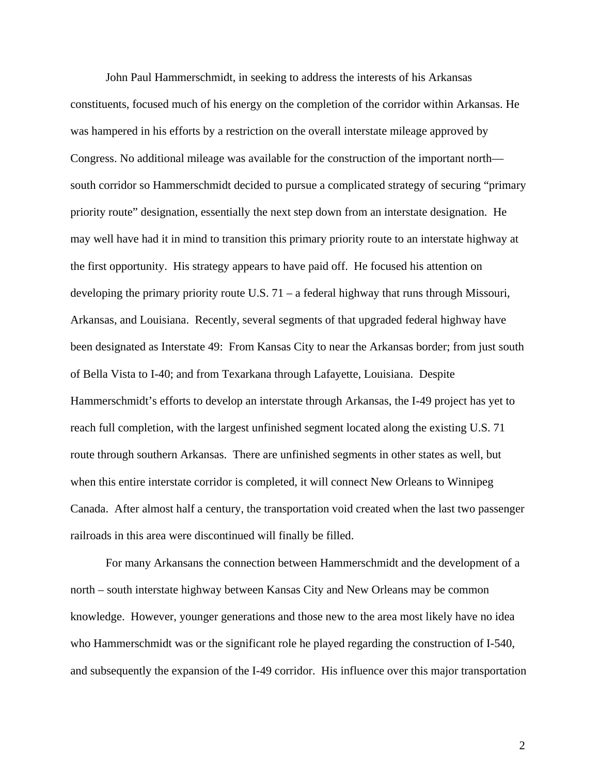John Paul Hammerschmidt, in seeking to address the interests of his Arkansas constituents, focused much of his energy on the completion of the corridor within Arkansas. He was hampered in his efforts by a restriction on the overall interstate mileage approved by Congress. No additional mileage was available for the construction of the important north south corridor so Hammerschmidt decided to pursue a complicated strategy of securing "primary priority route" designation, essentially the next step down from an interstate designation. He may well have had it in mind to transition this primary priority route to an interstate highway at the first opportunity. His strategy appears to have paid off. He focused his attention on developing the primary priority route U.S. 71 – a federal highway that runs through Missouri, Arkansas, and Louisiana. Recently, several segments of that upgraded federal highway have been designated as Interstate 49: From Kansas City to near the Arkansas border; from just south of Bella Vista to I-40; and from Texarkana through Lafayette, Louisiana. Despite Hammerschmidt's efforts to develop an interstate through Arkansas, the I-49 project has yet to reach full completion, with the largest unfinished segment located along the existing U.S. 71 route through southern Arkansas. There are unfinished segments in other states as well, but when this entire interstate corridor is completed, it will connect New Orleans to Winnipeg Canada. After almost half a century, the transportation void created when the last two passenger railroads in this area were discontinued will finally be filled.

 For many Arkansans the connection between Hammerschmidt and the development of a north – south interstate highway between Kansas City and New Orleans may be common knowledge. However, younger generations and those new to the area most likely have no idea who Hammerschmidt was or the significant role he played regarding the construction of I-540, and subsequently the expansion of the I-49 corridor. His influence over this major transportation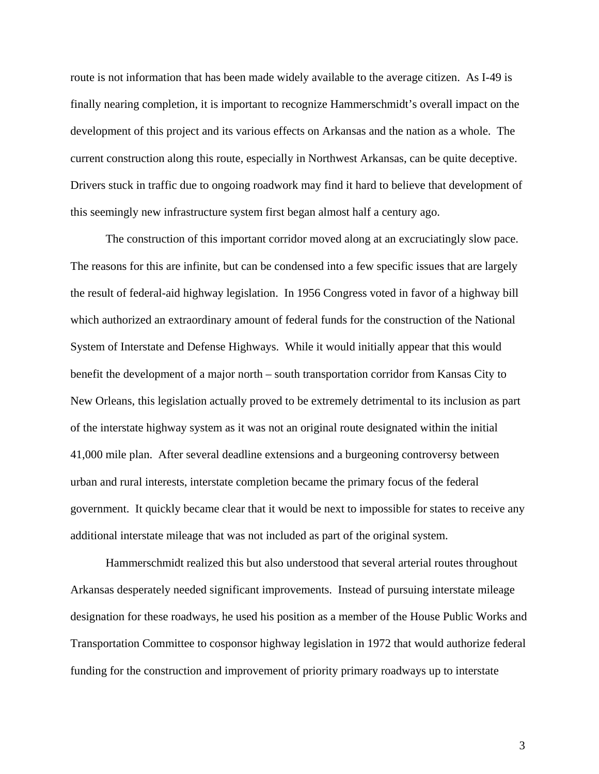route is not information that has been made widely available to the average citizen. As I-49 is finally nearing completion, it is important to recognize Hammerschmidt's overall impact on the development of this project and its various effects on Arkansas and the nation as a whole. The current construction along this route, especially in Northwest Arkansas, can be quite deceptive. Drivers stuck in traffic due to ongoing roadwork may find it hard to believe that development of this seemingly new infrastructure system first began almost half a century ago.

 The construction of this important corridor moved along at an excruciatingly slow pace. The reasons for this are infinite, but can be condensed into a few specific issues that are largely the result of federal-aid highway legislation. In 1956 Congress voted in favor of a highway bill which authorized an extraordinary amount of federal funds for the construction of the National System of Interstate and Defense Highways. While it would initially appear that this would benefit the development of a major north – south transportation corridor from Kansas City to New Orleans, this legislation actually proved to be extremely detrimental to its inclusion as part of the interstate highway system as it was not an original route designated within the initial 41,000 mile plan. After several deadline extensions and a burgeoning controversy between urban and rural interests, interstate completion became the primary focus of the federal government. It quickly became clear that it would be next to impossible for states to receive any additional interstate mileage that was not included as part of the original system.

 Hammerschmidt realized this but also understood that several arterial routes throughout Arkansas desperately needed significant improvements. Instead of pursuing interstate mileage designation for these roadways, he used his position as a member of the House Public Works and Transportation Committee to cosponsor highway legislation in 1972 that would authorize federal funding for the construction and improvement of priority primary roadways up to interstate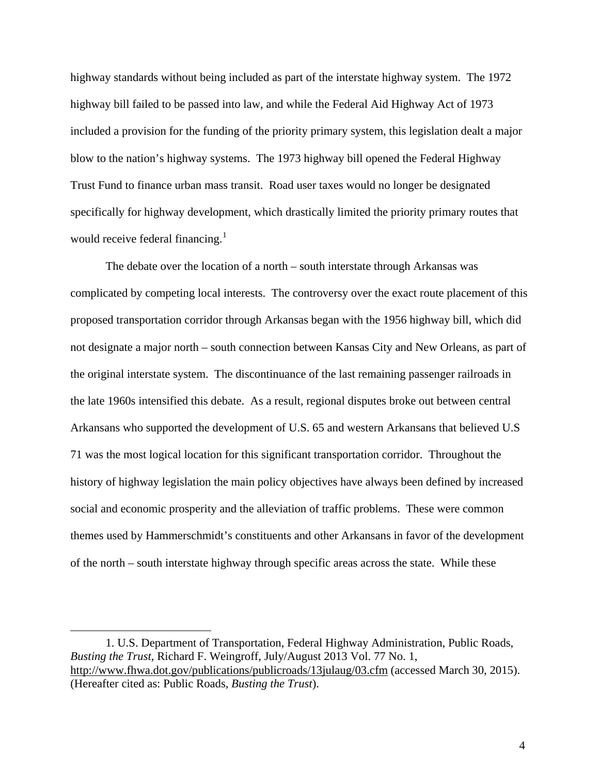highway standards without being included as part of the interstate highway system. The 1972 highway bill failed to be passed into law, and while the Federal Aid Highway Act of 1973 included a provision for the funding of the priority primary system, this legislation dealt a major blow to the nation's highway systems. The 1973 highway bill opened the Federal Highway Trust Fund to finance urban mass transit. Road user taxes would no longer be designated specifically for highway development, which drastically limited the priority primary routes that would receive federal financing.<sup>[1](#page-11-0)</sup>

 The debate over the location of a north – south interstate through Arkansas was complicated by competing local interests. The controversy over the exact route placement of this proposed transportation corridor through Arkansas began with the 1956 highway bill, which did not designate a major north – south connection between Kansas City and New Orleans, as part of the original interstate system. The discontinuance of the last remaining passenger railroads in the late 1960s intensified this debate. As a result, regional disputes broke out between central Arkansans who supported the development of U.S. 65 and western Arkansans that believed U.S 71 was the most logical location for this significant transportation corridor. Throughout the history of highway legislation the main policy objectives have always been defined by increased social and economic prosperity and the alleviation of traffic problems. These were common themes used by Hammerschmidt's constituents and other Arkansans in favor of the development of the north – south interstate highway through specific areas across the state. While these

<span id="page-11-0"></span><sup>1.</sup> U.S. Department of Transportation, Federal Highway Administration, Public Roads, *Busting the Trust*, Richard F. Weingroff, July/August 2013 Vol. 77 No. 1, <http://www.fhwa.dot.gov/publications/publicroads/13julaug/03.cfm>(accessed March 30, 2015). (Hereafter cited as: Public Roads, *Busting the Trust*).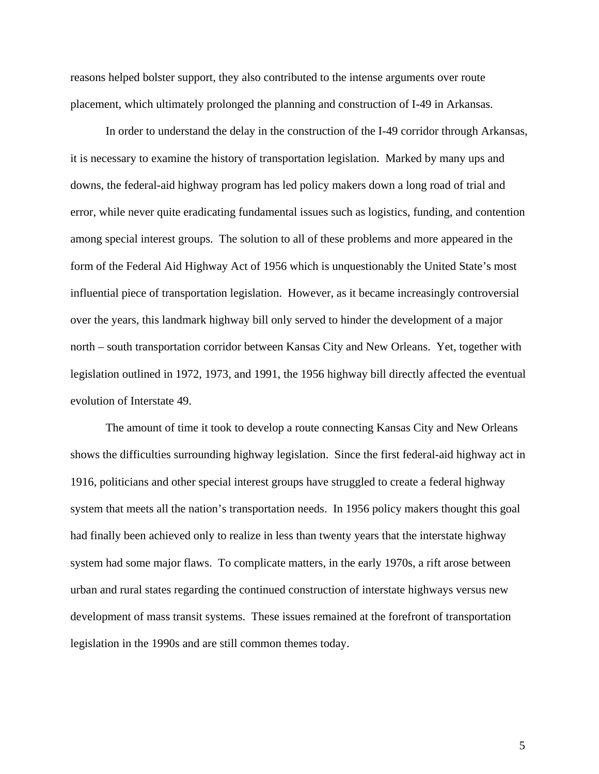reasons helped bolster support, they also contributed to the intense arguments over route placement, which ultimately prolonged the planning and construction of I-49 in Arkansas.

 In order to understand the delay in the construction of the I-49 corridor through Arkansas, it is necessary to examine the history of transportation legislation. Marked by many ups and downs, the federal-aid highway program has led policy makers down a long road of trial and error, while never quite eradicating fundamental issues such as logistics, funding, and contention among special interest groups. The solution to all of these problems and more appeared in the form of the Federal Aid Highway Act of 1956 which is unquestionably the United State's most influential piece of transportation legislation. However, as it became increasingly controversial over the years, this landmark highway bill only served to hinder the development of a major north – south transportation corridor between Kansas City and New Orleans. Yet, together with legislation outlined in 1972, 1973, and 1991, the 1956 highway bill directly affected the eventual evolution of Interstate 49.

The amount of time it took to develop a route connecting Kansas City and New Orleans shows the difficulties surrounding highway legislation. Since the first federal-aid highway act in 1916, politicians and other special interest groups have struggled to create a federal highway system that meets all the nation's transportation needs. In 1956 policy makers thought this goal had finally been achieved only to realize in less than twenty years that the interstate highway system had some major flaws. To complicate matters, in the early 1970s, a rift arose between urban and rural states regarding the continued construction of interstate highways versus new development of mass transit systems. These issues remained at the forefront of transportation legislation in the 1990s and are still common themes today.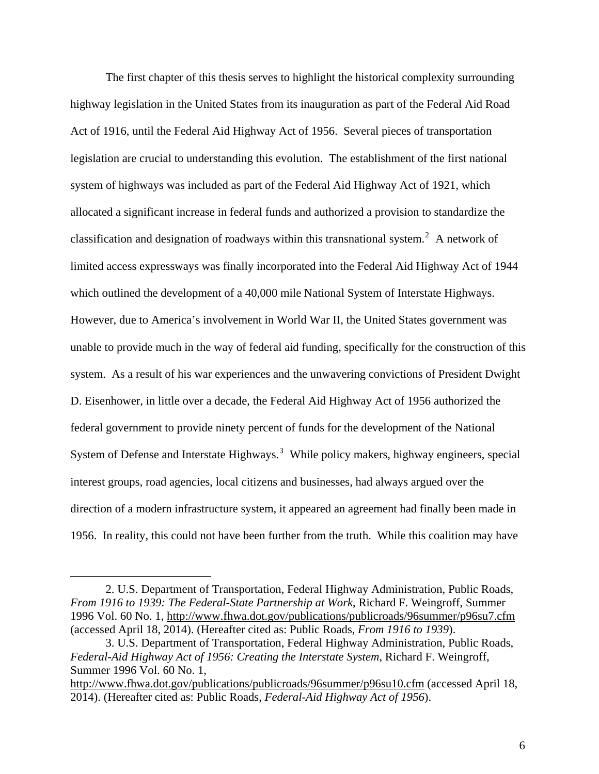The first chapter of this thesis serves to highlight the historical complexity surrounding highway legislation in the United States from its inauguration as part of the Federal Aid Road Act of 1916, until the Federal Aid Highway Act of 1956. Several pieces of transportation legislation are crucial to understanding this evolution. The establishment of the first national system of highways was included as part of the Federal Aid Highway Act of 1921, which allocated a significant increase in federal funds and authorized a provision to standardize the classification and designation of roadways within this transnational system.<sup>[2](#page-13-0)</sup> A network of limited access expressways was finally incorporated into the Federal Aid Highway Act of 1944 which outlined the development of a 40,000 mile National System of Interstate Highways. However, due to America's involvement in World War II, the United States government was unable to provide much in the way of federal aid funding, specifically for the construction of this system. As a result of his war experiences and the unwavering convictions of President Dwight D. Eisenhower, in little over a decade, the Federal Aid Highway Act of 1956 authorized the federal government to provide ninety percent of funds for the development of the National System of Defense and Interstate Highways.<sup>[3](#page-13-1)</sup> While policy makers, highway engineers, special interest groups, road agencies, local citizens and businesses, had always argued over the direction of a modern infrastructure system, it appeared an agreement had finally been made in 1956. In reality, this could not have been further from the truth. While this coalition may have

<span id="page-13-0"></span><sup>2.</sup> U.S. Department of Transportation, Federal Highway Administration, Public Roads, *From 1916 to 1939: The Federal-State Partnership at Work*, Richard F. Weingroff, Summer 1996 Vol. 60 No. 1, <http://www.fhwa.dot.gov/publications/publicroads/96summer/p96su7.cfm> (accessed April 18, 2014). (Hereafter cited as: Public Roads, *From 1916 to 1939*).

<span id="page-13-1"></span><sup>3.</sup> U.S. Department of Transportation, Federal Highway Administration, Public Roads, *Federal-Aid Highway Act of 1956: Creating the Interstate System*, Richard F. Weingroff, Summer 1996 Vol. 60 No. 1,

<http://www.fhwa.dot.gov/publications/publicroads/96summer/p96su10.cfm>(accessed April 18, 2014). (Hereafter cited as: Public Roads, *Federal-Aid Highway Act of 1956*).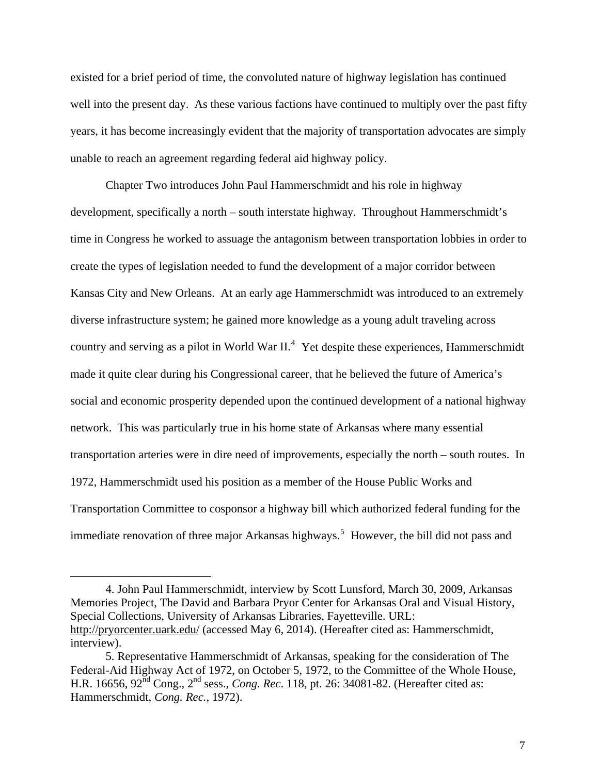existed for a brief period of time, the convoluted nature of highway legislation has continued well into the present day. As these various factions have continued to multiply over the past fifty years, it has become increasingly evident that the majority of transportation advocates are simply unable to reach an agreement regarding federal aid highway policy.

Chapter Two introduces John Paul Hammerschmidt and his role in highway development, specifically a north – south interstate highway. Throughout Hammerschmidt's time in Congress he worked to assuage the antagonism between transportation lobbies in order to create the types of legislation needed to fund the development of a major corridor between Kansas City and New Orleans. At an early age Hammerschmidt was introduced to an extremely diverse infrastructure system; he gained more knowledge as a young adult traveling across country and serving as a pilot in World War  $II.^4$  $II.^4$  Yet despite these experiences, Hammerschmidt made it quite clear during his Congressional career, that he believed the future of America's social and economic prosperity depended upon the continued development of a national highway network. This was particularly true in his home state of Arkansas where many essential transportation arteries were in dire need of improvements, especially the north – south routes. In 1972, Hammerschmidt used his position as a member of the House Public Works and Transportation Committee to cosponsor a highway bill which authorized federal funding for the immediate renovation of three major Arkansas highways.<sup>[5](#page-14-1)</sup> However, the bill did not pass and

<span id="page-14-0"></span>4. John Paul Hammerschmidt, interview by Scott Lunsford, March 30, 2009, Arkansas Memories Project, The David and Barbara Pryor Center for Arkansas Oral and Visual History, Special Collections, University of Arkansas Libraries, Fayetteville. URL: <http://pryorcenter.uark.edu/> (accessed May 6, 2014). (Hereafter cited as: Hammerschmidt, interview).

 $\overline{a}$ 

<span id="page-14-1"></span>5. Representative Hammerschmidt of Arkansas, speaking for the consideration of The Federal-Aid Highway Act of 1972, on October 5, 1972, to the Committee of the Whole House, H.R. 16656, 92nd Cong., 2nd sess., *Cong. Rec*. 118, pt. 26: 34081-82. (Hereafter cited as: Hammerschmidt, *Cong. Rec.*, 1972).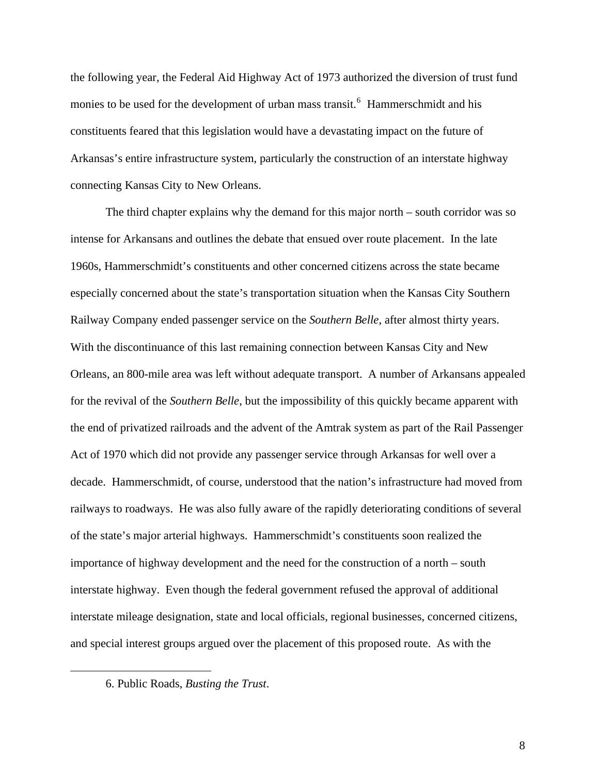the following year, the Federal Aid Highway Act of 1973 authorized the diversion of trust fund monies to be used for the development of urban mass transit.<sup>[6](#page-15-0)</sup> Hammerschmidt and his constituents feared that this legislation would have a devastating impact on the future of Arkansas's entire infrastructure system, particularly the construction of an interstate highway connecting Kansas City to New Orleans.

The third chapter explains why the demand for this major north – south corridor was so intense for Arkansans and outlines the debate that ensued over route placement. In the late 1960s, Hammerschmidt's constituents and other concerned citizens across the state became especially concerned about the state's transportation situation when the Kansas City Southern Railway Company ended passenger service on the *Southern Belle*, after almost thirty years. With the discontinuance of this last remaining connection between Kansas City and New Orleans, an 800-mile area was left without adequate transport. A number of Arkansans appealed for the revival of the *Southern Belle*, but the impossibility of this quickly became apparent with the end of privatized railroads and the advent of the Amtrak system as part of the Rail Passenger Act of 1970 which did not provide any passenger service through Arkansas for well over a decade. Hammerschmidt, of course, understood that the nation's infrastructure had moved from railways to roadways. He was also fully aware of the rapidly deteriorating conditions of several of the state's major arterial highways. Hammerschmidt's constituents soon realized the importance of highway development and the need for the construction of a north – south interstate highway. Even though the federal government refused the approval of additional interstate mileage designation, state and local officials, regional businesses, concerned citizens, and special interest groups argued over the placement of this proposed route. As with the

<span id="page-15-0"></span> $\overline{a}$ 

<sup>6.</sup> Public Roads, *Busting the Trust*.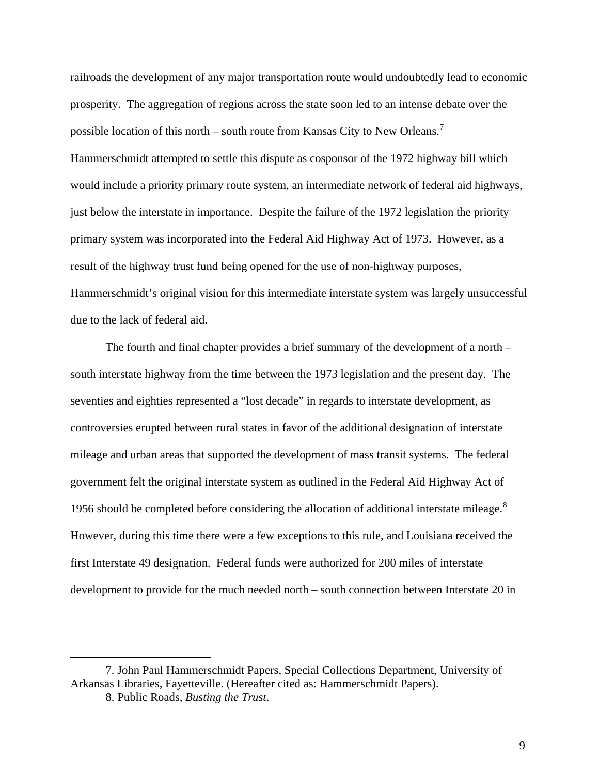railroads the development of any major transportation route would undoubtedly lead to economic prosperity. The aggregation of regions across the state soon led to an intense debate over the possible location of this north – south route from Kansas City to New Orleans.<sup>[7](#page-16-0)</sup> Hammerschmidt attempted to settle this dispute as cosponsor of the 1972 highway bill which would include a priority primary route system, an intermediate network of federal aid highways, just below the interstate in importance. Despite the failure of the 1972 legislation the priority primary system was incorporated into the Federal Aid Highway Act of 1973. However, as a result of the highway trust fund being opened for the use of non-highway purposes, Hammerschmidt's original vision for this intermediate interstate system was largely unsuccessful due to the lack of federal aid.

The fourth and final chapter provides a brief summary of the development of a north – south interstate highway from the time between the 1973 legislation and the present day. The seventies and eighties represented a "lost decade" in regards to interstate development, as controversies erupted between rural states in favor of the additional designation of interstate mileage and urban areas that supported the development of mass transit systems. The federal government felt the original interstate system as outlined in the Federal Aid Highway Act of 1956 should be completed before considering the allocation of additional interstate mileage. $8$ However, during this time there were a few exceptions to this rule, and Louisiana received the first Interstate 49 designation. Federal funds were authorized for 200 miles of interstate development to provide for the much needed north – south connection between Interstate 20 in

<span id="page-16-1"></span><span id="page-16-0"></span><sup>7.</sup> John Paul Hammerschmidt Papers, Special Collections Department, University of Arkansas Libraries, Fayetteville. (Hereafter cited as: Hammerschmidt Papers).

<sup>8.</sup> Public Roads, *Busting the Trust*.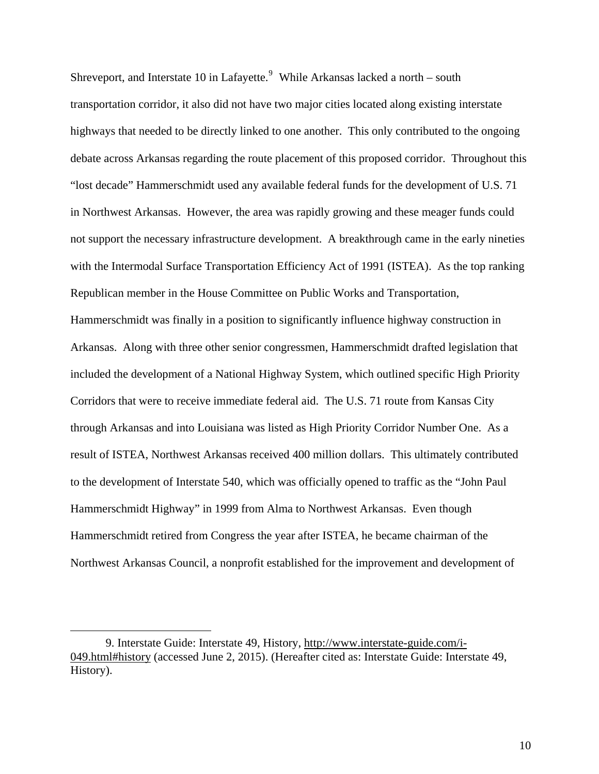Shreveport, and Interstate 10 in Lafayette. $9$  While Arkansas lacked a north – south transportation corridor, it also did not have two major cities located along existing interstate highways that needed to be directly linked to one another. This only contributed to the ongoing debate across Arkansas regarding the route placement of this proposed corridor. Throughout this "lost decade" Hammerschmidt used any available federal funds for the development of U.S. 71 in Northwest Arkansas. However, the area was rapidly growing and these meager funds could not support the necessary infrastructure development. A breakthrough came in the early nineties with the Intermodal Surface Transportation Efficiency Act of 1991 (ISTEA). As the top ranking Republican member in the House Committee on Public Works and Transportation, Hammerschmidt was finally in a position to significantly influence highway construction in Arkansas. Along with three other senior congressmen, Hammerschmidt drafted legislation that included the development of a National Highway System, which outlined specific High Priority Corridors that were to receive immediate federal aid. The U.S. 71 route from Kansas City through Arkansas and into Louisiana was listed as High Priority Corridor Number One. As a result of ISTEA, Northwest Arkansas received 400 million dollars. This ultimately contributed to the development of Interstate 540, which was officially opened to traffic as the "John Paul Hammerschmidt Highway" in 1999 from Alma to Northwest Arkansas. Even though Hammerschmidt retired from Congress the year after ISTEA, he became chairman of the Northwest Arkansas Council, a nonprofit established for the improvement and development of

<span id="page-17-0"></span><sup>9.</sup> Interstate Guide: Interstate 49, History, [http://www.interstate-guide.com/i-](http://www.interstate-guide.com/i-049.html#history)[049.html#history](http://www.interstate-guide.com/i-049.html#history) (accessed June 2, 2015). (Hereafter cited as: Interstate Guide: Interstate 49, History).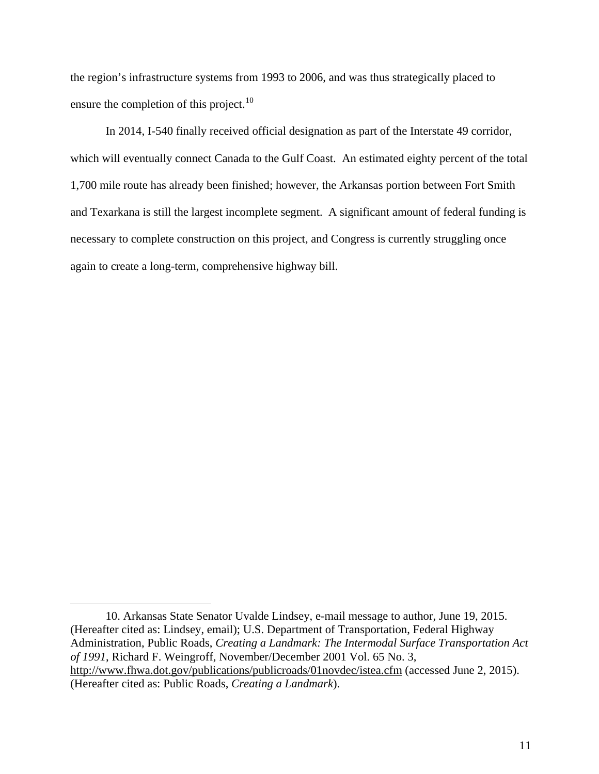the region's infrastructure systems from 1993 to 2006, and was thus strategically placed to ensure the completion of this project.<sup>[10](#page-18-0)</sup>

In 2014, I-540 finally received official designation as part of the Interstate 49 corridor, which will eventually connect Canada to the Gulf Coast. An estimated eighty percent of the total 1,700 mile route has already been finished; however, the Arkansas portion between Fort Smith and Texarkana is still the largest incomplete segment. A significant amount of federal funding is necessary to complete construction on this project, and Congress is currently struggling once again to create a long-term, comprehensive highway bill.

<span id="page-18-0"></span><sup>10.</sup> Arkansas State Senator Uvalde Lindsey, e-mail message to author, June 19, 2015. (Hereafter cited as: Lindsey, email); U.S. Department of Transportation, Federal Highway Administration, Public Roads, *Creating a Landmark: The Intermodal Surface Transportation Act of 1991*, Richard F. Weingroff, November/December 2001 Vol. 65 No. 3, <http://www.fhwa.dot.gov/publications/publicroads/01novdec/istea.cfm> (accessed June 2, 2015). (Hereafter cited as: Public Roads, *Creating a Landmark*).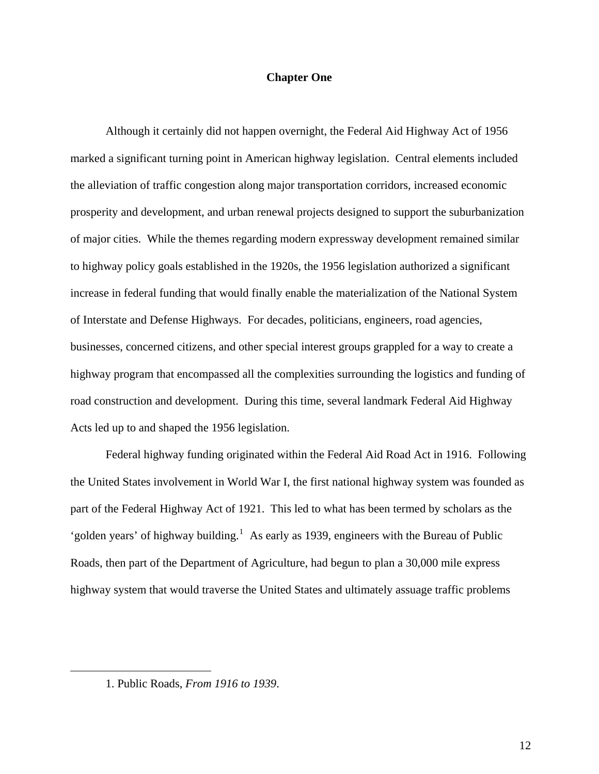### **Chapter One**

Although it certainly did not happen overnight, the Federal Aid Highway Act of 1956 marked a significant turning point in American highway legislation. Central elements included the alleviation of traffic congestion along major transportation corridors, increased economic prosperity and development, and urban renewal projects designed to support the suburbanization of major cities. While the themes regarding modern expressway development remained similar to highway policy goals established in the 1920s, the 1956 legislation authorized a significant increase in federal funding that would finally enable the materialization of the National System of Interstate and Defense Highways. For decades, politicians, engineers, road agencies, businesses, concerned citizens, and other special interest groups grappled for a way to create a highway program that encompassed all the complexities surrounding the logistics and funding of road construction and development. During this time, several landmark Federal Aid Highway Acts led up to and shaped the 1956 legislation.

Federal highway funding originated within the Federal Aid Road Act in 1916. Following the United States involvement in World War I, the first national highway system was founded as part of the Federal Highway Act of 1921. This led to what has been termed by scholars as the 'golden years' of highway building.<sup>[1](#page-19-0)</sup> As early as 1939, engineers with the Bureau of Public Roads, then part of the Department of Agriculture, had begun to plan a 30,000 mile express highway system that would traverse the United States and ultimately assuage traffic problems

<span id="page-19-0"></span> $\overline{a}$ 

<sup>1.</sup> Public Roads, *From 1916 to 1939*.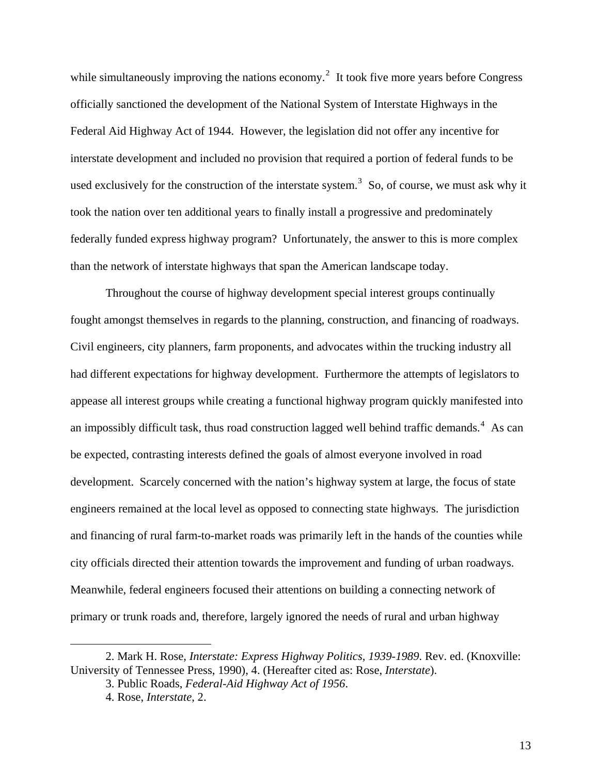while simultaneously improving the nations economy.<sup>[2](#page-20-0)</sup> It took five more years before Congress officially sanctioned the development of the National System of Interstate Highways in the Federal Aid Highway Act of 1944. However, the legislation did not offer any incentive for interstate development and included no provision that required a portion of federal funds to be used exclusively for the construction of the interstate system.<sup>[3](#page-20-1)</sup> So, of course, we must ask why it took the nation over ten additional years to finally install a progressive and predominately federally funded express highway program? Unfortunately, the answer to this is more complex than the network of interstate highways that span the American landscape today.

Throughout the course of highway development special interest groups continually fought amongst themselves in regards to the planning, construction, and financing of roadways. Civil engineers, city planners, farm proponents, and advocates within the trucking industry all had different expectations for highway development. Furthermore the attempts of legislators to appease all interest groups while creating a functional highway program quickly manifested into an impossibly difficult task, thus road construction lagged well behind traffic demands.<sup>[4](#page-20-2)</sup> As can be expected, contrasting interests defined the goals of almost everyone involved in road development. Scarcely concerned with the nation's highway system at large, the focus of state engineers remained at the local level as opposed to connecting state highways. The jurisdiction and financing of rural farm-to-market roads was primarily left in the hands of the counties while city officials directed their attention towards the improvement and funding of urban roadways. Meanwhile, federal engineers focused their attentions on building a connecting network of primary or trunk roads and, therefore, largely ignored the needs of rural and urban highway

<span id="page-20-2"></span><span id="page-20-1"></span><span id="page-20-0"></span><sup>2.</sup> Mark H. Rose, *Interstate: Express Highway Politics, 1939-1989*. Rev. ed. (Knoxville: University of Tennessee Press, 1990), 4. (Hereafter cited as: Rose, *Interstate*).

<sup>3.</sup> Public Roads, *Federal-Aid Highway Act of 1956*.

<sup>4.</sup> Rose, *Interstate*, 2.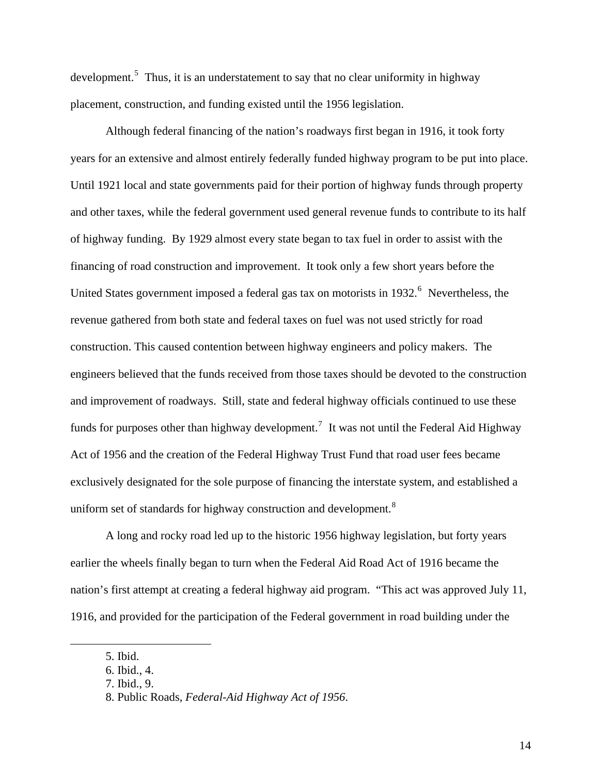development.<sup>[5](#page-21-0)</sup> Thus, it is an understatement to say that no clear uniformity in highway placement, construction, and funding existed until the 1956 legislation.

Although federal financing of the nation's roadways first began in 1916, it took forty years for an extensive and almost entirely federally funded highway program to be put into place. Until 1921 local and state governments paid for their portion of highway funds through property and other taxes, while the federal government used general revenue funds to contribute to its half of highway funding. By 1929 almost every state began to tax fuel in order to assist with the financing of road construction and improvement. It took only a few short years before the United States government imposed a federal gas tax on motorists in 1932.<sup>[6](#page-21-1)</sup> Nevertheless, the revenue gathered from both state and federal taxes on fuel was not used strictly for road construction. This caused contention between highway engineers and policy makers. The engineers believed that the funds received from those taxes should be devoted to the construction and improvement of roadways. Still, state and federal highway officials continued to use these funds for purposes other than highway development.<sup>[7](#page-21-2)</sup> It was not until the Federal Aid Highway Act of 1956 and the creation of the Federal Highway Trust Fund that road user fees became exclusively designated for the sole purpose of financing the interstate system, and established a uniform set of standards for highway construction and development.<sup>[8](#page-21-3)</sup>

A long and rocky road led up to the historic 1956 highway legislation, but forty years earlier the wheels finally began to turn when the Federal Aid Road Act of 1916 became the nation's first attempt at creating a federal highway aid program. "This act was approved July 11, 1916, and provided for the participation of the Federal government in road building under the

<span id="page-21-0"></span><sup>5.</sup> Ibid.

<span id="page-21-2"></span><span id="page-21-1"></span><sup>6.</sup> Ibid., 4.

<sup>7.</sup> Ibid., 9.

<span id="page-21-3"></span><sup>8.</sup> Public Roads, *Federal-Aid Highway Act of 1956*.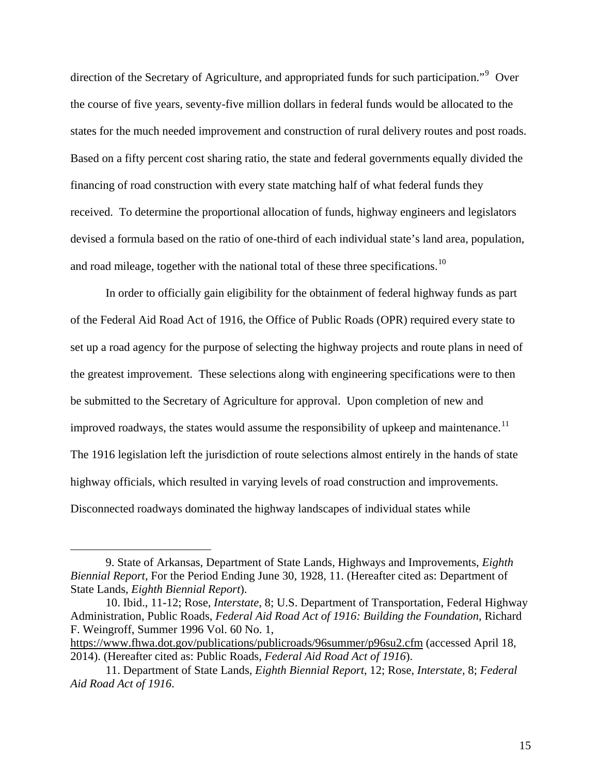direction of the Secretary of Agriculture, and appropriated funds for such participation."<sup>[9](#page-22-0)</sup> Over the course of five years, seventy-five million dollars in federal funds would be allocated to the states for the much needed improvement and construction of rural delivery routes and post roads. Based on a fifty percent cost sharing ratio, the state and federal governments equally divided the financing of road construction with every state matching half of what federal funds they received. To determine the proportional allocation of funds, highway engineers and legislators devised a formula based on the ratio of one-third of each individual state's land area, population, and road mileage, together with the national total of these three specifications.<sup>[10](#page-22-1)</sup>

In order to officially gain eligibility for the obtainment of federal highway funds as part of the Federal Aid Road Act of 1916, the Office of Public Roads (OPR) required every state to set up a road agency for the purpose of selecting the highway projects and route plans in need of the greatest improvement. These selections along with engineering specifications were to then be submitted to the Secretary of Agriculture for approval. Upon completion of new and improved roadways, the states would assume the responsibility of upkeep and maintenance.<sup>[11](#page-22-2)</sup> The 1916 legislation left the jurisdiction of route selections almost entirely in the hands of state highway officials, which resulted in varying levels of road construction and improvements. Disconnected roadways dominated the highway landscapes of individual states while

<span id="page-22-0"></span><sup>9.</sup> State of Arkansas, Department of State Lands, Highways and Improvements, *Eighth Biennial Report*, For the Period Ending June 30, 1928, 11. (Hereafter cited as: Department of State Lands, *Eighth Biennial Report*).

<span id="page-22-1"></span><sup>10.</sup> Ibid., 11-12; Rose, *Interstate*, 8; U.S. Department of Transportation, Federal Highway Administration, Public Roads, *Federal Aid Road Act of 1916: Building the Foundation*, Richard F. Weingroff, Summer 1996 Vol. 60 No. 1,

<https://www.fhwa.dot.gov/publications/publicroads/96summer/p96su2.cfm>(accessed April 18, 2014). (Hereafter cited as: Public Roads, *Federal Aid Road Act of 1916*).

<span id="page-22-2"></span><sup>11.</sup> Department of State Lands, *Eighth Biennial Report*, 12; Rose, *Interstate*, 8; *Federal Aid Road Act of 1916*.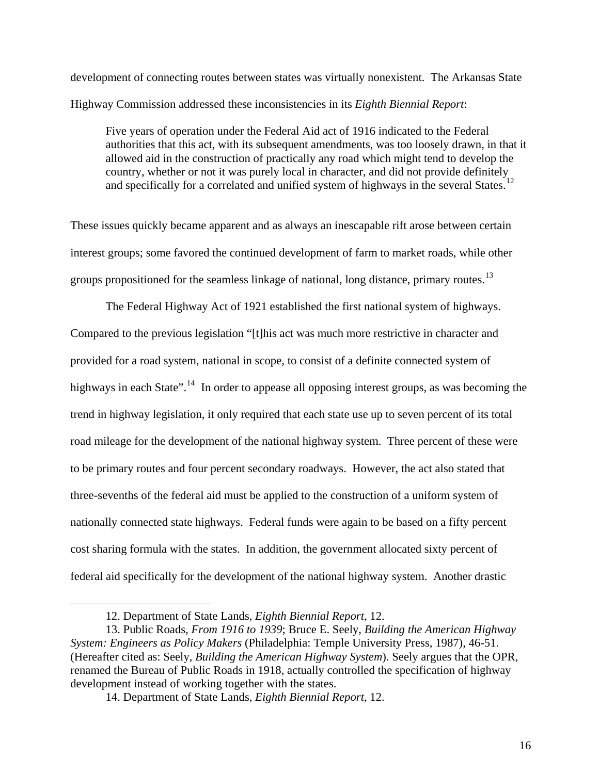development of connecting routes between states was virtually nonexistent. The Arkansas State Highway Commission addressed these inconsistencies in its *Eighth Biennial Report*:

Five years of operation under the Federal Aid act of 1916 indicated to the Federal authorities that this act, with its subsequent amendments, was too loosely drawn, in that it allowed aid in the construction of practically any road which might tend to develop the country, whether or not it was purely local in character, and did not provide definitely and specifically for a correlated and unified system of highways in the several States.<sup>[12](#page-23-0)</sup>

These issues quickly became apparent and as always an inescapable rift arose between certain interest groups; some favored the continued development of farm to market roads, while other groups propositioned for the seamless linkage of national, long distance, primary routes.<sup>[13](#page-23-1)</sup>

The Federal Highway Act of 1921 established the first national system of highways. Compared to the previous legislation "[t]his act was much more restrictive in character and provided for a road system, national in scope, to consist of a definite connected system of highways in each State".<sup>[14](#page-23-2)</sup> In order to appease all opposing interest groups, as was becoming the trend in highway legislation, it only required that each state use up to seven percent of its total road mileage for the development of the national highway system. Three percent of these were to be primary routes and four percent secondary roadways. However, the act also stated that three-sevenths of the federal aid must be applied to the construction of a uniform system of nationally connected state highways. Federal funds were again to be based on a fifty percent cost sharing formula with the states. In addition, the government allocated sixty percent of federal aid specifically for the development of the national highway system. Another drastic

<sup>12.</sup> Department of State Lands, *Eighth Biennial Report*, 12.

<span id="page-23-2"></span><span id="page-23-1"></span><span id="page-23-0"></span><sup>13.</sup> Public Roads, *From 1916 to 1939*; Bruce E. Seely, *Building the American Highway System: Engineers as Policy Makers* (Philadelphia: Temple University Press, 1987), 46-51. (Hereafter cited as: Seely, *Building the American Highway System*). Seely argues that the OPR, renamed the Bureau of Public Roads in 1918, actually controlled the specification of highway development instead of working together with the states.

<sup>14.</sup> Department of State Lands, *Eighth Biennial Report*, 12.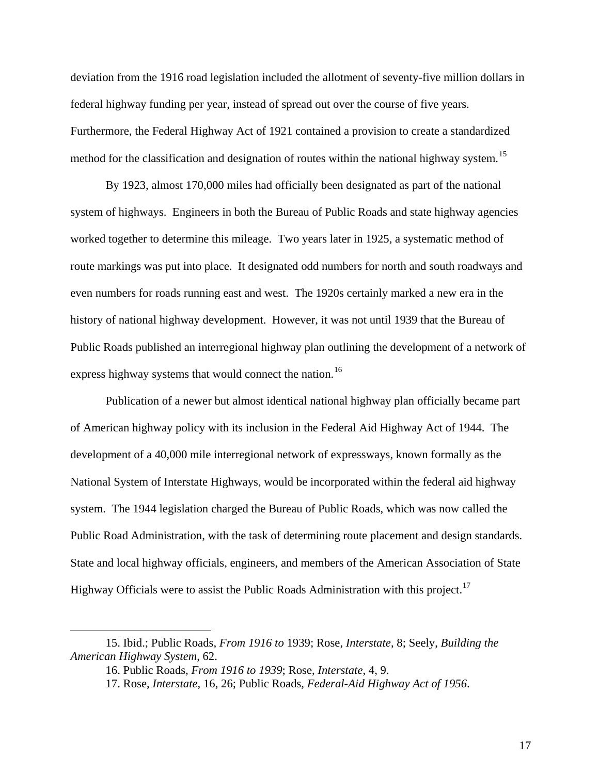deviation from the 1916 road legislation included the allotment of seventy-five million dollars in federal highway funding per year, instead of spread out over the course of five years. Furthermore, the Federal Highway Act of 1921 contained a provision to create a standardized method for the classification and designation of routes within the national highway system.<sup>[15](#page-24-0)</sup>

By 1923, almost 170,000 miles had officially been designated as part of the national system of highways. Engineers in both the Bureau of Public Roads and state highway agencies worked together to determine this mileage. Two years later in 1925, a systematic method of route markings was put into place. It designated odd numbers for north and south roadways and even numbers for roads running east and west. The 1920s certainly marked a new era in the history of national highway development. However, it was not until 1939 that the Bureau of Public Roads published an interregional highway plan outlining the development of a network of express highway systems that would connect the nation.<sup>[16](#page-24-1)</sup>

Publication of a newer but almost identical national highway plan officially became part of American highway policy with its inclusion in the Federal Aid Highway Act of 1944. The development of a 40,000 mile interregional network of expressways, known formally as the National System of Interstate Highways, would be incorporated within the federal aid highway system. The 1944 legislation charged the Bureau of Public Roads, which was now called the Public Road Administration, with the task of determining route placement and design standards. State and local highway officials, engineers, and members of the American Association of State Highway Officials were to assist the Public Roads Administration with this project.<sup>[17](#page-24-2)</sup>

<span id="page-24-2"></span><span id="page-24-1"></span><span id="page-24-0"></span><sup>15.</sup> Ibid.; Public Roads, *From 1916 to* 1939; Rose, *Interstate*, 8; Seely, *Building the American Highway System*, 62.

<sup>16.</sup> Public Roads, *From 1916 to 1939*; Rose, *Interstate*, 4, 9.

<sup>17.</sup> Rose, *Interstate*, 16, 26; Public Roads, *Federal-Aid Highway Act of 1956*.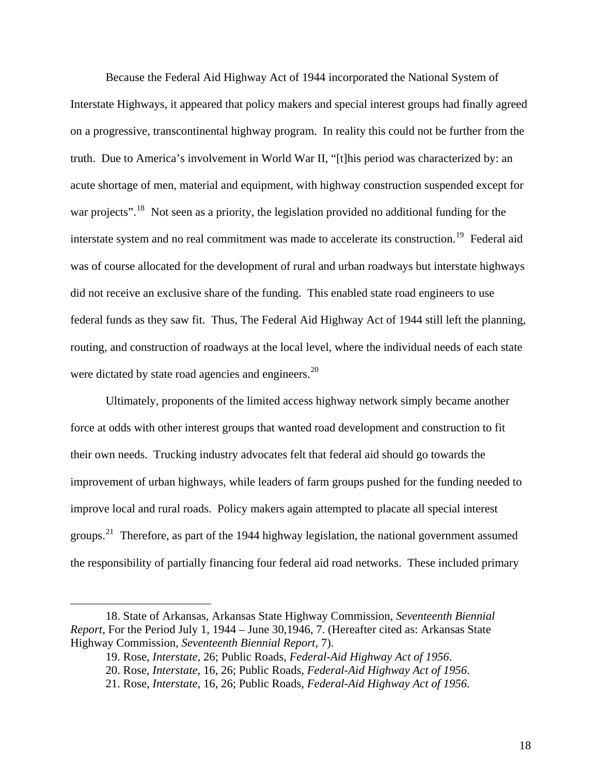Because the Federal Aid Highway Act of 1944 incorporated the National System of Interstate Highways, it appeared that policy makers and special interest groups had finally agreed on a progressive, transcontinental highway program. In reality this could not be further from the truth. Due to America's involvement in World War II, "[t]his period was characterized by: an acute shortage of men, material and equipment, with highway construction suspended except for war projects".<sup>[18](#page-25-0)</sup> Not seen as a priority, the legislation provided no additional funding for the interstate system and no real commitment was made to accelerate its construction.<sup>[19](#page-25-1)</sup> Federal aid was of course allocated for the development of rural and urban roadways but interstate highways did not receive an exclusive share of the funding. This enabled state road engineers to use federal funds as they saw fit. Thus, The Federal Aid Highway Act of 1944 still left the planning, routing, and construction of roadways at the local level, where the individual needs of each state were dictated by state road agencies and engineers.<sup>[20](#page-25-2)</sup>

Ultimately, proponents of the limited access highway network simply became another force at odds with other interest groups that wanted road development and construction to fit their own needs. Trucking industry advocates felt that federal aid should go towards the improvement of urban highways, while leaders of farm groups pushed for the funding needed to improve local and rural roads. Policy makers again attempted to placate all special interest groups.<sup>[21](#page-25-3)</sup> Therefore, as part of the 1944 highway legislation, the national government assumed the responsibility of partially financing four federal aid road networks. These included primary

<span id="page-25-3"></span><span id="page-25-2"></span><span id="page-25-1"></span><span id="page-25-0"></span><sup>18.</sup> State of Arkansas, Arkansas State Highway Commission, *Seventeenth Biennial Report*, For the Period July 1, 1944 – June 30,1946, 7. (Hereafter cited as: Arkansas State Highway Commission, *Seventeenth Biennial Report*, 7).

<sup>19.</sup> Rose, *Interstate*, 26; Public Roads, *Federal-Aid Highway Act of 1956*.

<sup>20.</sup> Rose, *Interstate*, 16, 26; Public Roads, *Federal-Aid Highway Act of 1956*.

<sup>21.</sup> Rose, *Interstate*, 16, 26; Public Roads, *Federal-Aid Highway Act of 1956*.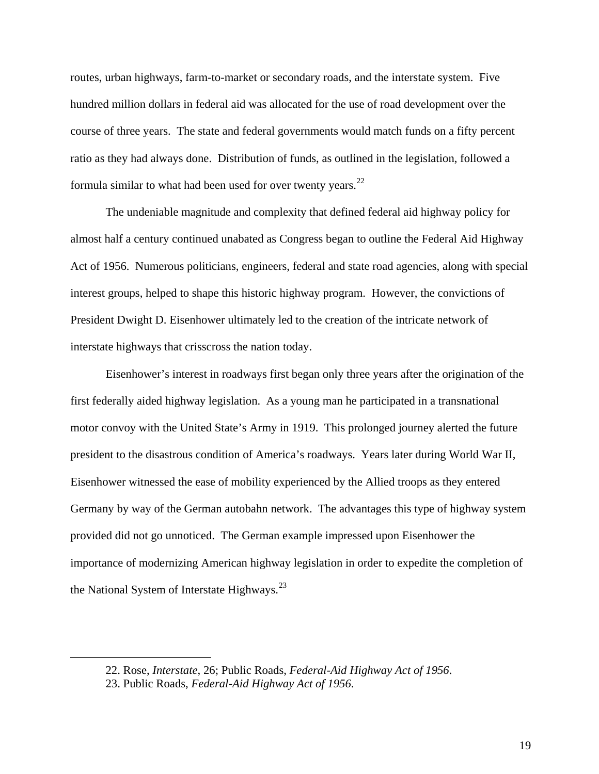routes, urban highways, farm-to-market or secondary roads, and the interstate system. Five hundred million dollars in federal aid was allocated for the use of road development over the course of three years. The state and federal governments would match funds on a fifty percent ratio as they had always done. Distribution of funds, as outlined in the legislation, followed a formula similar to what had been used for over twenty years. $22$ 

The undeniable magnitude and complexity that defined federal aid highway policy for almost half a century continued unabated as Congress began to outline the Federal Aid Highway Act of 1956. Numerous politicians, engineers, federal and state road agencies, along with special interest groups, helped to shape this historic highway program. However, the convictions of President Dwight D. Eisenhower ultimately led to the creation of the intricate network of interstate highways that crisscross the nation today.

Eisenhower's interest in roadways first began only three years after the origination of the first federally aided highway legislation. As a young man he participated in a transnational motor convoy with the United State's Army in 1919. This prolonged journey alerted the future president to the disastrous condition of America's roadways. Years later during World War II, Eisenhower witnessed the ease of mobility experienced by the Allied troops as they entered Germany by way of the German autobahn network. The advantages this type of highway system provided did not go unnoticed. The German example impressed upon Eisenhower the importance of modernizing American highway legislation in order to expedite the completion of the National System of Interstate Highways.<sup>[23](#page-26-1)</sup>

<span id="page-26-0"></span><sup>22.</sup> Rose, *Interstate*, 26; Public Roads, *Federal-Aid Highway Act of 1956*.

<span id="page-26-1"></span><sup>23.</sup> Public Roads, *Federal-Aid Highway Act of 1956*.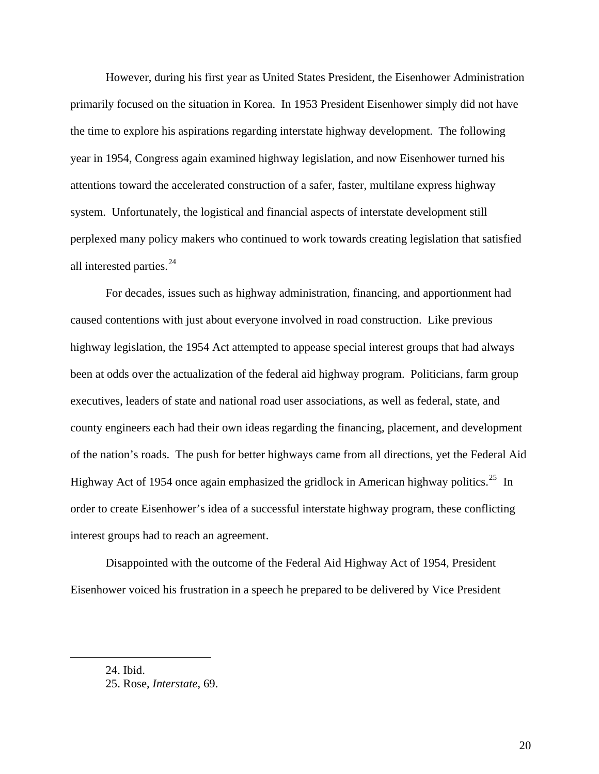However, during his first year as United States President, the Eisenhower Administration primarily focused on the situation in Korea. In 1953 President Eisenhower simply did not have the time to explore his aspirations regarding interstate highway development. The following year in 1954, Congress again examined highway legislation, and now Eisenhower turned his attentions toward the accelerated construction of a safer, faster, multilane express highway system. Unfortunately, the logistical and financial aspects of interstate development still perplexed many policy makers who continued to work towards creating legislation that satisfied all interested parties. $^{24}$  $^{24}$  $^{24}$ 

For decades, issues such as highway administration, financing, and apportionment had caused contentions with just about everyone involved in road construction. Like previous highway legislation, the 1954 Act attempted to appease special interest groups that had always been at odds over the actualization of the federal aid highway program. Politicians, farm group executives, leaders of state and national road user associations, as well as federal, state, and county engineers each had their own ideas regarding the financing, placement, and development of the nation's roads. The push for better highways came from all directions, yet the Federal Aid Highway Act of 1954 once again emphasized the gridlock in American highway politics.<sup>[25](#page-27-1)</sup> In order to create Eisenhower's idea of a successful interstate highway program, these conflicting interest groups had to reach an agreement.

Disappointed with the outcome of the Federal Aid Highway Act of 1954, President Eisenhower voiced his frustration in a speech he prepared to be delivered by Vice President

24. Ibid.

<span id="page-27-1"></span><span id="page-27-0"></span>1

<sup>25.</sup> Rose, *Interstate*, 69.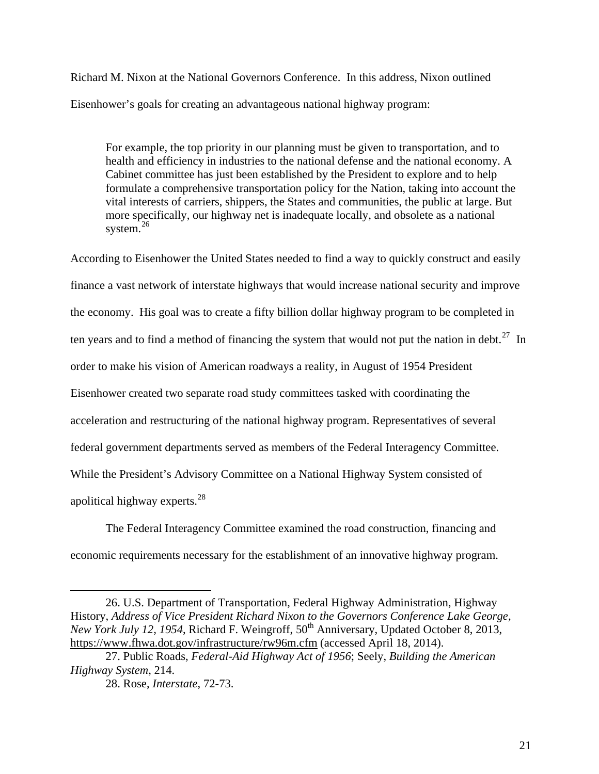Richard M. Nixon at the National Governors Conference. In this address, Nixon outlined Eisenhower's goals for creating an advantageous national highway program:

For example, the top priority in our planning must be given to transportation, and to health and efficiency in industries to the national defense and the national economy. A Cabinet committee has just been established by the President to explore and to help formulate a comprehensive transportation policy for the Nation, taking into account the vital interests of carriers, shippers, the States and communities, the public at large. But more specifically, our highway net is inadequate locally, and obsolete as a national system. $^{26}$  $^{26}$  $^{26}$ 

According to Eisenhower the United States needed to find a way to quickly construct and easily finance a vast network of interstate highways that would increase national security and improve the economy. His goal was to create a fifty billion dollar highway program to be completed in ten years and to find a method of financing the system that would not put the nation in debt.<sup>[27](#page-28-1)</sup> In order to make his vision of American roadways a reality, in August of 1954 President Eisenhower created two separate road study committees tasked with coordinating the acceleration and restructuring of the national highway program. Representatives of several federal government departments served as members of the Federal Interagency Committee. While the President's Advisory Committee on a National Highway System consisted of apolitical highway experts. $^{28}$  $^{28}$  $^{28}$ 

The Federal Interagency Committee examined the road construction, financing and economic requirements necessary for the establishment of an innovative highway program.

<span id="page-28-0"></span><sup>26.</sup> U.S. Department of Transportation, Federal Highway Administration, Highway History, *Address of Vice President Richard Nixon to the Governors Conference Lake George, New York July 12, 1954, Richard F. Weingroff,* 50<sup>th</sup> Anniversary, Updated October 8, 2013, <https://www.fhwa.dot.gov/infrastructure/rw96m.cfm>(accessed April 18, 2014).

<span id="page-28-2"></span><span id="page-28-1"></span><sup>27.</sup> Public Roads, *Federal-Aid Highway Act of 1956*; Seely, *Building the American Highway System*, 214.

<sup>28.</sup> Rose, *Interstate*, 72-73.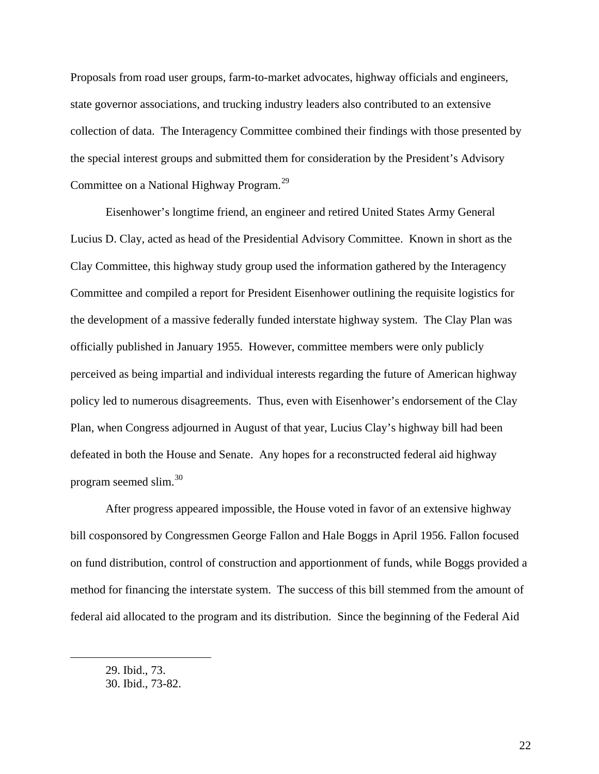Proposals from road user groups, farm-to-market advocates, highway officials and engineers, state governor associations, and trucking industry leaders also contributed to an extensive collection of data. The Interagency Committee combined their findings with those presented by the special interest groups and submitted them for consideration by the President's Advisory Committee on a National Highway Program.<sup>[29](#page-29-0)</sup>

Eisenhower's longtime friend, an engineer and retired United States Army General Lucius D. Clay, acted as head of the Presidential Advisory Committee. Known in short as the Clay Committee, this highway study group used the information gathered by the Interagency Committee and compiled a report for President Eisenhower outlining the requisite logistics for the development of a massive federally funded interstate highway system. The Clay Plan was officially published in January 1955. However, committee members were only publicly perceived as being impartial and individual interests regarding the future of American highway policy led to numerous disagreements. Thus, even with Eisenhower's endorsement of the Clay Plan, when Congress adjourned in August of that year, Lucius Clay's highway bill had been defeated in both the House and Senate. Any hopes for a reconstructed federal aid highway program seemed slim.[30](#page-29-1)

After progress appeared impossible, the House voted in favor of an extensive highway bill cosponsored by Congressmen George Fallon and Hale Boggs in April 1956. Fallon focused on fund distribution, control of construction and apportionment of funds, while Boggs provided a method for financing the interstate system. The success of this bill stemmed from the amount of federal aid allocated to the program and its distribution. Since the beginning of the Federal Aid

<span id="page-29-0"></span><sup>29.</sup> Ibid., 73.

<span id="page-29-1"></span><sup>30.</sup> Ibid., 73-82.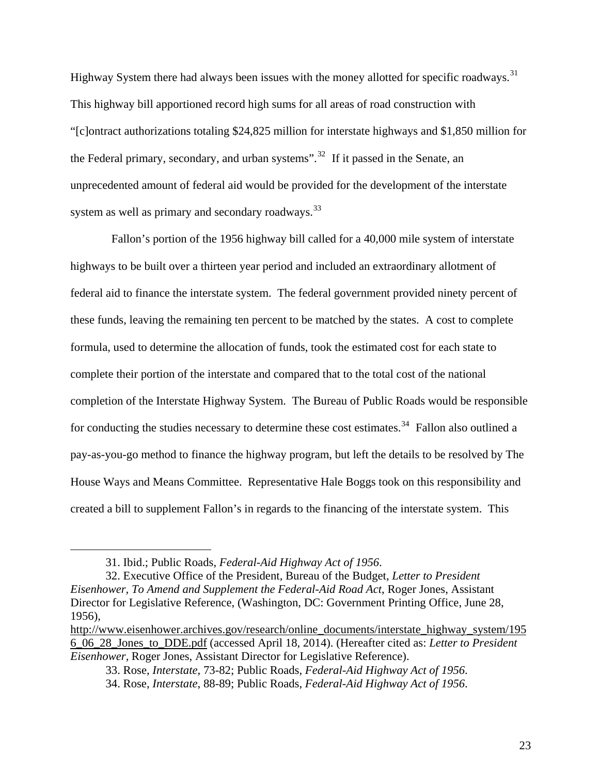Highway System there had always been issues with the money allotted for specific roadways.<sup>[31](#page-30-0)</sup> This highway bill apportioned record high sums for all areas of road construction with "[c]ontract authorizations totaling \$24,825 million for interstate highways and \$1,850 million for the Federal primary, secondary, and urban systems".<sup>[32](#page-30-1)</sup> If it passed in the Senate, an unprecedented amount of federal aid would be provided for the development of the interstate system as well as primary and secondary roadways.<sup>[33](#page-30-2)</sup>

 Fallon's portion of the 1956 highway bill called for a 40,000 mile system of interstate highways to be built over a thirteen year period and included an extraordinary allotment of federal aid to finance the interstate system. The federal government provided ninety percent of these funds, leaving the remaining ten percent to be matched by the states. A cost to complete formula, used to determine the allocation of funds, took the estimated cost for each state to complete their portion of the interstate and compared that to the total cost of the national completion of the Interstate Highway System. The Bureau of Public Roads would be responsible for conducting the studies necessary to determine these cost estimates.<sup>[34](#page-30-3)</sup> Fallon also outlined a pay-as-you-go method to finance the highway program, but left the details to be resolved by The House Ways and Means Committee. Representative Hale Boggs took on this responsibility and created a bill to supplement Fallon's in regards to the financing of the interstate system. This

<sup>31.</sup> Ibid.; Public Roads, *Federal-Aid Highway Act of 1956*.

<span id="page-30-1"></span><span id="page-30-0"></span><sup>32.</sup> Executive Office of the President, Bureau of the Budget, *Letter to President Eisenhower, To Amend and Supplement the Federal-Aid Road Act*, Roger Jones, Assistant Director for Legislative Reference, (Washington, DC: Government Printing Office, June 28, 1956),

<span id="page-30-3"></span><span id="page-30-2"></span>[http://www.eisenhower.archives.gov/research/online\\_documents/interstate\\_highway\\_system/195](http://www.eisenhower.archives.gov/research/online_documents/interstate_highway_system/1956_06_28_Jones_to_DDE.pdf) [6\\_06\\_28\\_Jones\\_to\\_DDE.pdf](http://www.eisenhower.archives.gov/research/online_documents/interstate_highway_system/1956_06_28_Jones_to_DDE.pdf) (accessed April 18, 2014). (Hereafter cited as: *Letter to President Eisenhower,* Roger Jones, Assistant Director for Legislative Reference).

<sup>33.</sup> Rose, *Interstate*, 73-82; Public Roads, *Federal-Aid Highway Act of 1956*.

<sup>34.</sup> Rose, *Interstate*, 88-89; Public Roads, *Federal-Aid Highway Act of 1956*.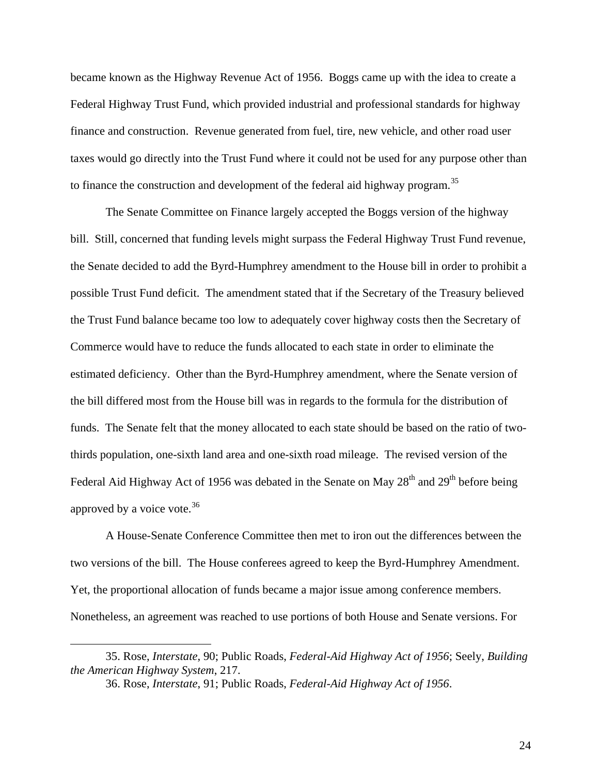became known as the Highway Revenue Act of 1956. Boggs came up with the idea to create a Federal Highway Trust Fund, which provided industrial and professional standards for highway finance and construction. Revenue generated from fuel, tire, new vehicle, and other road user taxes would go directly into the Trust Fund where it could not be used for any purpose other than to finance the construction and development of the federal aid highway program.<sup>[35](#page-31-0)</sup>

The Senate Committee on Finance largely accepted the Boggs version of the highway bill. Still, concerned that funding levels might surpass the Federal Highway Trust Fund revenue, the Senate decided to add the Byrd-Humphrey amendment to the House bill in order to prohibit a possible Trust Fund deficit. The amendment stated that if the Secretary of the Treasury believed the Trust Fund balance became too low to adequately cover highway costs then the Secretary of Commerce would have to reduce the funds allocated to each state in order to eliminate the estimated deficiency. Other than the Byrd-Humphrey amendment, where the Senate version of the bill differed most from the House bill was in regards to the formula for the distribution of funds. The Senate felt that the money allocated to each state should be based on the ratio of twothirds population, one-sixth land area and one-sixth road mileage. The revised version of the Federal Aid Highway Act of 1956 was debated in the Senate on May  $28<sup>th</sup>$  and  $29<sup>th</sup>$  before being approved by a voice vote.<sup>[36](#page-31-1)</sup>

A House-Senate Conference Committee then met to iron out the differences between the two versions of the bill. The House conferees agreed to keep the Byrd-Humphrey Amendment. Yet, the proportional allocation of funds became a major issue among conference members. Nonetheless, an agreement was reached to use portions of both House and Senate versions. For

<span id="page-31-1"></span><span id="page-31-0"></span><sup>35.</sup> Rose, *Interstate*, 90; Public Roads, *Federal-Aid Highway Act of 1956*; Seely, *Building the American Highway System*, 217.

<sup>36.</sup> Rose, *Interstate*, 91; Public Roads, *Federal-Aid Highway Act of 1956*.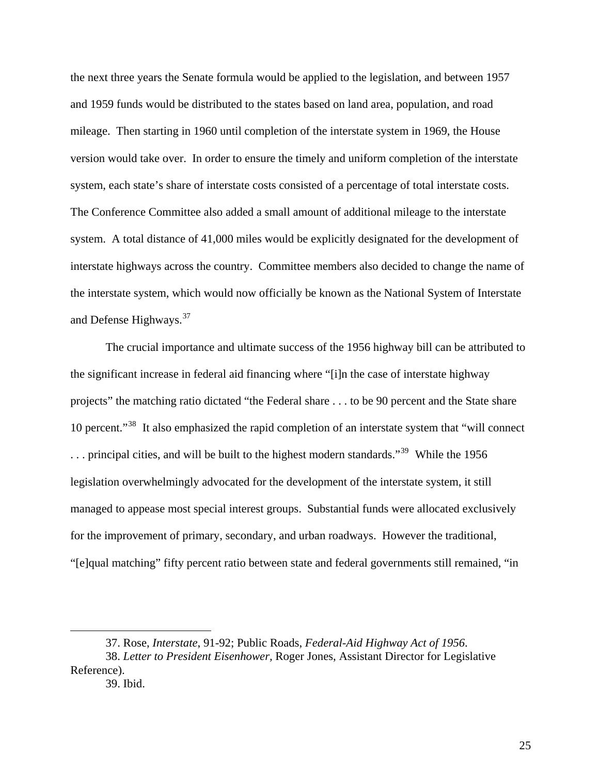the next three years the Senate formula would be applied to the legislation, and between 1957 and 1959 funds would be distributed to the states based on land area, population, and road mileage. Then starting in 1960 until completion of the interstate system in 1969, the House version would take over. In order to ensure the timely and uniform completion of the interstate system, each state's share of interstate costs consisted of a percentage of total interstate costs. The Conference Committee also added a small amount of additional mileage to the interstate system. A total distance of 41,000 miles would be explicitly designated for the development of interstate highways across the country. Committee members also decided to change the name of the interstate system, which would now officially be known as the National System of Interstate and Defense Highways.<sup>[37](#page-32-0)</sup>

The crucial importance and ultimate success of the 1956 highway bill can be attributed to the significant increase in federal aid financing where "[i]n the case of interstate highway projects" the matching ratio dictated "the Federal share . . . to be 90 percent and the State share 10 percent."<sup>[38](#page-32-1)</sup> It also emphasized the rapid completion of an interstate system that "will connect" ... principal cities, and will be built to the highest modern standards."<sup>[39](#page-32-2)</sup> While the 1956 legislation overwhelmingly advocated for the development of the interstate system, it still managed to appease most special interest groups. Substantial funds were allocated exclusively for the improvement of primary, secondary, and urban roadways. However the traditional, "[e]qual matching" fifty percent ratio between state and federal governments still remained, "in

<sup>37.</sup> Rose, *Interstate*, 91-92; Public Roads, *Federal-Aid Highway Act of 1956*.

<span id="page-32-2"></span><span id="page-32-1"></span><span id="page-32-0"></span><sup>38.</sup> *Letter to President Eisenhower,* Roger Jones, Assistant Director for Legislative Reference).

<sup>39.</sup> Ibid.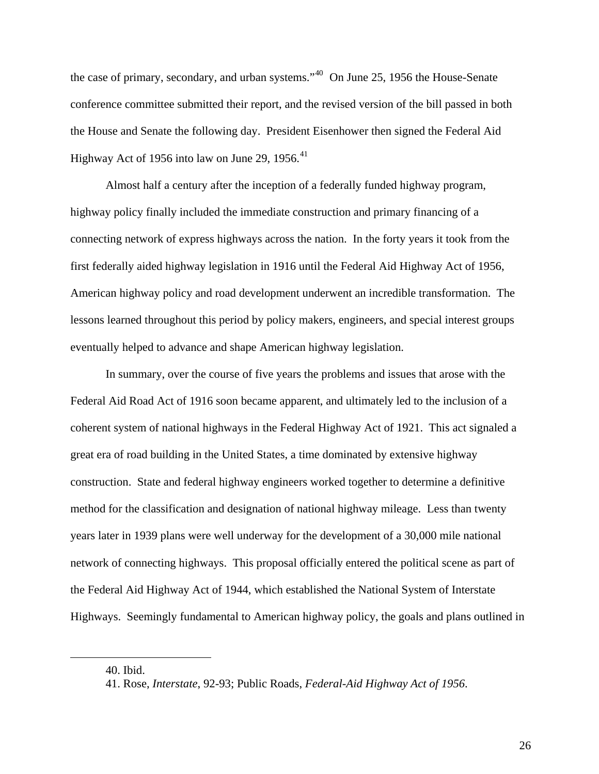the case of primary, secondary, and urban systems."<sup>[40](#page-33-0)</sup> On June 25, 1956 the House-Senate conference committee submitted their report, and the revised version of the bill passed in both the House and Senate the following day. President Eisenhower then signed the Federal Aid Highway Act of 1956 into law on June 29, 1956. $41$ 

Almost half a century after the inception of a federally funded highway program, highway policy finally included the immediate construction and primary financing of a connecting network of express highways across the nation. In the forty years it took from the first federally aided highway legislation in 1916 until the Federal Aid Highway Act of 1956, American highway policy and road development underwent an incredible transformation. The lessons learned throughout this period by policy makers, engineers, and special interest groups eventually helped to advance and shape American highway legislation.

In summary, over the course of five years the problems and issues that arose with the Federal Aid Road Act of 1916 soon became apparent, and ultimately led to the inclusion of a coherent system of national highways in the Federal Highway Act of 1921. This act signaled a great era of road building in the United States, a time dominated by extensive highway construction. State and federal highway engineers worked together to determine a definitive method for the classification and designation of national highway mileage. Less than twenty years later in 1939 plans were well underway for the development of a 30,000 mile national network of connecting highways. This proposal officially entered the political scene as part of the Federal Aid Highway Act of 1944, which established the National System of Interstate Highways. Seemingly fundamental to American highway policy, the goals and plans outlined in

<span id="page-33-1"></span><span id="page-33-0"></span>1

<sup>40.</sup> Ibid.

<sup>41.</sup> Rose, *Interstate*, 92-93; Public Roads, *Federal-Aid Highway Act of 1956*.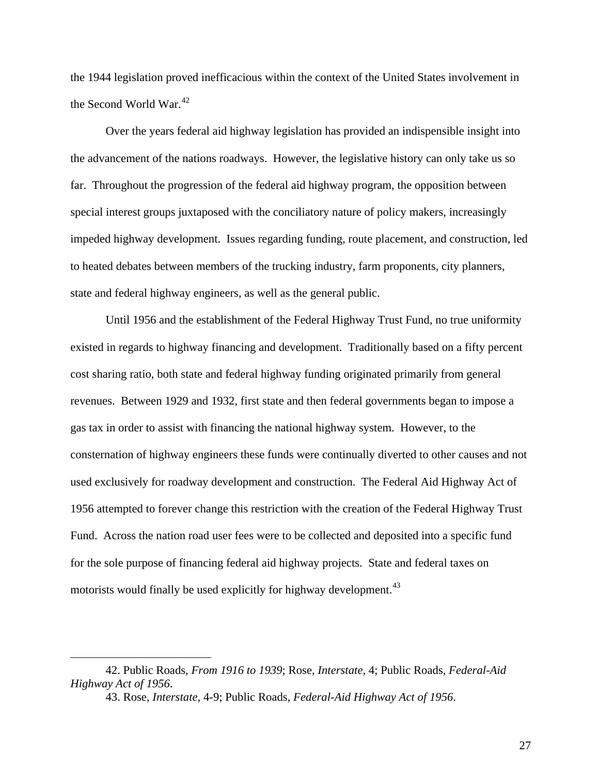the 1944 legislation proved inefficacious within the context of the United States involvement in the Second World War.<sup>[42](#page-34-0)</sup>

Over the years federal aid highway legislation has provided an indispensible insight into the advancement of the nations roadways. However, the legislative history can only take us so far. Throughout the progression of the federal aid highway program, the opposition between special interest groups juxtaposed with the conciliatory nature of policy makers, increasingly impeded highway development. Issues regarding funding, route placement, and construction, led to heated debates between members of the trucking industry, farm proponents, city planners, state and federal highway engineers, as well as the general public.

Until 1956 and the establishment of the Federal Highway Trust Fund, no true uniformity existed in regards to highway financing and development. Traditionally based on a fifty percent cost sharing ratio, both state and federal highway funding originated primarily from general revenues. Between 1929 and 1932, first state and then federal governments began to impose a gas tax in order to assist with financing the national highway system. However, to the consternation of highway engineers these funds were continually diverted to other causes and not used exclusively for roadway development and construction. The Federal Aid Highway Act of 1956 attempted to forever change this restriction with the creation of the Federal Highway Trust Fund. Across the nation road user fees were to be collected and deposited into a specific fund for the sole purpose of financing federal aid highway projects. State and federal taxes on motorists would finally be used explicitly for highway development.<sup>[43](#page-34-1)</sup>

<span id="page-34-1"></span><span id="page-34-0"></span><sup>42.</sup> Public Roads, *From 1916 to 1939*; Rose, *Interstate*, 4; Public Roads, *Federal-Aid Highway Act of 1956*.

<sup>43.</sup> Rose, *Interstate*, 4-9; Public Roads, *Federal-Aid Highway Act of 1956*.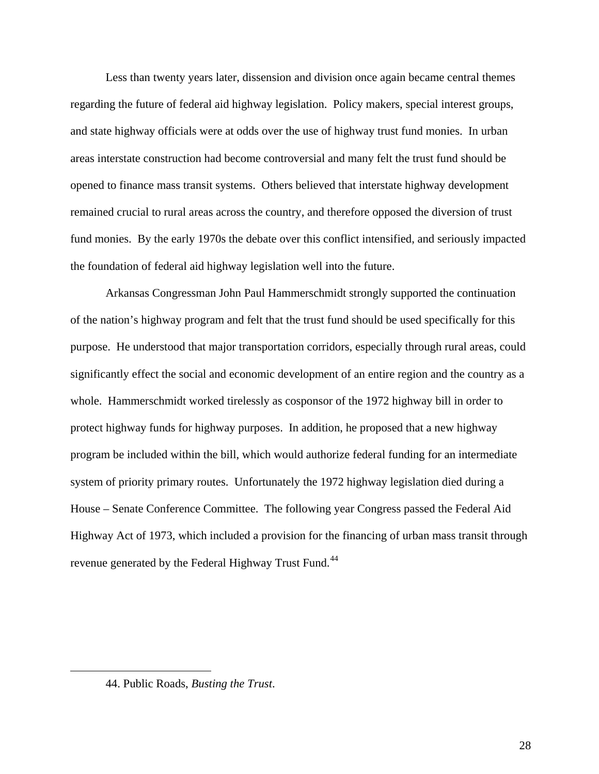Less than twenty years later, dissension and division once again became central themes regarding the future of federal aid highway legislation. Policy makers, special interest groups, and state highway officials were at odds over the use of highway trust fund monies. In urban areas interstate construction had become controversial and many felt the trust fund should be opened to finance mass transit systems. Others believed that interstate highway development remained crucial to rural areas across the country, and therefore opposed the diversion of trust fund monies. By the early 1970s the debate over this conflict intensified, and seriously impacted the foundation of federal aid highway legislation well into the future.

Arkansas Congressman John Paul Hammerschmidt strongly supported the continuation of the nation's highway program and felt that the trust fund should be used specifically for this purpose. He understood that major transportation corridors, especially through rural areas, could significantly effect the social and economic development of an entire region and the country as a whole. Hammerschmidt worked tirelessly as cosponsor of the 1972 highway bill in order to protect highway funds for highway purposes. In addition, he proposed that a new highway program be included within the bill, which would authorize federal funding for an intermediate system of priority primary routes. Unfortunately the 1972 highway legislation died during a House – Senate Conference Committee. The following year Congress passed the Federal Aid Highway Act of 1973, which included a provision for the financing of urban mass transit through revenue generated by the Federal Highway Trust Fund.<sup>[44](#page-35-0)</sup>

<span id="page-35-0"></span><sup>44.</sup> Public Roads, *Busting the Trust*.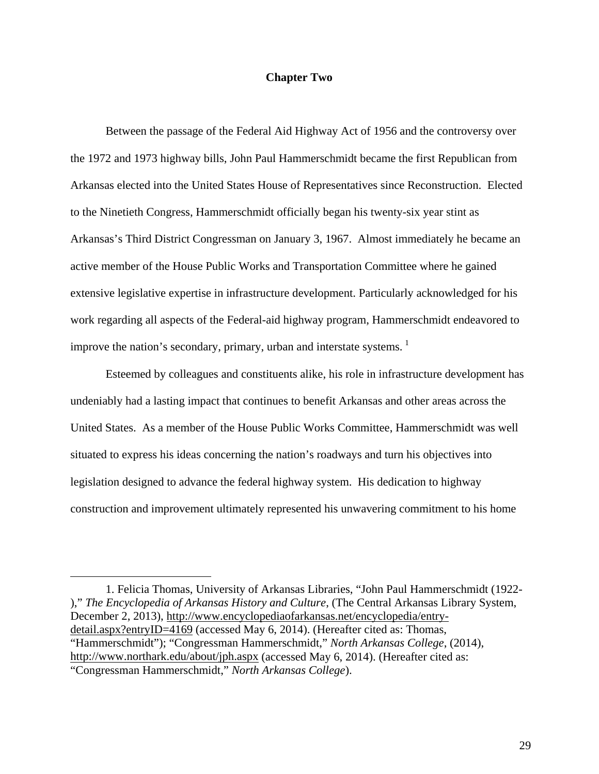## **Chapter Two**

Between the passage of the Federal Aid Highway Act of 1956 and the controversy over the 1972 and 1973 highway bills, John Paul Hammerschmidt became the first Republican from Arkansas elected into the United States House of Representatives since Reconstruction. Elected to the Ninetieth Congress, Hammerschmidt officially began his twenty-six year stint as Arkansas's Third District Congressman on January 3, 1967. Almost immediately he became an active member of the House Public Works and Transportation Committee where he gained extensive legislative expertise in infrastructure development. Particularly acknowledged for his work regarding all aspects of the Federal-aid highway program, Hammerschmidt endeavored to improve the nation's secondary, primary, urban and interstate systems.  $1$ 

Esteemed by colleagues and constituents alike, his role in infrastructure development has undeniably had a lasting impact that continues to benefit Arkansas and other areas across the United States. As a member of the House Public Works Committee, Hammerschmidt was well situated to express his ideas concerning the nation's roadways and turn his objectives into legislation designed to advance the federal highway system. His dedication to highway construction and improvement ultimately represented his unwavering commitment to his home

<span id="page-36-0"></span>1. Felicia Thomas, University of Arkansas Libraries, "John Paul Hammerschmidt (1922- )," *The Encyclopedia of Arkansas History and Culture*, (The Central Arkansas Library System, December 2, 2013), [http://www.encyclopediaofarkansas.net/encyclopedia/entry](http://www.encyclopediaofarkansas.net/encyclopedia/entry-detail.aspx?entryID=4169)[detail.aspx?entryID=4169](http://www.encyclopediaofarkansas.net/encyclopedia/entry-detail.aspx?entryID=4169) (accessed May 6, 2014). (Hereafter cited as: Thomas, "Hammerschmidt"); "Congressman Hammerschmidt," *North Arkansas College*, (2014), <http://www.northark.edu/about/jph.aspx> (accessed May 6, 2014). (Hereafter cited as: "Congressman Hammerschmidt," *North Arkansas College*).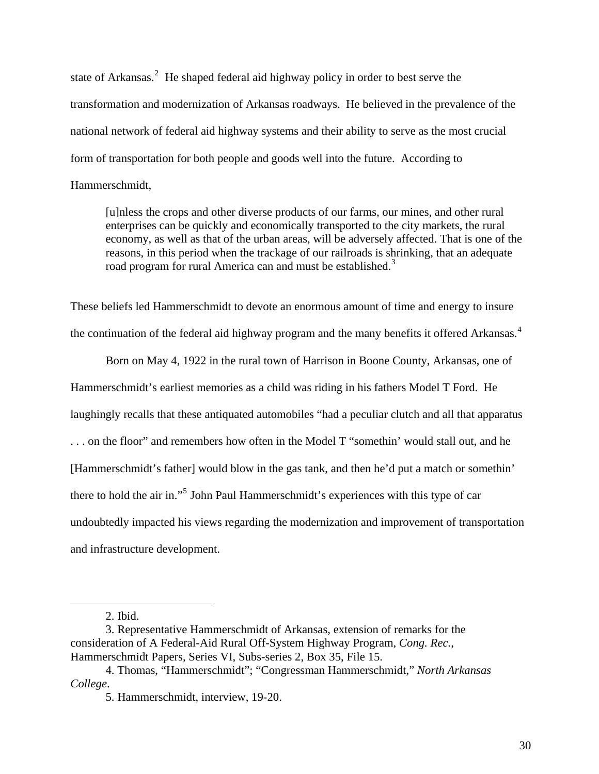state of Arkansas.<sup>[2](#page-37-0)</sup> He shaped federal aid highway policy in order to best serve the transformation and modernization of Arkansas roadways. He believed in the prevalence of the national network of federal aid highway systems and their ability to serve as the most crucial form of transportation for both people and goods well into the future. According to Hammerschmidt,

[u]nless the crops and other diverse products of our farms, our mines, and other rural enterprises can be quickly and economically transported to the city markets, the rural economy, as well as that of the urban areas, will be adversely affected. That is one of the reasons, in this period when the trackage of our railroads is shrinking, that an adequate road program for rural America can and must be established.<sup>[3](#page-37-1)</sup>

These beliefs led Hammerschmidt to devote an enormous amount of time and energy to insure the continuation of the federal aid highway program and the many benefits it offered Arkansas.<sup>[4](#page-37-2)</sup>

Born on May 4, 1922 in the rural town of Harrison in Boone County, Arkansas, one of Hammerschmidt's earliest memories as a child was riding in his fathers Model T Ford. He laughingly recalls that these antiquated automobiles "had a peculiar clutch and all that apparatus . . . on the floor" and remembers how often in the Model T "somethin' would stall out, and he [Hammerschmidt's father] would blow in the gas tank, and then he'd put a match or somethin' there to hold the air in."<sup>[5](#page-37-3)</sup> John Paul Hammerschmidt's experiences with this type of car undoubtedly impacted his views regarding the modernization and improvement of transportation and infrastructure development.

<sup>2.</sup> Ibid.

<span id="page-37-1"></span><span id="page-37-0"></span><sup>3.</sup> Representative Hammerschmidt of Arkansas, extension of remarks for the consideration of A Federal-Aid Rural Off-System Highway Program, *Cong. Rec.*, Hammerschmidt Papers, Series VI, Subs-series 2, Box 35, File 15.

<span id="page-37-3"></span><span id="page-37-2"></span><sup>4.</sup> Thomas, "Hammerschmidt"; "Congressman Hammerschmidt," *North Arkansas College*.

<sup>5.</sup> Hammerschmidt, interview, 19-20.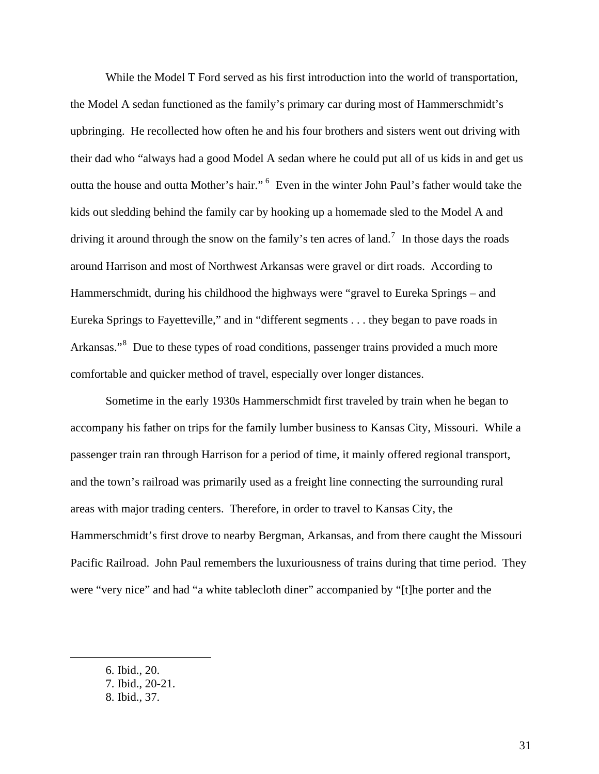While the Model T Ford served as his first introduction into the world of transportation, the Model A sedan functioned as the family's primary car during most of Hammerschmidt's upbringing. He recollected how often he and his four brothers and sisters went out driving with their dad who "always had a good Model A sedan where he could put all of us kids in and get us outta the house and outta Mother's hair." <sup>[6](#page-38-0)</sup> Even in the winter John Paul's father would take the kids out sledding behind the family car by hooking up a homemade sled to the Model A and driving it around through the snow on the family's ten acres of land.<sup>[7](#page-38-1)</sup> In those days the roads around Harrison and most of Northwest Arkansas were gravel or dirt roads. According to Hammerschmidt, during his childhood the highways were "gravel to Eureka Springs – and Eureka Springs to Fayetteville," and in "different segments . . . they began to pave roads in Arkansas."<sup>[8](#page-38-2)</sup> Due to these types of road conditions, passenger trains provided a much more comfortable and quicker method of travel, especially over longer distances.

Sometime in the early 1930s Hammerschmidt first traveled by train when he began to accompany his father on trips for the family lumber business to Kansas City, Missouri. While a passenger train ran through Harrison for a period of time, it mainly offered regional transport, and the town's railroad was primarily used as a freight line connecting the surrounding rural areas with major trading centers. Therefore, in order to travel to Kansas City, the Hammerschmidt's first drove to nearby Bergman, Arkansas, and from there caught the Missouri Pacific Railroad. John Paul remembers the luxuriousness of trains during that time period. They were "very nice" and had "a white tablecloth diner" accompanied by "[t]he porter and the

<sup>6.</sup> Ibid., 20.

<span id="page-38-2"></span><span id="page-38-1"></span><span id="page-38-0"></span><sup>7.</sup> Ibid., 20-21.

<sup>8.</sup> Ibid., 37.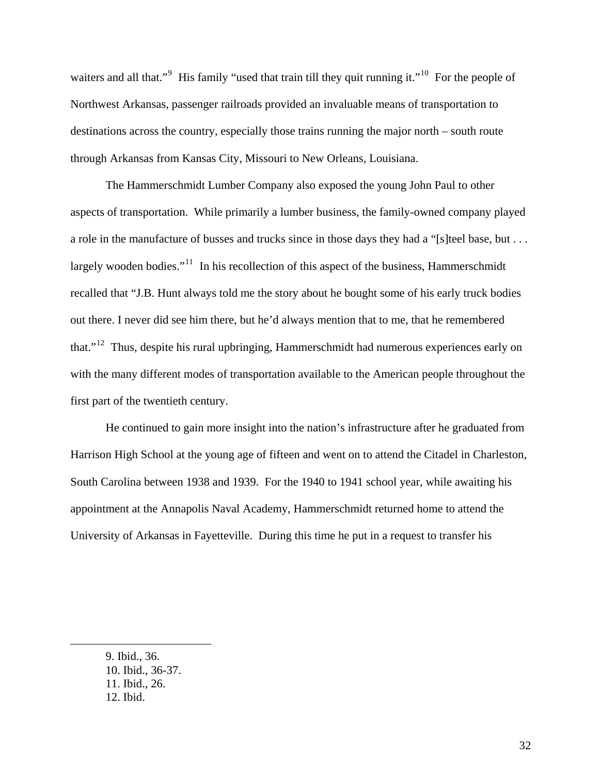waiters and all that."<sup>[9](#page-39-0)</sup> His family "used that train till they quit running it."<sup>[10](#page-39-1)</sup> For the people of Northwest Arkansas, passenger railroads provided an invaluable means of transportation to destinations across the country, especially those trains running the major north – south route through Arkansas from Kansas City, Missouri to New Orleans, Louisiana.

The Hammerschmidt Lumber Company also exposed the young John Paul to other aspects of transportation. While primarily a lumber business, the family-owned company played a role in the manufacture of busses and trucks since in those days they had a "[s]teel base, but . . . largely wooden bodies."<sup>[11](#page-39-2)</sup> In his recollection of this aspect of the business, Hammerschmidt recalled that "J.B. Hunt always told me the story about he bought some of his early truck bodies out there. I never did see him there, but he'd always mention that to me, that he remembered that."[12](#page-39-3) Thus, despite his rural upbringing, Hammerschmidt had numerous experiences early on with the many different modes of transportation available to the American people throughout the first part of the twentieth century.

He continued to gain more insight into the nation's infrastructure after he graduated from Harrison High School at the young age of fifteen and went on to attend the Citadel in Charleston, South Carolina between 1938 and 1939. For the 1940 to 1941 school year, while awaiting his appointment at the Annapolis Naval Academy, Hammerschmidt returned home to attend the University of Arkansas in Fayetteville. During this time he put in a request to transfer his

<span id="page-39-3"></span><span id="page-39-2"></span><span id="page-39-1"></span><span id="page-39-0"></span>9. Ibid., 36. 10. Ibid., 36-37. 11. Ibid., 26. 12. Ibid.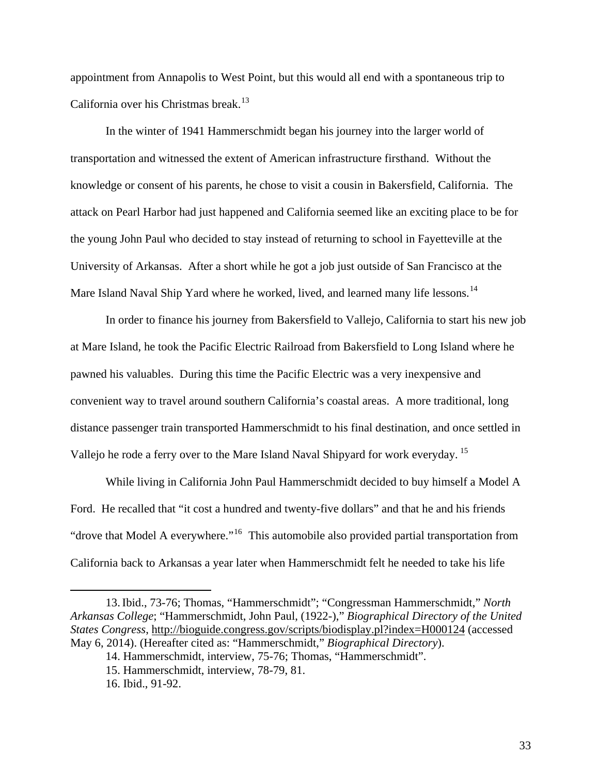appointment from Annapolis to West Point, but this would all end with a spontaneous trip to California over his Christmas break.<sup>[13](#page-40-0)</sup>

In the winter of 1941 Hammerschmidt began his journey into the larger world of transportation and witnessed the extent of American infrastructure firsthand. Without the knowledge or consent of his parents, he chose to visit a cousin in Bakersfield, California. The attack on Pearl Harbor had just happened and California seemed like an exciting place to be for the young John Paul who decided to stay instead of returning to school in Fayetteville at the University of Arkansas. After a short while he got a job just outside of San Francisco at the Mare Island Naval Ship Yard where he worked, lived, and learned many life lessons.<sup>[14](#page-40-1)</sup>

In order to finance his journey from Bakersfield to Vallejo, California to start his new job at Mare Island, he took the Pacific Electric Railroad from Bakersfield to Long Island where he pawned his valuables. During this time the Pacific Electric was a very inexpensive and convenient way to travel around southern California's coastal areas. A more traditional, long distance passenger train transported Hammerschmidt to his final destination, and once settled in Vallejo he rode a ferry over to the Mare Island Naval Shipyard for work everyday. [15](#page-40-2)

While living in California John Paul Hammerschmidt decided to buy himself a Model A Ford. He recalled that "it cost a hundred and twenty-five dollars" and that he and his friends "drove that Model A everywhere."[16](#page-40-3) This automobile also provided partial transportation from California back to Arkansas a year later when Hammerschmidt felt he needed to take his life

<span id="page-40-2"></span><span id="page-40-1"></span><span id="page-40-0"></span><sup>13.</sup>Ibid., 73-76; Thomas, "Hammerschmidt"; "Congressman Hammerschmidt," *North Arkansas College*; "Hammerschmidt, John Paul, (1922-)," *Biographical Directory of the United States Congress*,<http://bioguide.congress.gov/scripts/biodisplay.pl?index=H000124> (accessed May 6, 2014). (Hereafter cited as: "Hammerschmidt," *Biographical Directory*).

<span id="page-40-3"></span><sup>14.</sup> Hammerschmidt, interview, 75-76; Thomas, "Hammerschmidt".

<sup>15.</sup> Hammerschmidt, interview, 78-79, 81.

<sup>16.</sup> Ibid., 91-92.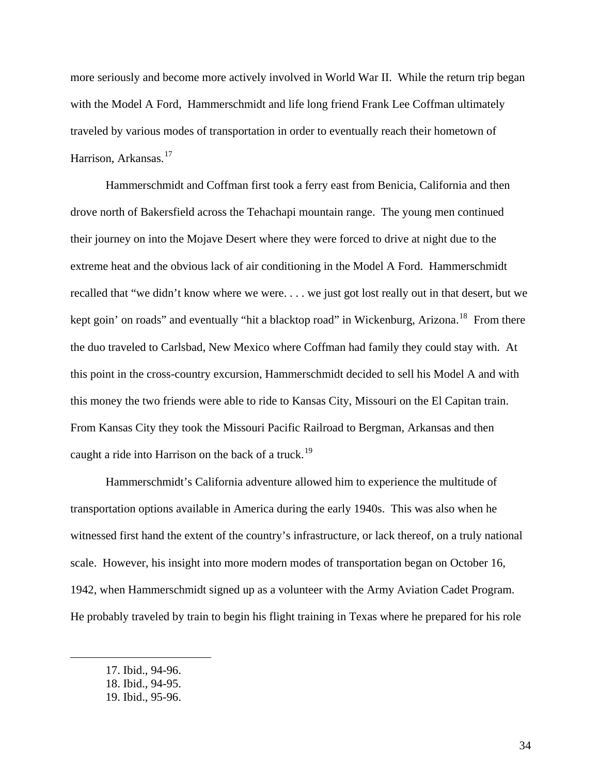more seriously and become more actively involved in World War II. While the return trip began with the Model A Ford, Hammerschmidt and life long friend Frank Lee Coffman ultimately traveled by various modes of transportation in order to eventually reach their hometown of Harrison, Arkansas.<sup>[17](#page-41-0)</sup>

Hammerschmidt and Coffman first took a ferry east from Benicia, California and then drove north of Bakersfield across the Tehachapi mountain range. The young men continued their journey on into the Mojave Desert where they were forced to drive at night due to the extreme heat and the obvious lack of air conditioning in the Model A Ford. Hammerschmidt recalled that "we didn't know where we were. . . . we just got lost really out in that desert, but we kept goin' on roads" and eventually "hit a blacktop road" in Wickenburg, Arizona.<sup>[18](#page-41-1)</sup> From there the duo traveled to Carlsbad, New Mexico where Coffman had family they could stay with. At this point in the cross-country excursion, Hammerschmidt decided to sell his Model A and with this money the two friends were able to ride to Kansas City, Missouri on the El Capitan train. From Kansas City they took the Missouri Pacific Railroad to Bergman, Arkansas and then caught a ride into Harrison on the back of a truck.<sup>[19](#page-41-2)</sup>

Hammerschmidt's California adventure allowed him to experience the multitude of transportation options available in America during the early 1940s. This was also when he witnessed first hand the extent of the country's infrastructure, or lack thereof, on a truly national scale. However, his insight into more modern modes of transportation began on October 16, 1942, when Hammerschmidt signed up as a volunteer with the Army Aviation Cadet Program. He probably traveled by train to begin his flight training in Texas where he prepared for his role

<span id="page-41-0"></span><sup>17.</sup> Ibid., 94-96.

<span id="page-41-1"></span><sup>18.</sup> Ibid., 94-95.

<span id="page-41-2"></span><sup>19.</sup> Ibid., 95-96.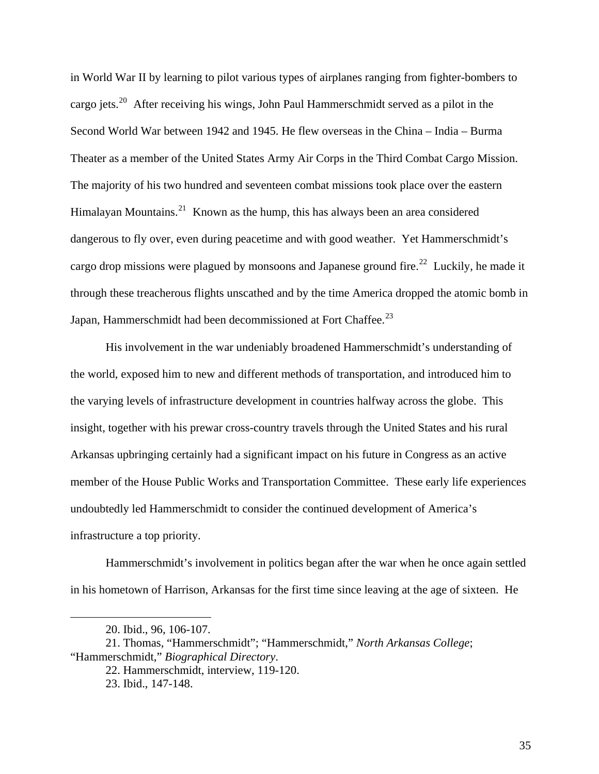in World War II by learning to pilot various types of airplanes ranging from fighter-bombers to cargo jets.<sup>[20](#page-42-0)</sup> After receiving his wings, John Paul Hammerschmidt served as a pilot in the Second World War between 1942 and 1945. He flew overseas in the China – India – Burma Theater as a member of the United States Army Air Corps in the Third Combat Cargo Mission. The majority of his two hundred and seventeen combat missions took place over the eastern Himalayan Mountains.<sup>[21](#page-42-1)</sup> Known as the hump, this has always been an area considered dangerous to fly over, even during peacetime and with good weather. Yet Hammerschmidt's cargo drop missions were plagued by monsoons and Japanese ground fire.<sup>[22](#page-42-2)</sup> Luckily, he made it through these treacherous flights unscathed and by the time America dropped the atomic bomb in Japan, Hammerschmidt had been decommissioned at Fort Chaffee.<sup>[23](#page-42-3)</sup>

His involvement in the war undeniably broadened Hammerschmidt's understanding of the world, exposed him to new and different methods of transportation, and introduced him to the varying levels of infrastructure development in countries halfway across the globe. This insight, together with his prewar cross-country travels through the United States and his rural Arkansas upbringing certainly had a significant impact on his future in Congress as an active member of the House Public Works and Transportation Committee. These early life experiences undoubtedly led Hammerschmidt to consider the continued development of America's infrastructure a top priority.

Hammerschmidt's involvement in politics began after the war when he once again settled in his hometown of Harrison, Arkansas for the first time since leaving at the age of sixteen. He

<sup>20.</sup> Ibid., 96, 106-107.

<span id="page-42-3"></span><span id="page-42-2"></span><span id="page-42-1"></span><span id="page-42-0"></span><sup>21.</sup> Thomas, "Hammerschmidt"; "Hammerschmidt," *North Arkansas College*; "Hammerschmidt," *Biographical Directory*.

<sup>22.</sup> Hammerschmidt, interview, 119-120.

<sup>23.</sup> Ibid., 147-148.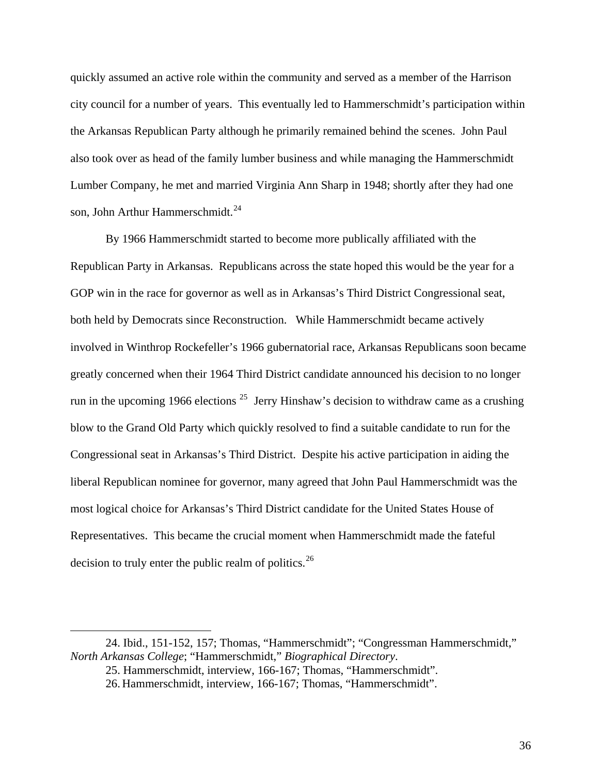quickly assumed an active role within the community and served as a member of the Harrison city council for a number of years. This eventually led to Hammerschmidt's participation within the Arkansas Republican Party although he primarily remained behind the scenes. John Paul also took over as head of the family lumber business and while managing the Hammerschmidt Lumber Company, he met and married Virginia Ann Sharp in 1948; shortly after they had one son, John Arthur Hammerschmidt.<sup>[24](#page-43-0)</sup>

By 1966 Hammerschmidt started to become more publically affiliated with the Republican Party in Arkansas. Republicans across the state hoped this would be the year for a GOP win in the race for governor as well as in Arkansas's Third District Congressional seat, both held by Democrats since Reconstruction. While Hammerschmidt became actively involved in Winthrop Rockefeller's 1966 gubernatorial race, Arkansas Republicans soon became greatly concerned when their 1964 Third District candidate announced his decision to no longer run in the upcoming 1966 elections  $25$  Jerry Hinshaw's decision to withdraw came as a crushing blow to the Grand Old Party which quickly resolved to find a suitable candidate to run for the Congressional seat in Arkansas's Third District. Despite his active participation in aiding the liberal Republican nominee for governor, many agreed that John Paul Hammerschmidt was the most logical choice for Arkansas's Third District candidate for the United States House of Representatives. This became the crucial moment when Hammerschmidt made the fateful decision to truly enter the public realm of politics.<sup>[26](#page-43-2)</sup>

<span id="page-43-2"></span><span id="page-43-1"></span><span id="page-43-0"></span><sup>24.</sup> Ibid., 151-152, 157; Thomas, "Hammerschmidt"; "Congressman Hammerschmidt," *North Arkansas College*; "Hammerschmidt," *Biographical Directory*.

<sup>25.</sup> Hammerschmidt, interview, 166-167; Thomas, "Hammerschmidt".

<sup>26.</sup> Hammerschmidt, interview, 166-167; Thomas, "Hammerschmidt".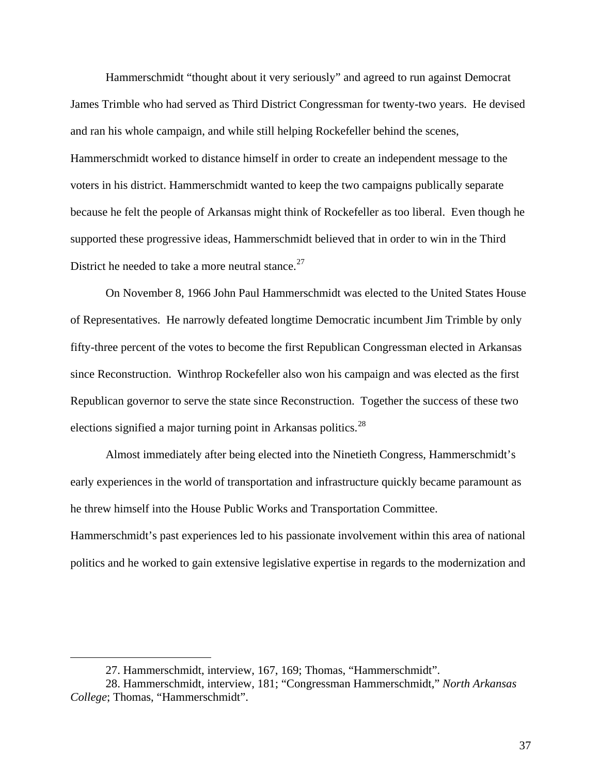Hammerschmidt "thought about it very seriously" and agreed to run against Democrat James Trimble who had served as Third District Congressman for twenty-two years. He devised and ran his whole campaign, and while still helping Rockefeller behind the scenes, Hammerschmidt worked to distance himself in order to create an independent message to the voters in his district. Hammerschmidt wanted to keep the two campaigns publically separate because he felt the people of Arkansas might think of Rockefeller as too liberal. Even though he supported these progressive ideas, Hammerschmidt believed that in order to win in the Third District he needed to take a more neutral stance. $27$ 

On November 8, 1966 John Paul Hammerschmidt was elected to the United States House of Representatives. He narrowly defeated longtime Democratic incumbent Jim Trimble by only fifty-three percent of the votes to become the first Republican Congressman elected in Arkansas since Reconstruction. Winthrop Rockefeller also won his campaign and was elected as the first Republican governor to serve the state since Reconstruction. Together the success of these two elections signified a major turning point in Arkansas politics.<sup>[28](#page-44-1)</sup>

Almost immediately after being elected into the Ninetieth Congress, Hammerschmidt's early experiences in the world of transportation and infrastructure quickly became paramount as he threw himself into the House Public Works and Transportation Committee.

Hammerschmidt's past experiences led to his passionate involvement within this area of national politics and he worked to gain extensive legislative expertise in regards to the modernization and

<sup>27.</sup> Hammerschmidt, interview, 167, 169; Thomas, "Hammerschmidt".

<span id="page-44-1"></span><span id="page-44-0"></span><sup>28.</sup> Hammerschmidt, interview, 181; "Congressman Hammerschmidt," *North Arkansas College*; Thomas, "Hammerschmidt".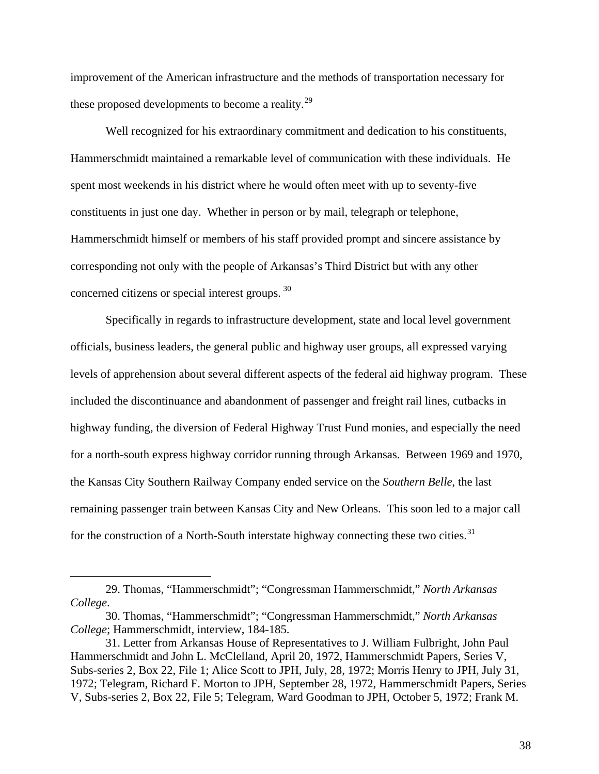improvement of the American infrastructure and the methods of transportation necessary for these proposed developments to become a reality.<sup>[29](#page-45-0)</sup>

Well recognized for his extraordinary commitment and dedication to his constituents, Hammerschmidt maintained a remarkable level of communication with these individuals. He spent most weekends in his district where he would often meet with up to seventy-five constituents in just one day. Whether in person or by mail, telegraph or telephone, Hammerschmidt himself or members of his staff provided prompt and sincere assistance by corresponding not only with the people of Arkansas's Third District but with any other concerned citizens or special interest groups. [30](#page-45-1)

Specifically in regards to infrastructure development, state and local level government officials, business leaders, the general public and highway user groups, all expressed varying levels of apprehension about several different aspects of the federal aid highway program. These included the discontinuance and abandonment of passenger and freight rail lines, cutbacks in highway funding, the diversion of Federal Highway Trust Fund monies, and especially the need for a north-south express highway corridor running through Arkansas. Between 1969 and 1970, the Kansas City Southern Railway Company ended service on the *Southern Belle*, the last remaining passenger train between Kansas City and New Orleans. This soon led to a major call for the construction of a North-South interstate highway connecting these two cities. $31$ 

<span id="page-45-0"></span><sup>29.</sup> Thomas, "Hammerschmidt"; "Congressman Hammerschmidt," *North Arkansas College*.

<span id="page-45-1"></span><sup>30.</sup> Thomas, "Hammerschmidt"; "Congressman Hammerschmidt," *North Arkansas College*; Hammerschmidt, interview, 184-185.

<span id="page-45-2"></span><sup>31.</sup> Letter from Arkansas House of Representatives to J. William Fulbright, John Paul Hammerschmidt and John L. McClelland, April 20, 1972, Hammerschmidt Papers, Series V, Subs-series 2, Box 22, File 1; Alice Scott to JPH, July, 28, 1972; Morris Henry to JPH, July 31, 1972; Telegram, Richard F. Morton to JPH, September 28, 1972, Hammerschmidt Papers, Series V, Subs-series 2, Box 22, File 5; Telegram, Ward Goodman to JPH, October 5, 1972; Frank M.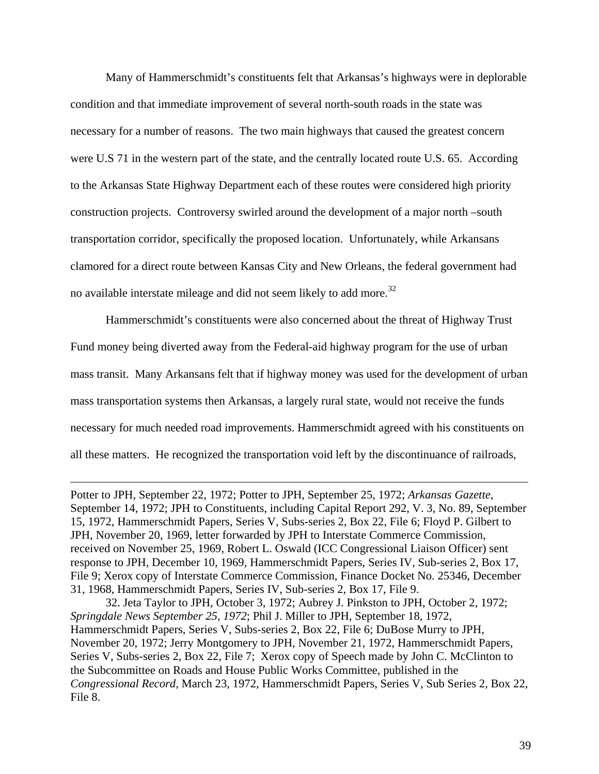Many of Hammerschmidt's constituents felt that Arkansas's highways were in deplorable condition and that immediate improvement of several north-south roads in the state was necessary for a number of reasons. The two main highways that caused the greatest concern were U.S 71 in the western part of the state, and the centrally located route U.S. 65. According to the Arkansas State Highway Department each of these routes were considered high priority construction projects. Controversy swirled around the development of a major north –south transportation corridor, specifically the proposed location. Unfortunately, while Arkansans clamored for a direct route between Kansas City and New Orleans, the federal government had no available interstate mileage and did not seem likely to add more.<sup>[32](#page-46-0)</sup>

Hammerschmidt's constituents were also concerned about the threat of Highway Trust Fund money being diverted away from the Federal-aid highway program for the use of urban mass transit. Many Arkansans felt that if highway money was used for the development of urban mass transportation systems then Arkansas, a largely rural state, would not receive the funds necessary for much needed road improvements. Hammerschmidt agreed with his constituents on all these matters. He recognized the transportation void left by the discontinuance of railroads,

Potter to JPH, September 22, 1972; Potter to JPH, September 25, 1972; *Arkansas Gazette*, September 14, 1972; JPH to Constituents, including Capital Report 292, V. 3, No. 89, September 15, 1972, Hammerschmidt Papers, Series V, Subs-series 2, Box 22, File 6; Floyd P. Gilbert to JPH, November 20, 1969, letter forwarded by JPH to Interstate Commerce Commission, received on November 25, 1969, Robert L. Oswald (ICC Congressional Liaison Officer) sent response to JPH, December 10, 1969, Hammerschmidt Papers, Series IV, Sub-series 2, Box 17, File 9; Xerox copy of Interstate Commerce Commission, Finance Docket No. 25346, December 31, 1968, Hammerschmidt Papers, Series IV, Sub-series 2, Box 17, File 9.

 $\overline{a}$ 

<span id="page-46-0"></span>32. Jeta Taylor to JPH, October 3, 1972; Aubrey J. Pinkston to JPH, October 2, 1972; *Springdale News September 25, 1972*; Phil J. Miller to JPH, September 18, 1972, Hammerschmidt Papers, Series V, Subs-series 2, Box 22, File 6; DuBose Murry to JPH, November 20, 1972; Jerry Montgomery to JPH, November 21, 1972, Hammerschmidt Papers, Series V, Subs-series 2, Box 22, File 7; Xerox copy of Speech made by John C. McClinton to the Subcommittee on Roads and House Public Works Committee, published in the *Congressional Record*, March 23, 1972, Hammerschmidt Papers, Series V, Sub Series 2, Box 22, File 8.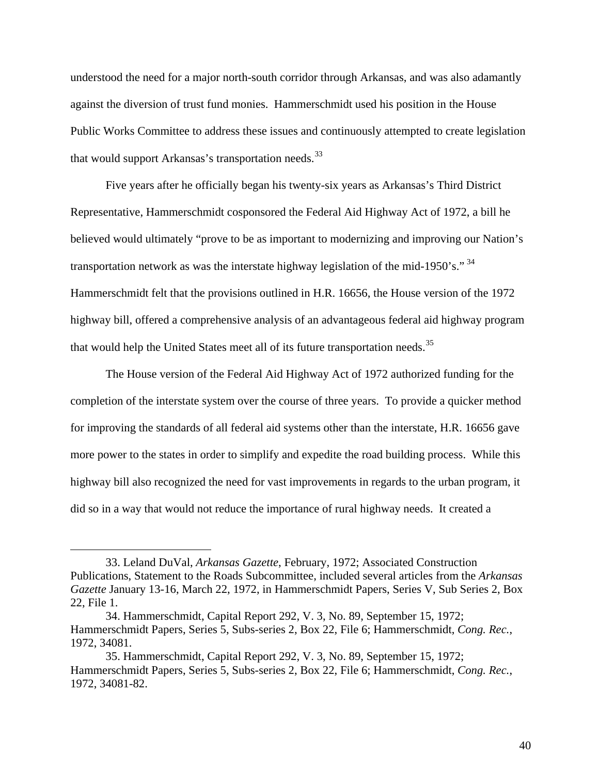understood the need for a major north-south corridor through Arkansas, and was also adamantly against the diversion of trust fund monies. Hammerschmidt used his position in the House Public Works Committee to address these issues and continuously attempted to create legislation that would support Arkansas's transportation needs.<sup>[33](#page-47-0)</sup>

Five years after he officially began his twenty-six years as Arkansas's Third District Representative, Hammerschmidt cosponsored the Federal Aid Highway Act of 1972, a bill he believed would ultimately "prove to be as important to modernizing and improving our Nation's transportation network as was the interstate highway legislation of the mid-1950's." <sup>[34](#page-47-1)</sup> Hammerschmidt felt that the provisions outlined in H.R. 16656, the House version of the 1972 highway bill, offered a comprehensive analysis of an advantageous federal aid highway program that would help the United States meet all of its future transportation needs.<sup>[35](#page-47-2)</sup>

The House version of the Federal Aid Highway Act of 1972 authorized funding for the completion of the interstate system over the course of three years. To provide a quicker method for improving the standards of all federal aid systems other than the interstate, H.R. 16656 gave more power to the states in order to simplify and expedite the road building process. While this highway bill also recognized the need for vast improvements in regards to the urban program, it did so in a way that would not reduce the importance of rural highway needs. It created a

<span id="page-47-0"></span><sup>33.</sup> Leland DuVal, *Arkansas Gazette*, February, 1972; Associated Construction Publications, Statement to the Roads Subcommittee, included several articles from the *Arkansas Gazette* January 13-16, March 22, 1972, in Hammerschmidt Papers, Series V, Sub Series 2, Box 22, File 1.

<span id="page-47-1"></span><sup>34.</sup> Hammerschmidt, Capital Report 292, V. 3, No. 89, September 15, 1972; Hammerschmidt Papers, Series 5, Subs-series 2, Box 22, File 6; Hammerschmidt, *Cong. Rec.*, 1972, 34081.

<span id="page-47-2"></span><sup>35.</sup> Hammerschmidt, Capital Report 292, V. 3, No. 89, September 15, 1972; Hammerschmidt Papers, Series 5, Subs-series 2, Box 22, File 6; Hammerschmidt, *Cong. Rec.*, 1972, 34081-82.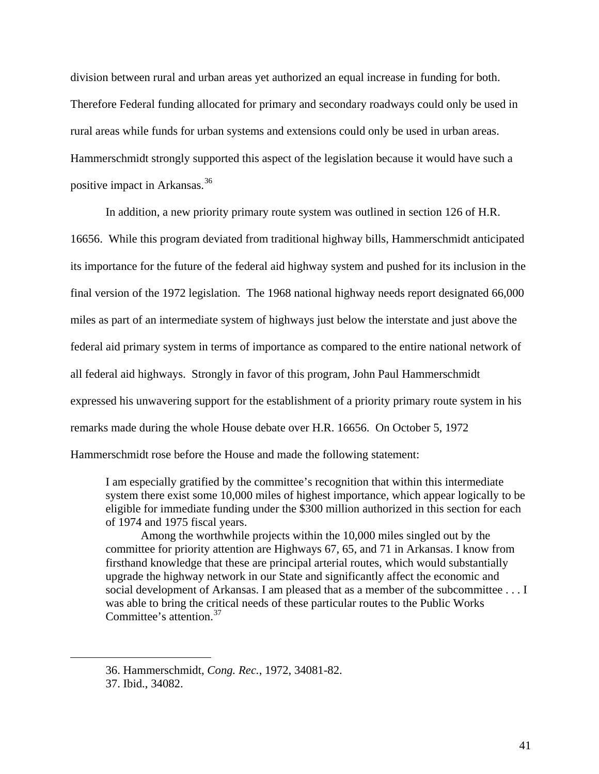division between rural and urban areas yet authorized an equal increase in funding for both. Therefore Federal funding allocated for primary and secondary roadways could only be used in rural areas while funds for urban systems and extensions could only be used in urban areas. Hammerschmidt strongly supported this aspect of the legislation because it would have such a positive impact in Arkansas.[36](#page-48-0)

In addition, a new priority primary route system was outlined in section 126 of H.R. 16656. While this program deviated from traditional highway bills, Hammerschmidt anticipated its importance for the future of the federal aid highway system and pushed for its inclusion in the final version of the 1972 legislation. The 1968 national highway needs report designated 66,000 miles as part of an intermediate system of highways just below the interstate and just above the federal aid primary system in terms of importance as compared to the entire national network of all federal aid highways. Strongly in favor of this program, John Paul Hammerschmidt expressed his unwavering support for the establishment of a priority primary route system in his remarks made during the whole House debate over H.R. 16656. On October 5, 1972 Hammerschmidt rose before the House and made the following statement:

I am especially gratified by the committee's recognition that within this intermediate system there exist some 10,000 miles of highest importance, which appear logically to be eligible for immediate funding under the \$300 million authorized in this section for each of 1974 and 1975 fiscal years.

Among the worthwhile projects within the 10,000 miles singled out by the committee for priority attention are Highways 67, 65, and 71 in Arkansas. I know from firsthand knowledge that these are principal arterial routes, which would substantially upgrade the highway network in our State and significantly affect the economic and social development of Arkansas. I am pleased that as a member of the subcommittee . . . I was able to bring the critical needs of these particular routes to the Public Works Committee's attention.[37](#page-48-1)

<span id="page-48-0"></span><sup>36.</sup> Hammerschmidt, *Cong. Rec.*, 1972, 34081-82.

<span id="page-48-1"></span><sup>37.</sup> Ibid., 34082.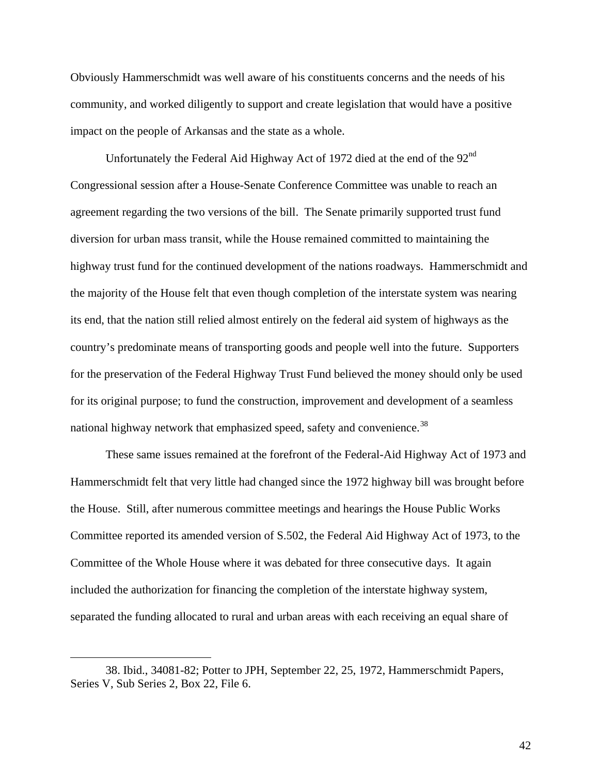Obviously Hammerschmidt was well aware of his constituents concerns and the needs of his community, and worked diligently to support and create legislation that would have a positive impact on the people of Arkansas and the state as a whole.

Unfortunately the Federal Aid Highway Act of 1972 died at the end of the 92<sup>nd</sup> Congressional session after a House-Senate Conference Committee was unable to reach an agreement regarding the two versions of the bill. The Senate primarily supported trust fund diversion for urban mass transit, while the House remained committed to maintaining the highway trust fund for the continued development of the nations roadways. Hammerschmidt and the majority of the House felt that even though completion of the interstate system was nearing its end, that the nation still relied almost entirely on the federal aid system of highways as the country's predominate means of transporting goods and people well into the future. Supporters for the preservation of the Federal Highway Trust Fund believed the money should only be used for its original purpose; to fund the construction, improvement and development of a seamless national highway network that emphasized speed, safety and convenience.<sup>[38](#page-49-0)</sup>

These same issues remained at the forefront of the Federal-Aid Highway Act of 1973 and Hammerschmidt felt that very little had changed since the 1972 highway bill was brought before the House. Still, after numerous committee meetings and hearings the House Public Works Committee reported its amended version of S.502, the Federal Aid Highway Act of 1973, to the Committee of the Whole House where it was debated for three consecutive days. It again included the authorization for financing the completion of the interstate highway system, separated the funding allocated to rural and urban areas with each receiving an equal share of

<span id="page-49-0"></span><sup>38.</sup> Ibid., 34081-82; Potter to JPH, September 22, 25, 1972, Hammerschmidt Papers, Series V, Sub Series 2, Box 22, File 6.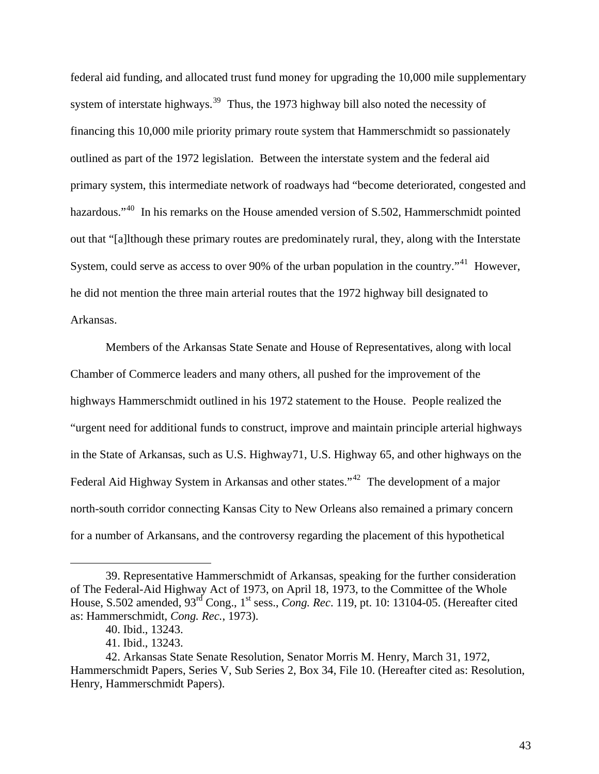federal aid funding, and allocated trust fund money for upgrading the 10,000 mile supplementary system of interstate highways.<sup>[39](#page-50-0)</sup> Thus, the 1973 highway bill also noted the necessity of financing this 10,000 mile priority primary route system that Hammerschmidt so passionately outlined as part of the 1972 legislation. Between the interstate system and the federal aid primary system, this intermediate network of roadways had "become deteriorated, congested and hazardous."<sup>[40](#page-50-1)</sup> In his remarks on the House amended version of S.502, Hammerschmidt pointed out that "[a]lthough these primary routes are predominately rural, they, along with the Interstate System, could serve as access to over 90% of the urban population in the country.<sup>"[41](#page-50-2)</sup> However, he did not mention the three main arterial routes that the 1972 highway bill designated to Arkansas.

Members of the Arkansas State Senate and House of Representatives, along with local Chamber of Commerce leaders and many others, all pushed for the improvement of the highways Hammerschmidt outlined in his 1972 statement to the House. People realized the "urgent need for additional funds to construct, improve and maintain principle arterial highways in the State of Arkansas, such as U.S. Highway71, U.S. Highway 65, and other highways on the Federal Aid Highway System in Arkansas and other states."<sup>[42](#page-50-3)</sup> The development of a major north-south corridor connecting Kansas City to New Orleans also remained a primary concern for a number of Arkansans, and the controversy regarding the placement of this hypothetical

<span id="page-50-0"></span><sup>39.</sup> Representative Hammerschmidt of Arkansas, speaking for the further consideration of The Federal-Aid Highway Act of 1973, on April 18, 1973, to the Committee of the Whole House, S.502 amended, 93<sup>rd</sup> Cong., 1<sup>st</sup> sess., *Cong. Rec.* 119, pt. 10: 13104-05. (Hereafter cited as: Hammerschmidt, *Cong. Rec.*, 1973).

<sup>40.</sup> Ibid., 13243.

<sup>41.</sup> Ibid., 13243.

<span id="page-50-3"></span><span id="page-50-2"></span><span id="page-50-1"></span><sup>42.</sup> Arkansas State Senate Resolution, Senator Morris M. Henry, March 31, 1972, Hammerschmidt Papers, Series V, Sub Series 2, Box 34, File 10. (Hereafter cited as: Resolution, Henry, Hammerschmidt Papers).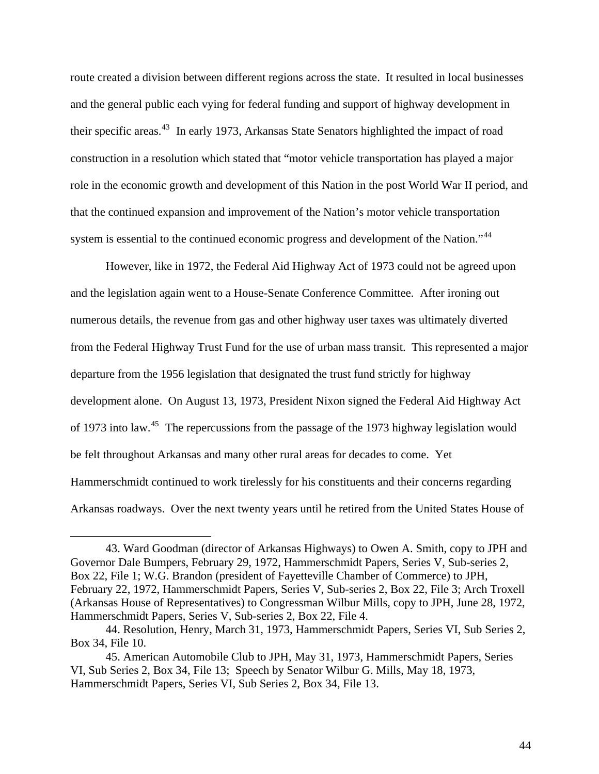route created a division between different regions across the state. It resulted in local businesses and the general public each vying for federal funding and support of highway development in their specific areas.<sup>[43](#page-51-0)</sup> In early 1973, Arkansas State Senators highlighted the impact of road construction in a resolution which stated that "motor vehicle transportation has played a major role in the economic growth and development of this Nation in the post World War II period, and that the continued expansion and improvement of the Nation's motor vehicle transportation system is essential to the continued economic progress and development of the Nation."[44](#page-51-1)

However, like in 1972, the Federal Aid Highway Act of 1973 could not be agreed upon and the legislation again went to a House-Senate Conference Committee. After ironing out numerous details, the revenue from gas and other highway user taxes was ultimately diverted from the Federal Highway Trust Fund for the use of urban mass transit. This represented a major departure from the 1956 legislation that designated the trust fund strictly for highway development alone. On August 13, 1973, President Nixon signed the Federal Aid Highway Act of 1973 into law.<sup>[45](#page-51-2)</sup> The repercussions from the passage of the 1973 highway legislation would be felt throughout Arkansas and many other rural areas for decades to come. Yet Hammerschmidt continued to work tirelessly for his constituents and their concerns regarding Arkansas roadways. Over the next twenty years until he retired from the United States House of

<span id="page-51-0"></span><sup>43.</sup> Ward Goodman (director of Arkansas Highways) to Owen A. Smith, copy to JPH and Governor Dale Bumpers, February 29, 1972, Hammerschmidt Papers, Series V, Sub-series 2, Box 22, File 1; W.G. Brandon (president of Fayetteville Chamber of Commerce) to JPH, February 22, 1972, Hammerschmidt Papers, Series V, Sub-series 2, Box 22, File 3; Arch Troxell (Arkansas House of Representatives) to Congressman Wilbur Mills, copy to JPH, June 28, 1972, Hammerschmidt Papers, Series V, Sub-series 2, Box 22, File 4.

<span id="page-51-1"></span><sup>44.</sup> Resolution, Henry, March 31, 1973, Hammerschmidt Papers, Series VI, Sub Series 2, Box 34, File 10.

<span id="page-51-2"></span><sup>45.</sup> American Automobile Club to JPH, May 31, 1973, Hammerschmidt Papers, Series VI, Sub Series 2, Box 34, File 13; Speech by Senator Wilbur G. Mills, May 18, 1973, Hammerschmidt Papers, Series VI, Sub Series 2, Box 34, File 13.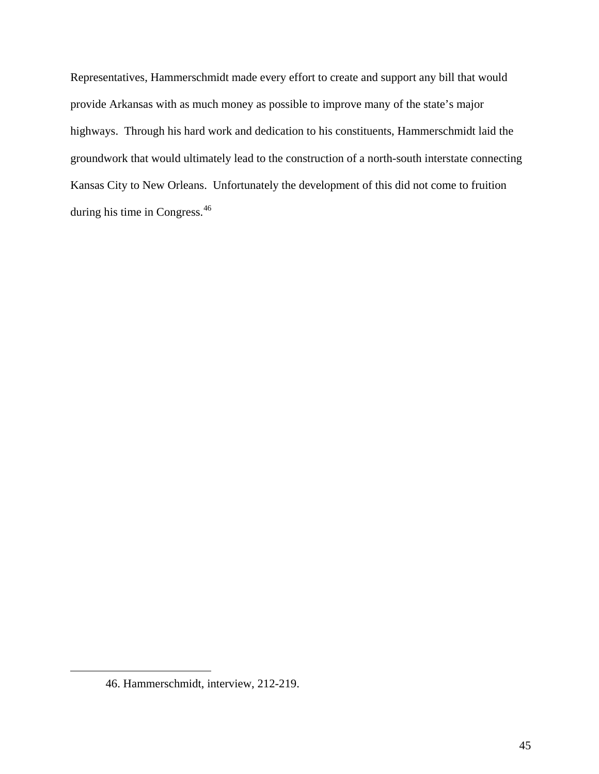Representatives, Hammerschmidt made every effort to create and support any bill that would provide Arkansas with as much money as possible to improve many of the state's major highways. Through his hard work and dedication to his constituents, Hammerschmidt laid the groundwork that would ultimately lead to the construction of a north-south interstate connecting Kansas City to New Orleans. Unfortunately the development of this did not come to fruition during his time in Congress.<sup>[46](#page-52-0)</sup>

<span id="page-52-0"></span><sup>46.</sup> Hammerschmidt, interview, 212-219.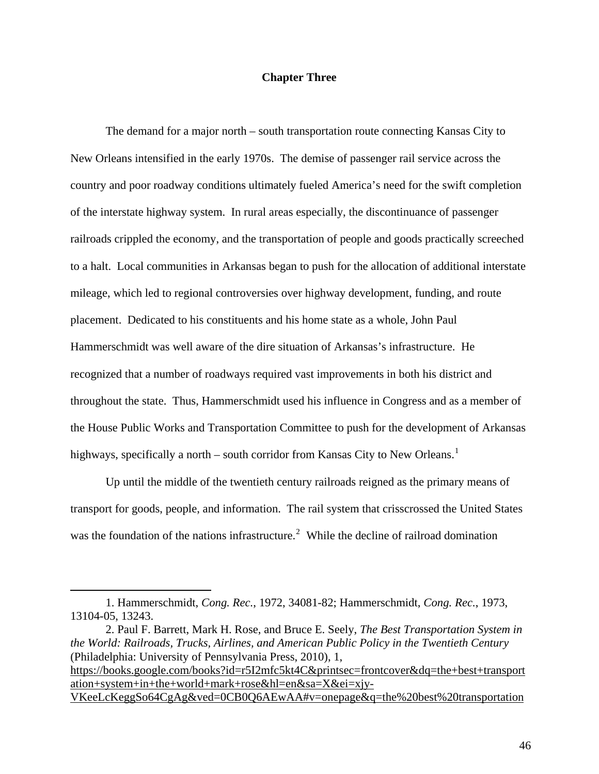## **Chapter Three**

The demand for a major north – south transportation route connecting Kansas City to New Orleans intensified in the early 1970s. The demise of passenger rail service across the country and poor roadway conditions ultimately fueled America's need for the swift completion of the interstate highway system. In rural areas especially, the discontinuance of passenger railroads crippled the economy, and the transportation of people and goods practically screeched to a halt. Local communities in Arkansas began to push for the allocation of additional interstate mileage, which led to regional controversies over highway development, funding, and route placement. Dedicated to his constituents and his home state as a whole, John Paul Hammerschmidt was well aware of the dire situation of Arkansas's infrastructure. He recognized that a number of roadways required vast improvements in both his district and throughout the state. Thus, Hammerschmidt used his influence in Congress and as a member of the House Public Works and Transportation Committee to push for the development of Arkansas highways, specifically a north – south corridor from Kansas City to New Orleans.<sup>[1](#page-53-0)</sup>

 Up until the middle of the twentieth century railroads reigned as the primary means of transport for goods, people, and information. The rail system that crisscrossed the United States was the foundation of the nations infrastructure.<sup>[2](#page-53-1)</sup> While the decline of railroad domination

1

<span id="page-53-1"></span>2. Paul F. Barrett, Mark H. Rose, and Bruce E. Seely, *The Best Transportation System in the World: Railroads, Trucks, Airlines, and American Public Policy in the Twentieth Century* (Philadelphia: University of Pennsylvania Press, 2010), 1, [https://books.google.com/books?id=r5I2mfc5kt4C&printsec=frontcover&dq=the+best+transport](https://books.google.com/books?id=r5I2mfc5kt4C&printsec=frontcover&dq=the+best+transportation+system+in+the+world+mark+rose&hl=en&sa=X&ei=xjy-VKeeLcKeggSo64CgAg&ved=0CB0Q6AEwAA#v=onepage&q=the%20best%20transportation%20system%20in%20the%20world%20mark%20rose&f=false) [ation+system+in+the+world+mark+rose&hl=en&sa=X&ei=xjy-](https://books.google.com/books?id=r5I2mfc5kt4C&printsec=frontcover&dq=the+best+transportation+system+in+the+world+mark+rose&hl=en&sa=X&ei=xjy-VKeeLcKeggSo64CgAg&ved=0CB0Q6AEwAA#v=onepage&q=the%20best%20transportation%20system%20in%20the%20world%20mark%20rose&f=false)[VKeeLcKeggSo64CgAg&ved=0CB0Q6AEwAA#v=onepage&q=the%20best%20transportation](https://books.google.com/books?id=r5I2mfc5kt4C&printsec=frontcover&dq=the+best+transportation+system+in+the+world+mark+rose&hl=en&sa=X&ei=xjy-VKeeLcKeggSo64CgAg&ved=0CB0Q6AEwAA#v=onepage&q=the%20best%20transportation%20system%20in%20the%20world%20mark%20rose&f=false)

<span id="page-53-0"></span><sup>1.</sup> Hammerschmidt, *Cong. Rec.*, 1972, 34081-82; Hammerschmidt, *Cong. Rec.*, 1973, 13104-05, 13243.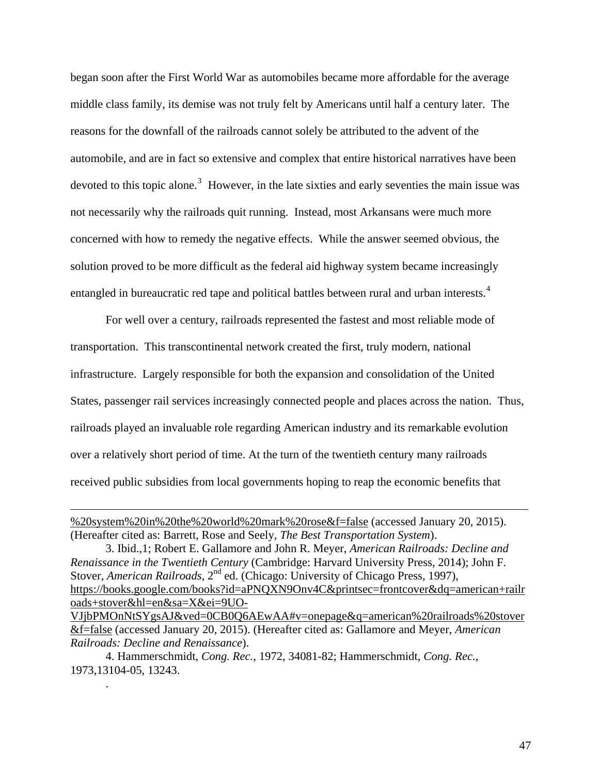began soon after the First World War as automobiles became more affordable for the average middle class family, its demise was not truly felt by Americans until half a century later. The reasons for the downfall of the railroads cannot solely be attributed to the advent of the automobile, and are in fact so extensive and complex that entire historical narratives have been devoted to this topic alone.<sup>[3](#page-54-0)</sup> However, in the late sixties and early seventies the main issue was not necessarily why the railroads quit running. Instead, most Arkansans were much more concerned with how to remedy the negative effects. While the answer seemed obvious, the solution proved to be more difficult as the federal aid highway system became increasingly entangled in bureaucratic red tape and political battles between rural and urban interests.<sup>[4](#page-54-1)</sup>

 For well over a century, railroads represented the fastest and most reliable mode of transportation. This transcontinental network created the first, truly modern, national infrastructure. Largely responsible for both the expansion and consolidation of the United States, passenger rail services increasingly connected people and places across the nation. Thus, railroads played an invaluable role regarding American industry and its remarkable evolution over a relatively short period of time. At the turn of the twentieth century many railroads received public subsidies from local governments hoping to reap the economic benefits that

 $\overline{a}$ 

.

<span id="page-54-1"></span>4. Hammerschmidt, *Cong. Rec.*, 1972, 34081-82; Hammerschmidt, *Cong. Rec.*, 1973,13104-05, 13243.

[<sup>%20</sup>system%20in%20the%20world%20mark%20rose&f=false](https://books.google.com/books?id=r5I2mfc5kt4C&printsec=frontcover&dq=the+best+transportation+system+in+the+world+mark+rose&hl=en&sa=X&ei=xjy-VKeeLcKeggSo64CgAg&ved=0CB0Q6AEwAA#v=onepage&q=the%20best%20transportation%20system%20in%20the%20world%20mark%20rose&f=false) (accessed January 20, 2015). (Hereafter cited as: Barrett, Rose and Seely, *The Best Transportation System*).

<span id="page-54-0"></span><sup>3.</sup> Ibid.,1; Robert E. Gallamore and John R. Meyer, *American Railroads: Decline and Renaissance in the Twentieth Century* (Cambridge: Harvard University Press, 2014); John F. Stover, *American Railroads*, 2<sup>nd</sup> ed. (Chicago: University of Chicago Press, 1997), [https://books.google.com/books?id=aPNQXN9Onv4C&printsec=frontcover&dq=american+railr](https://books.google.com/books?id=aPNQXN9Onv4C&printsec=frontcover&dq=american+railroads+stover&hl=en&sa=X&ei=9UO-VJjbPMOnNtSYgsAJ&ved=0CB0Q6AEwAA#v=onepage&q=american%20railroads%20stover&f=false) [oads+stover&hl=en&sa=X&ei=9UO-](https://books.google.com/books?id=aPNQXN9Onv4C&printsec=frontcover&dq=american+railroads+stover&hl=en&sa=X&ei=9UO-VJjbPMOnNtSYgsAJ&ved=0CB0Q6AEwAA#v=onepage&q=american%20railroads%20stover&f=false)

[VJjbPMOnNtSYgsAJ&ved=0CB0Q6AEwAA#v=onepage&q=american%20railroads%20stover](https://books.google.com/books?id=aPNQXN9Onv4C&printsec=frontcover&dq=american+railroads+stover&hl=en&sa=X&ei=9UO-VJjbPMOnNtSYgsAJ&ved=0CB0Q6AEwAA#v=onepage&q=american%20railroads%20stover&f=false) [&f=false](https://books.google.com/books?id=aPNQXN9Onv4C&printsec=frontcover&dq=american+railroads+stover&hl=en&sa=X&ei=9UO-VJjbPMOnNtSYgsAJ&ved=0CB0Q6AEwAA#v=onepage&q=american%20railroads%20stover&f=false) (accessed January 20, 2015). (Hereafter cited as: Gallamore and Meyer, *American Railroads: Decline and Renaissance*).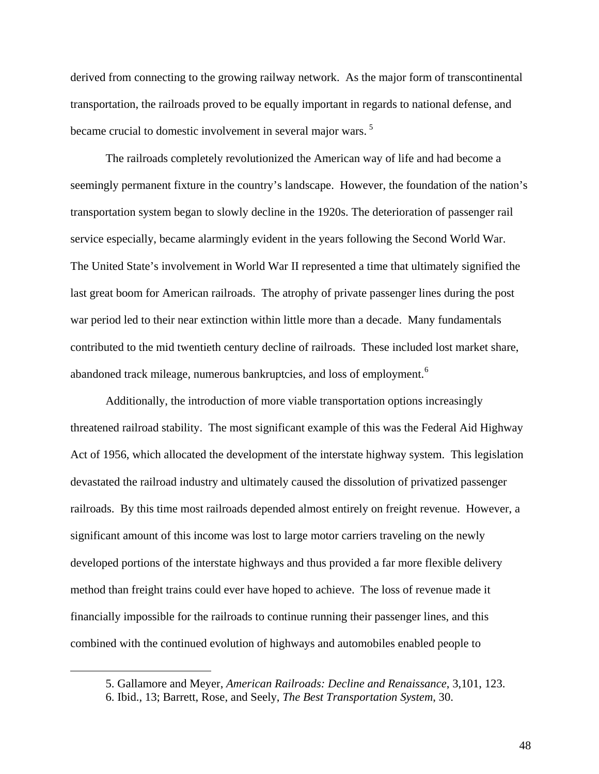derived from connecting to the growing railway network. As the major form of transcontinental transportation, the railroads proved to be equally important in regards to national defense, and became crucial to domestic involvement in several major wars.<sup>[5](#page-55-0)</sup>

The railroads completely revolutionized the American way of life and had become a seemingly permanent fixture in the country's landscape. However, the foundation of the nation's transportation system began to slowly decline in the 1920s. The deterioration of passenger rail service especially, became alarmingly evident in the years following the Second World War. The United State's involvement in World War II represented a time that ultimately signified the last great boom for American railroads. The atrophy of private passenger lines during the post war period led to their near extinction within little more than a decade. Many fundamentals contributed to the mid twentieth century decline of railroads. These included lost market share, abandoned track mileage, numerous bankruptcies, and loss of employment.<sup>[6](#page-55-1)</sup>

Additionally, the introduction of more viable transportation options increasingly threatened railroad stability. The most significant example of this was the Federal Aid Highway Act of 1956, which allocated the development of the interstate highway system. This legislation devastated the railroad industry and ultimately caused the dissolution of privatized passenger railroads. By this time most railroads depended almost entirely on freight revenue. However, a significant amount of this income was lost to large motor carriers traveling on the newly developed portions of the interstate highways and thus provided a far more flexible delivery method than freight trains could ever have hoped to achieve. The loss of revenue made it financially impossible for the railroads to continue running their passenger lines, and this combined with the continued evolution of highways and automobiles enabled people to

<span id="page-55-1"></span><span id="page-55-0"></span> $\overline{a}$ 

<sup>5.</sup> Gallamore and Meyer, *American Railroads: Decline and Renaissance*, 3,101, 123.

<sup>6.</sup> Ibid., 13; Barrett, Rose, and Seely, *The Best Transportation System*, 30.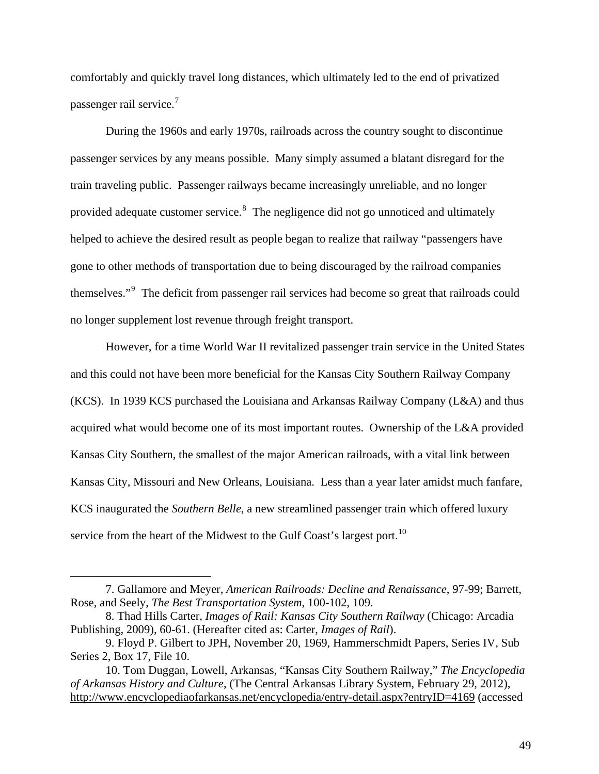comfortably and quickly travel long distances, which ultimately led to the end of privatized passenger rail service.<sup>[7](#page-56-0)</sup>

During the 1960s and early 1970s, railroads across the country sought to discontinue passenger services by any means possible. Many simply assumed a blatant disregard for the train traveling public. Passenger railways became increasingly unreliable, and no longer provided adequate customer service.<sup>[8](#page-56-1)</sup> The negligence did not go unnoticed and ultimately helped to achieve the desired result as people began to realize that railway "passengers have gone to other methods of transportation due to being discouraged by the railroad companies themselves."<sup>[9](#page-56-2)</sup> The deficit from passenger rail services had become so great that railroads could no longer supplement lost revenue through freight transport.

 However, for a time World War II revitalized passenger train service in the United States and this could not have been more beneficial for the Kansas City Southern Railway Company (KCS). In 1939 KCS purchased the Louisiana and Arkansas Railway Company (L&A) and thus acquired what would become one of its most important routes. Ownership of the L&A provided Kansas City Southern, the smallest of the major American railroads, with a vital link between Kansas City, Missouri and New Orleans, Louisiana. Less than a year later amidst much fanfare, KCS inaugurated the *Southern Belle*, a new streamlined passenger train which offered luxury service from the heart of the Midwest to the Gulf Coast's largest port.<sup>[10](#page-56-3)</sup>

<span id="page-56-0"></span><sup>7.</sup> Gallamore and Meyer, *American Railroads: Decline and Renaissance*, 97-99; Barrett, Rose, and Seely, *The Best Transportation System*, 100-102, 109.

<span id="page-56-1"></span><sup>8.</sup> Thad Hills Carter, *Images of Rail: Kansas City Southern Railway* (Chicago: Arcadia Publishing, 2009), 60-61. (Hereafter cited as: Carter, *Images of Rail*).

<span id="page-56-2"></span><sup>9.</sup> Floyd P. Gilbert to JPH, November 20, 1969, Hammerschmidt Papers, Series IV, Sub Series 2, Box 17, File 10.

<span id="page-56-3"></span><sup>10.</sup> Tom Duggan, Lowell, Arkansas, "Kansas City Southern Railway," *The Encyclopedia of Arkansas History and Culture*, (The Central Arkansas Library System, February 29, 2012), <http://www.encyclopediaofarkansas.net/encyclopedia/entry-detail.aspx?entryID=4169>(accessed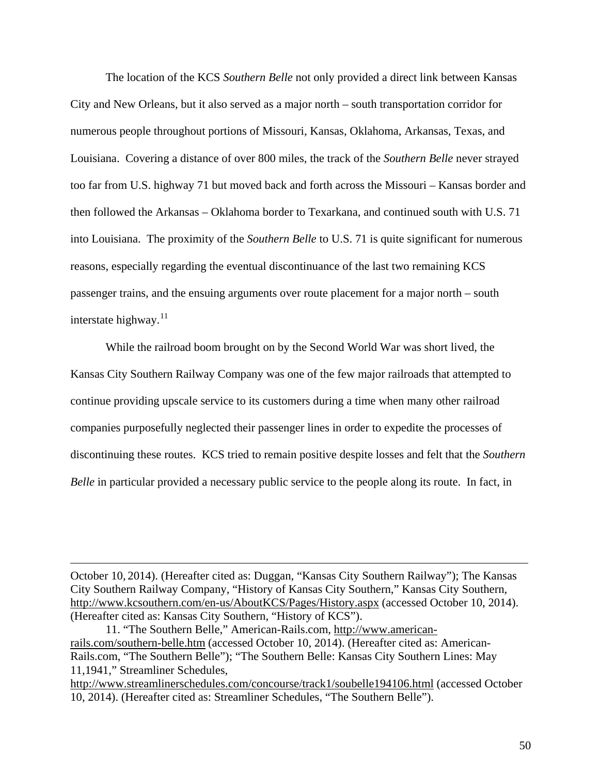The location of the KCS *Southern Belle* not only provided a direct link between Kansas City and New Orleans, but it also served as a major north – south transportation corridor for numerous people throughout portions of Missouri, Kansas, Oklahoma, Arkansas, Texas, and Louisiana. Covering a distance of over 800 miles, the track of the *Southern Belle* never strayed too far from U.S. highway 71 but moved back and forth across the Missouri – Kansas border and then followed the Arkansas – Oklahoma border to Texarkana, and continued south with U.S. 71 into Louisiana. The proximity of the *Southern Belle* to U.S. 71 is quite significant for numerous reasons, especially regarding the eventual discontinuance of the last two remaining KCS passenger trains, and the ensuing arguments over route placement for a major north – south interstate highway. $11$ 

While the railroad boom brought on by the Second World War was short lived, the Kansas City Southern Railway Company was one of the few major railroads that attempted to continue providing upscale service to its customers during a time when many other railroad companies purposefully neglected their passenger lines in order to expedite the processes of discontinuing these routes. KCS tried to remain positive despite losses and felt that the *Southern Belle* in particular provided a necessary public service to the people along its route. In fact, in

October 10, 2014). (Hereafter cited as: Duggan, "Kansas City Southern Railway"); The Kansas City Southern Railway Company, "History of Kansas City Southern," Kansas City Southern, <http://www.kcsouthern.com/en-us/AboutKCS/Pages/History.aspx>(accessed October 10, 2014). (Hereafter cited as: Kansas City Southern, "History of KCS").

<span id="page-57-0"></span><sup>11. &</sup>quot;The Southern Belle," American-Rails.com, [http://www.american](http://www.american-rails.com/southern-belle.htm)[rails.com/southern-belle.htm](http://www.american-rails.com/southern-belle.htm) (accessed October 10, 2014). (Hereafter cited as: American-Rails.com, "The Southern Belle"); "The Southern Belle: Kansas City Southern Lines: May 11,1941," Streamliner Schedules,

<http://www.streamlinerschedules.com/concourse/track1/soubelle194106.html> (accessed October 10, 2014). (Hereafter cited as: Streamliner Schedules, "The Southern Belle").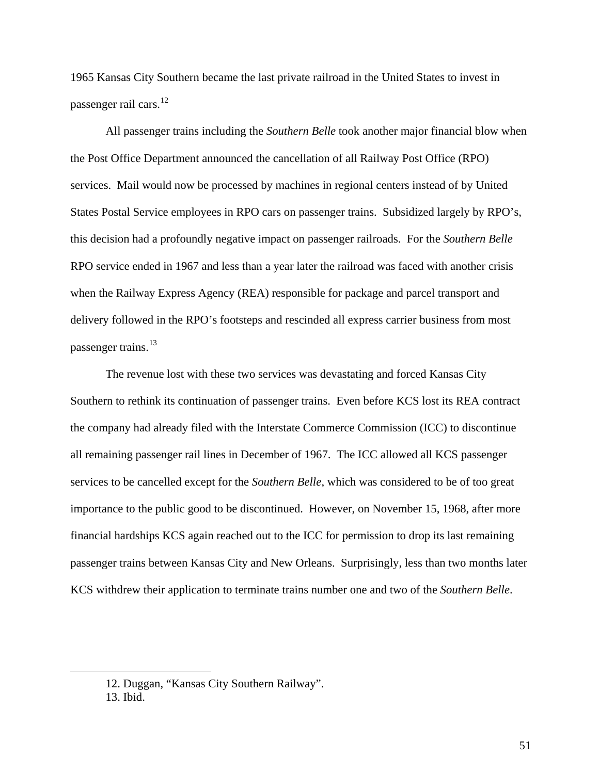1965 Kansas City Southern became the last private railroad in the United States to invest in passenger rail cars.<sup>[12](#page-58-0)</sup>

All passenger trains including the *Southern Belle* took another major financial blow when the Post Office Department announced the cancellation of all Railway Post Office (RPO) services. Mail would now be processed by machines in regional centers instead of by United States Postal Service employees in RPO cars on passenger trains. Subsidized largely by RPO's, this decision had a profoundly negative impact on passenger railroads. For the *Southern Belle* RPO service ended in 1967 and less than a year later the railroad was faced with another crisis when the Railway Express Agency (REA) responsible for package and parcel transport and delivery followed in the RPO's footsteps and rescinded all express carrier business from most passenger trains.<sup>[13](#page-58-1)</sup>

The revenue lost with these two services was devastating and forced Kansas City Southern to rethink its continuation of passenger trains. Even before KCS lost its REA contract the company had already filed with the Interstate Commerce Commission (ICC) to discontinue all remaining passenger rail lines in December of 1967. The ICC allowed all KCS passenger services to be cancelled except for the *Southern Belle*, which was considered to be of too great importance to the public good to be discontinued. However, on November 15, 1968, after more financial hardships KCS again reached out to the ICC for permission to drop its last remaining passenger trains between Kansas City and New Orleans. Surprisingly, less than two months later KCS withdrew their application to terminate trains number one and two of the *Southern Belle*.

<span id="page-58-1"></span><span id="page-58-0"></span><sup>12.</sup> Duggan, "Kansas City Southern Railway".

<sup>13.</sup> Ibid.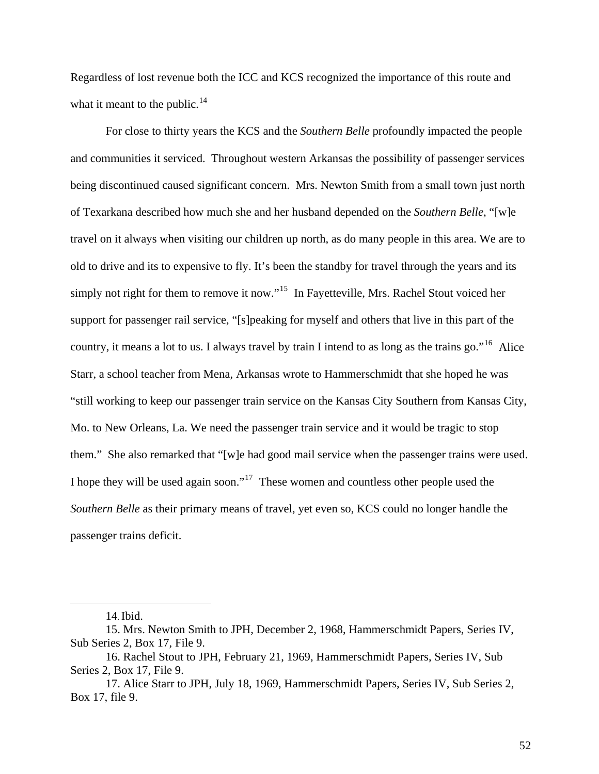Regardless of lost revenue both the ICC and KCS recognized the importance of this route and what it meant to the public. $14$ 

For close to thirty years the KCS and the *Southern Belle* profoundly impacted the people and communities it serviced. Throughout western Arkansas the possibility of passenger services being discontinued caused significant concern. Mrs. Newton Smith from a small town just north of Texarkana described how much she and her husband depended on the *Southern Belle*, "[w]e travel on it always when visiting our children up north, as do many people in this area. We are to old to drive and its to expensive to fly. It's been the standby for travel through the years and its simply not right for them to remove it now."<sup>[15](#page-59-1)</sup> In Fayetteville, Mrs. Rachel Stout voiced her support for passenger rail service, "[s]peaking for myself and others that live in this part of the country, it means a lot to us. I always travel by train I intend to as long as the trains go."[16](#page-59-2) Alice Starr, a school teacher from Mena, Arkansas wrote to Hammerschmidt that she hoped he was "still working to keep our passenger train service on the Kansas City Southern from Kansas City, Mo. to New Orleans, La. We need the passenger train service and it would be tragic to stop them." She also remarked that "[w]e had good mail service when the passenger trains were used. I hope they will be used again soon."[17](#page-59-3) These women and countless other people used the *Southern Belle* as their primary means of travel, yet even so, KCS could no longer handle the passenger trains deficit.

<sup>14.</sup> Ibid.

<span id="page-59-1"></span><span id="page-59-0"></span><sup>15.</sup> Mrs. Newton Smith to JPH, December 2, 1968, Hammerschmidt Papers, Series IV, Sub Series 2, Box 17, File 9.

<span id="page-59-2"></span><sup>16.</sup> Rachel Stout to JPH, February 21, 1969, Hammerschmidt Papers, Series IV, Sub Series 2, Box 17, File 9.

<span id="page-59-3"></span><sup>17.</sup> Alice Starr to JPH, July 18, 1969, Hammerschmidt Papers, Series IV, Sub Series 2, Box 17, file 9.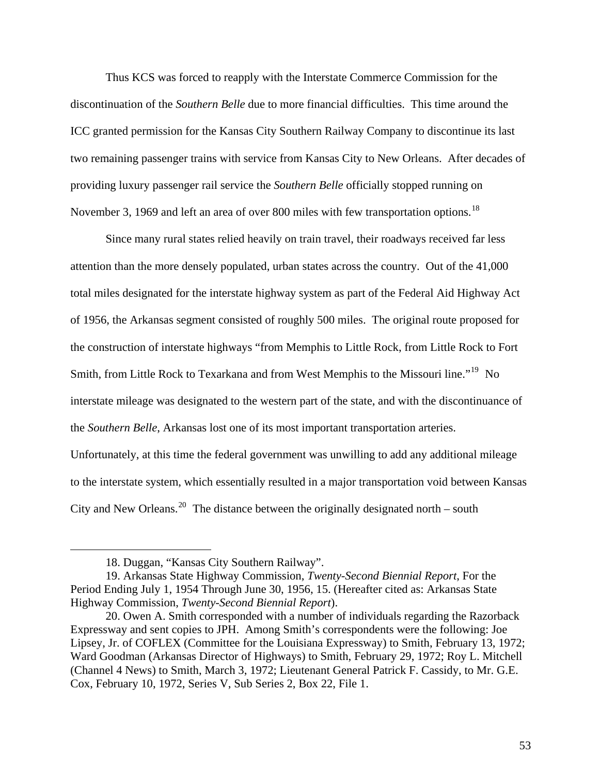Thus KCS was forced to reapply with the Interstate Commerce Commission for the discontinuation of the *Southern Belle* due to more financial difficulties. This time around the ICC granted permission for the Kansas City Southern Railway Company to discontinue its last two remaining passenger trains with service from Kansas City to New Orleans. After decades of providing luxury passenger rail service the *Southern Belle* officially stopped running on November 3, 1969 and left an area of over 800 miles with few transportation options.<sup>[18](#page-60-0)</sup>

Since many rural states relied heavily on train travel, their roadways received far less attention than the more densely populated, urban states across the country. Out of the 41,000 total miles designated for the interstate highway system as part of the Federal Aid Highway Act of 1956, the Arkansas segment consisted of roughly 500 miles. The original route proposed for the construction of interstate highways "from Memphis to Little Rock, from Little Rock to Fort Smith, from Little Rock to Texarkana and from West Memphis to the Missouri line."<sup>[19](#page-60-1)</sup> No interstate mileage was designated to the western part of the state, and with the discontinuance of the *Southern Belle*, Arkansas lost one of its most important transportation arteries.

Unfortunately, at this time the federal government was unwilling to add any additional mileage to the interstate system, which essentially resulted in a major transportation void between Kansas City and New Orleans.<sup>[20](#page-60-2)</sup> The distance between the originally designated north – south

<sup>18.</sup> Duggan, "Kansas City Southern Railway".

<span id="page-60-1"></span><span id="page-60-0"></span><sup>19.</sup> Arkansas State Highway Commission, *Twenty-Second Biennial Report*, For the Period Ending July 1, 1954 Through June 30, 1956, 15. (Hereafter cited as: Arkansas State Highway Commission, *Twenty-Second Biennial Report*).

<span id="page-60-2"></span><sup>20.</sup> Owen A. Smith corresponded with a number of individuals regarding the Razorback Expressway and sent copies to JPH. Among Smith's correspondents were the following: Joe Lipsey, Jr. of COFLEX (Committee for the Louisiana Expressway) to Smith, February 13, 1972; Ward Goodman (Arkansas Director of Highways) to Smith, February 29, 1972; Roy L. Mitchell (Channel 4 News) to Smith, March 3, 1972; Lieutenant General Patrick F. Cassidy, to Mr. G.E. Cox, February 10, 1972, Series V, Sub Series 2, Box 22, File 1.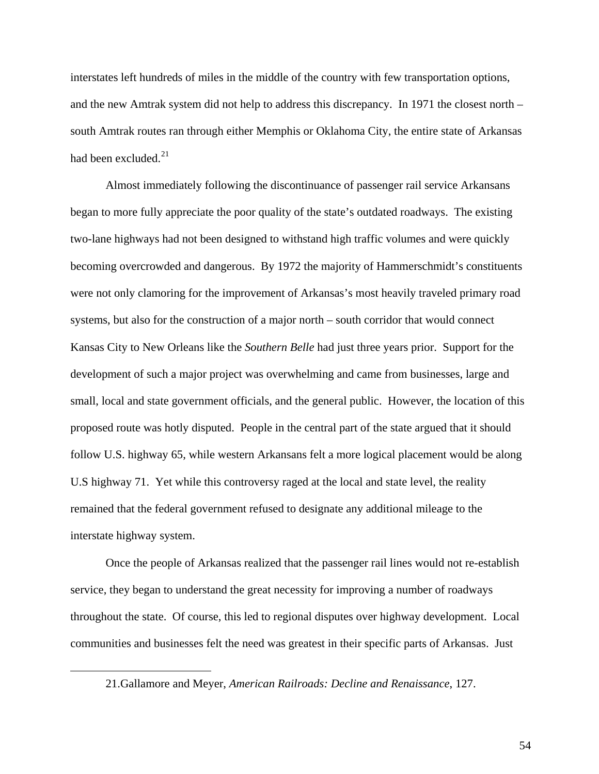interstates left hundreds of miles in the middle of the country with few transportation options, and the new Amtrak system did not help to address this discrepancy. In 1971 the closest north – south Amtrak routes ran through either Memphis or Oklahoma City, the entire state of Arkansas had been excluded. $^{21}$  $^{21}$  $^{21}$ 

Almost immediately following the discontinuance of passenger rail service Arkansans began to more fully appreciate the poor quality of the state's outdated roadways. The existing two-lane highways had not been designed to withstand high traffic volumes and were quickly becoming overcrowded and dangerous. By 1972 the majority of Hammerschmidt's constituents were not only clamoring for the improvement of Arkansas's most heavily traveled primary road systems, but also for the construction of a major north – south corridor that would connect Kansas City to New Orleans like the *Southern Belle* had just three years prior. Support for the development of such a major project was overwhelming and came from businesses, large and small, local and state government officials, and the general public. However, the location of this proposed route was hotly disputed. People in the central part of the state argued that it should follow U.S. highway 65, while western Arkansans felt a more logical placement would be along U.S highway 71. Yet while this controversy raged at the local and state level, the reality remained that the federal government refused to designate any additional mileage to the interstate highway system.

Once the people of Arkansas realized that the passenger rail lines would not re-establish service, they began to understand the great necessity for improving a number of roadways throughout the state. Of course, this led to regional disputes over highway development. Local communities and businesses felt the need was greatest in their specific parts of Arkansas. Just

<span id="page-61-0"></span> $\overline{a}$ 

<sup>21.</sup>Gallamore and Meyer, *American Railroads: Decline and Renaissance*, 127.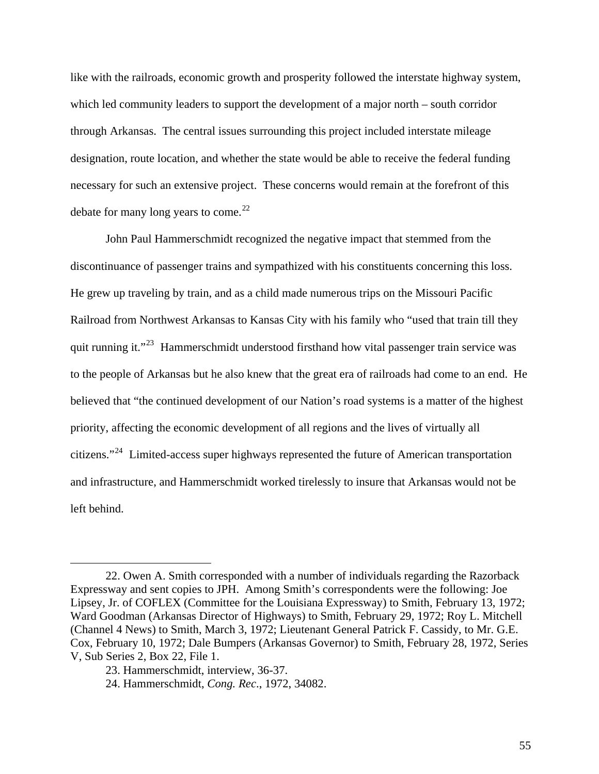like with the railroads, economic growth and prosperity followed the interstate highway system, which led community leaders to support the development of a major north – south corridor through Arkansas. The central issues surrounding this project included interstate mileage designation, route location, and whether the state would be able to receive the federal funding necessary for such an extensive project. These concerns would remain at the forefront of this debate for many long years to come.<sup>[22](#page-62-0)</sup>

 John Paul Hammerschmidt recognized the negative impact that stemmed from the discontinuance of passenger trains and sympathized with his constituents concerning this loss. He grew up traveling by train, and as a child made numerous trips on the Missouri Pacific Railroad from Northwest Arkansas to Kansas City with his family who "used that train till they quit running it."<sup>[23](#page-62-1)</sup> Hammerschmidt understood firsthand how vital passenger train service was to the people of Arkansas but he also knew that the great era of railroads had come to an end. He believed that "the continued development of our Nation's road systems is a matter of the highest priority, affecting the economic development of all regions and the lives of virtually all citizens."[24](#page-62-2) Limited-access super highways represented the future of American transportation and infrastructure, and Hammerschmidt worked tirelessly to insure that Arkansas would not be left behind.

<span id="page-62-0"></span><sup>22.</sup> Owen A. Smith corresponded with a number of individuals regarding the Razorback Expressway and sent copies to JPH. Among Smith's correspondents were the following: Joe Lipsey, Jr. of COFLEX (Committee for the Louisiana Expressway) to Smith, February 13, 1972; Ward Goodman (Arkansas Director of Highways) to Smith, February 29, 1972; Roy L. Mitchell (Channel 4 News) to Smith, March 3, 1972; Lieutenant General Patrick F. Cassidy, to Mr. G.E. Cox, February 10, 1972; Dale Bumpers (Arkansas Governor) to Smith, February 28, 1972, Series V, Sub Series 2, Box 22, File 1.

<span id="page-62-1"></span><sup>23.</sup> Hammerschmidt, interview, 36-37.

<span id="page-62-2"></span><sup>24.</sup> Hammerschmidt, *Cong. Rec*., 1972, 34082.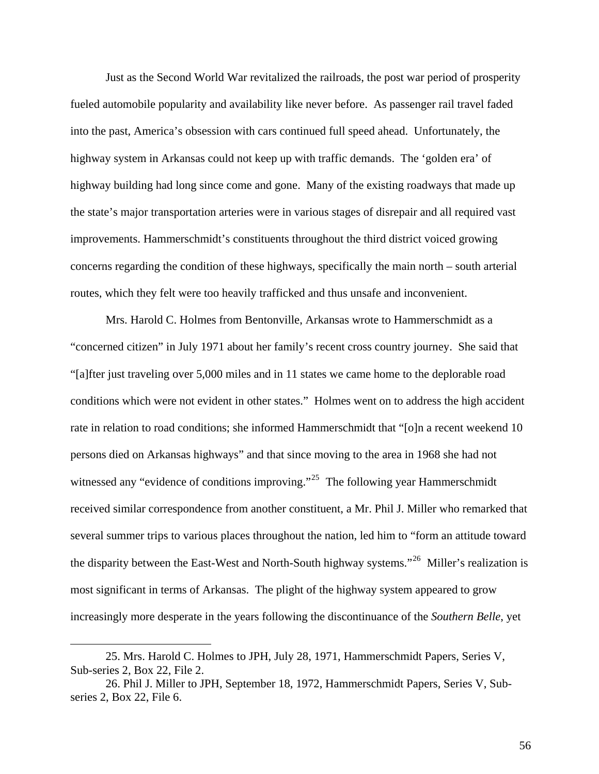Just as the Second World War revitalized the railroads, the post war period of prosperity fueled automobile popularity and availability like never before. As passenger rail travel faded into the past, America's obsession with cars continued full speed ahead. Unfortunately, the highway system in Arkansas could not keep up with traffic demands. The 'golden era' of highway building had long since come and gone. Many of the existing roadways that made up the state's major transportation arteries were in various stages of disrepair and all required vast improvements. Hammerschmidt's constituents throughout the third district voiced growing concerns regarding the condition of these highways, specifically the main north – south arterial routes, which they felt were too heavily trafficked and thus unsafe and inconvenient.

 Mrs. Harold C. Holmes from Bentonville, Arkansas wrote to Hammerschmidt as a "concerned citizen" in July 1971 about her family's recent cross country journey. She said that "[a]fter just traveling over 5,000 miles and in 11 states we came home to the deplorable road conditions which were not evident in other states." Holmes went on to address the high accident rate in relation to road conditions; she informed Hammerschmidt that "[o]n a recent weekend 10 persons died on Arkansas highways" and that since moving to the area in 1968 she had not witnessed any "evidence of conditions improving."<sup>[25](#page-63-0)</sup> The following year Hammerschmidt received similar correspondence from another constituent, a Mr. Phil J. Miller who remarked that several summer trips to various places throughout the nation, led him to "form an attitude toward the disparity between the East-West and North-South highway systems."<sup>[26](#page-63-1)</sup> Miller's realization is most significant in terms of Arkansas. The plight of the highway system appeared to grow increasingly more desperate in the years following the discontinuance of the *Southern Belle*, yet

<span id="page-63-0"></span><sup>25.</sup> Mrs. Harold C. Holmes to JPH, July 28, 1971, Hammerschmidt Papers, Series V, Sub-series 2, Box 22, File 2.

<span id="page-63-1"></span><sup>26.</sup> Phil J. Miller to JPH, September 18, 1972, Hammerschmidt Papers, Series V, Subseries 2, Box 22, File 6.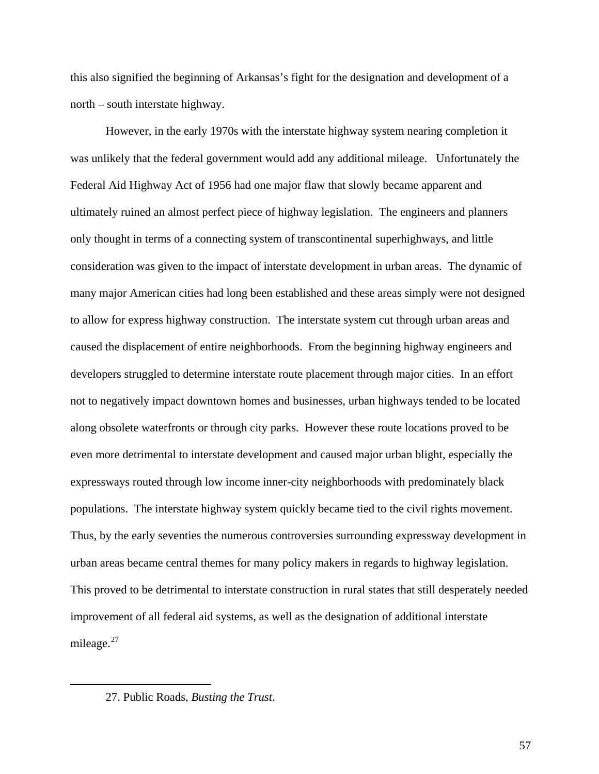this also signified the beginning of Arkansas's fight for the designation and development of a north – south interstate highway.

However, in the early 1970s with the interstate highway system nearing completion it was unlikely that the federal government would add any additional mileage. Unfortunately the Federal Aid Highway Act of 1956 had one major flaw that slowly became apparent and ultimately ruined an almost perfect piece of highway legislation. The engineers and planners only thought in terms of a connecting system of transcontinental superhighways, and little consideration was given to the impact of interstate development in urban areas. The dynamic of many major American cities had long been established and these areas simply were not designed to allow for express highway construction. The interstate system cut through urban areas and caused the displacement of entire neighborhoods. From the beginning highway engineers and developers struggled to determine interstate route placement through major cities. In an effort not to negatively impact downtown homes and businesses, urban highways tended to be located along obsolete waterfronts or through city parks. However these route locations proved to be even more detrimental to interstate development and caused major urban blight, especially the expressways routed through low income inner-city neighborhoods with predominately black populations. The interstate highway system quickly became tied to the civil rights movement. Thus, by the early seventies the numerous controversies surrounding expressway development in urban areas became central themes for many policy makers in regards to highway legislation. This proved to be detrimental to interstate construction in rural states that still desperately needed improvement of all federal aid systems, as well as the designation of additional interstate mileage. $27$ 

<span id="page-64-0"></span> $\overline{a}$ 

<sup>27.</sup> Public Roads, *Busting the Trust*.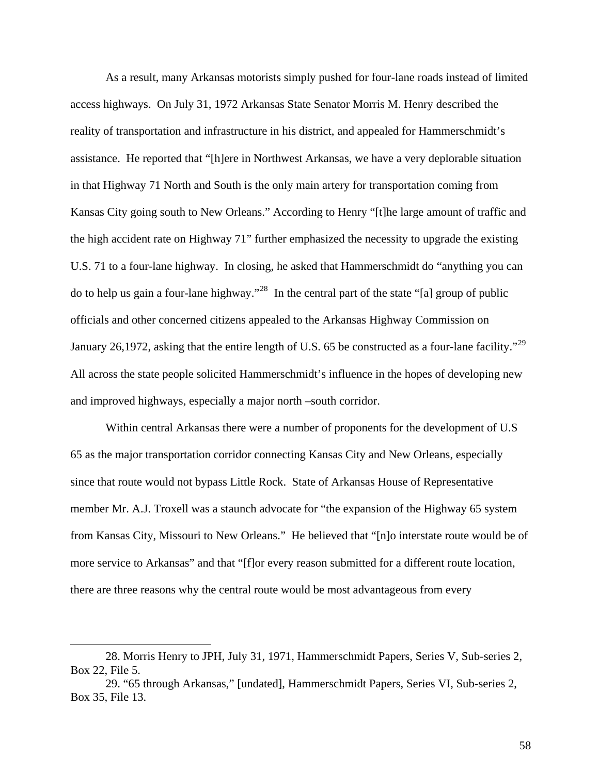As a result, many Arkansas motorists simply pushed for four-lane roads instead of limited access highways. On July 31, 1972 Arkansas State Senator Morris M. Henry described the reality of transportation and infrastructure in his district, and appealed for Hammerschmidt's assistance. He reported that "[h]ere in Northwest Arkansas, we have a very deplorable situation in that Highway 71 North and South is the only main artery for transportation coming from Kansas City going south to New Orleans." According to Henry "[t]he large amount of traffic and the high accident rate on Highway 71" further emphasized the necessity to upgrade the existing U.S. 71 to a four-lane highway. In closing, he asked that Hammerschmidt do "anything you can do to help us gain a four-lane highway."[28](#page-65-0) In the central part of the state "[a] group of public officials and other concerned citizens appealed to the Arkansas Highway Commission on January 26,1972, asking that the entire length of U.S. 65 be constructed as a four-lane facility."<sup>[29](#page-65-1)</sup> All across the state people solicited Hammerschmidt's influence in the hopes of developing new and improved highways, especially a major north –south corridor.

 Within central Arkansas there were a number of proponents for the development of U.S 65 as the major transportation corridor connecting Kansas City and New Orleans, especially since that route would not bypass Little Rock. State of Arkansas House of Representative member Mr. A.J. Troxell was a staunch advocate for "the expansion of the Highway 65 system from Kansas City, Missouri to New Orleans." He believed that "[n]o interstate route would be of more service to Arkansas" and that "[f]or every reason submitted for a different route location, there are three reasons why the central route would be most advantageous from every

<span id="page-65-0"></span><sup>28.</sup> Morris Henry to JPH, July 31, 1971, Hammerschmidt Papers, Series V, Sub-series 2, Box 22, File 5.

<span id="page-65-1"></span><sup>29. &</sup>quot;65 through Arkansas," [undated], Hammerschmidt Papers, Series VI, Sub-series 2, Box 35, File 13.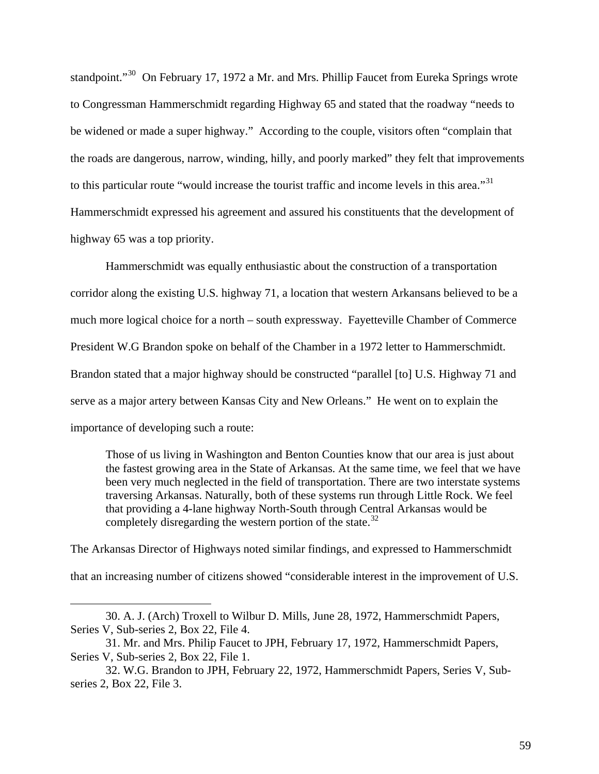standpoint."<sup>[30](#page-66-0)</sup> On February 17, 1972 a Mr. and Mrs. Phillip Faucet from Eureka Springs wrote to Congressman Hammerschmidt regarding Highway 65 and stated that the roadway "needs to be widened or made a super highway." According to the couple, visitors often "complain that the roads are dangerous, narrow, winding, hilly, and poorly marked" they felt that improvements to this particular route "would increase the tourist traffic and income levels in this area."<sup>[31](#page-66-1)</sup> Hammerschmidt expressed his agreement and assured his constituents that the development of highway 65 was a top priority.

Hammerschmidt was equally enthusiastic about the construction of a transportation corridor along the existing U.S. highway 71, a location that western Arkansans believed to be a much more logical choice for a north – south expressway. Fayetteville Chamber of Commerce President W.G Brandon spoke on behalf of the Chamber in a 1972 letter to Hammerschmidt. Brandon stated that a major highway should be constructed "parallel [to] U.S. Highway 71 and serve as a major artery between Kansas City and New Orleans." He went on to explain the importance of developing such a route:

Those of us living in Washington and Benton Counties know that our area is just about the fastest growing area in the State of Arkansas. At the same time, we feel that we have been very much neglected in the field of transportation. There are two interstate systems traversing Arkansas. Naturally, both of these systems run through Little Rock. We feel that providing a 4-lane highway North-South through Central Arkansas would be completely disregarding the western portion of the state.<sup>[32](#page-66-2)</sup>

The Arkansas Director of Highways noted similar findings, and expressed to Hammerschmidt that an increasing number of citizens showed "considerable interest in the improvement of U.S.

<span id="page-66-0"></span><sup>30.</sup> A. J. (Arch) Troxell to Wilbur D. Mills, June 28, 1972, Hammerschmidt Papers, Series V, Sub-series 2, Box 22, File 4.

<span id="page-66-1"></span><sup>31.</sup> Mr. and Mrs. Philip Faucet to JPH, February 17, 1972, Hammerschmidt Papers, Series V, Sub-series 2, Box 22, File 1.

<span id="page-66-2"></span><sup>32.</sup> W.G. Brandon to JPH, February 22, 1972, Hammerschmidt Papers, Series V, Subseries 2, Box 22, File 3.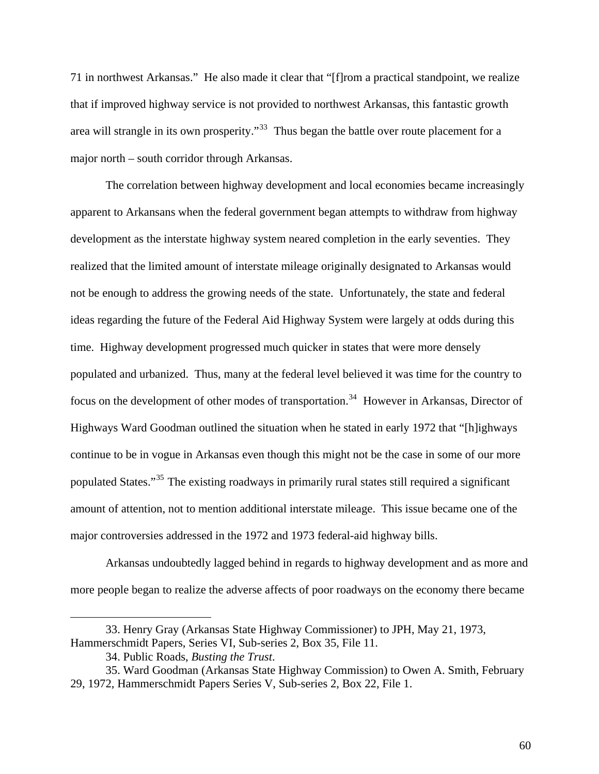71 in northwest Arkansas." He also made it clear that "[f]rom a practical standpoint, we realize that if improved highway service is not provided to northwest Arkansas, this fantastic growth area will strangle in its own prosperity."<sup>[33](#page-67-0)</sup> Thus began the battle over route placement for a major north – south corridor through Arkansas.

 The correlation between highway development and local economies became increasingly apparent to Arkansans when the federal government began attempts to withdraw from highway development as the interstate highway system neared completion in the early seventies. They realized that the limited amount of interstate mileage originally designated to Arkansas would not be enough to address the growing needs of the state. Unfortunately, the state and federal ideas regarding the future of the Federal Aid Highway System were largely at odds during this time. Highway development progressed much quicker in states that were more densely populated and urbanized. Thus, many at the federal level believed it was time for the country to focus on the development of other modes of transportation.<sup>[34](#page-67-1)</sup> However in Arkansas, Director of Highways Ward Goodman outlined the situation when he stated in early 1972 that "[h]ighways continue to be in vogue in Arkansas even though this might not be the case in some of our more populated States."[35](#page-67-2) The existing roadways in primarily rural states still required a significant amount of attention, not to mention additional interstate mileage. This issue became one of the major controversies addressed in the 1972 and 1973 federal-aid highway bills.

 Arkansas undoubtedly lagged behind in regards to highway development and as more and more people began to realize the adverse affects of poor roadways on the economy there became

<span id="page-67-0"></span><sup>33.</sup> Henry Gray (Arkansas State Highway Commissioner) to JPH, May 21, 1973, Hammerschmidt Papers, Series VI, Sub-series 2, Box 35, File 11.

<sup>34.</sup> Public Roads, *Busting the Trust*.

<span id="page-67-2"></span><span id="page-67-1"></span><sup>35.</sup> Ward Goodman (Arkansas State Highway Commission) to Owen A. Smith, February 29, 1972, Hammerschmidt Papers Series V, Sub-series 2, Box 22, File 1.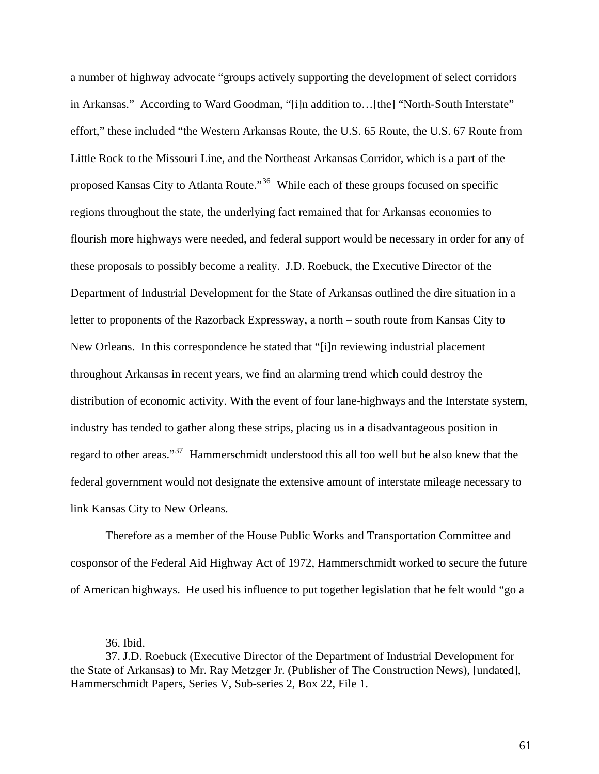a number of highway advocate "groups actively supporting the development of select corridors in Arkansas." According to Ward Goodman, "[i]n addition to…[the] "North-South Interstate" effort," these included "the Western Arkansas Route, the U.S. 65 Route, the U.S. 67 Route from Little Rock to the Missouri Line, and the Northeast Arkansas Corridor, which is a part of the proposed Kansas City to Atlanta Route."<sup>[36](#page-68-0)</sup> While each of these groups focused on specific regions throughout the state, the underlying fact remained that for Arkansas economies to flourish more highways were needed, and federal support would be necessary in order for any of these proposals to possibly become a reality. J.D. Roebuck, the Executive Director of the Department of Industrial Development for the State of Arkansas outlined the dire situation in a letter to proponents of the Razorback Expressway, a north – south route from Kansas City to New Orleans. In this correspondence he stated that "[i]n reviewing industrial placement throughout Arkansas in recent years, we find an alarming trend which could destroy the distribution of economic activity. With the event of four lane-highways and the Interstate system, industry has tended to gather along these strips, placing us in a disadvantageous position in regard to other areas."<sup>[37](#page-68-1)</sup> Hammerschmidt understood this all too well but he also knew that the federal government would not designate the extensive amount of interstate mileage necessary to link Kansas City to New Orleans.

Therefore as a member of the House Public Works and Transportation Committee and cosponsor of the Federal Aid Highway Act of 1972, Hammerschmidt worked to secure the future of American highways. He used his influence to put together legislation that he felt would "go a

<sup>36.</sup> Ibid.

<span id="page-68-1"></span><span id="page-68-0"></span><sup>37.</sup> J.D. Roebuck (Executive Director of the Department of Industrial Development for the State of Arkansas) to Mr. Ray Metzger Jr. (Publisher of The Construction News), [undated], Hammerschmidt Papers, Series V, Sub-series 2, Box 22, File 1.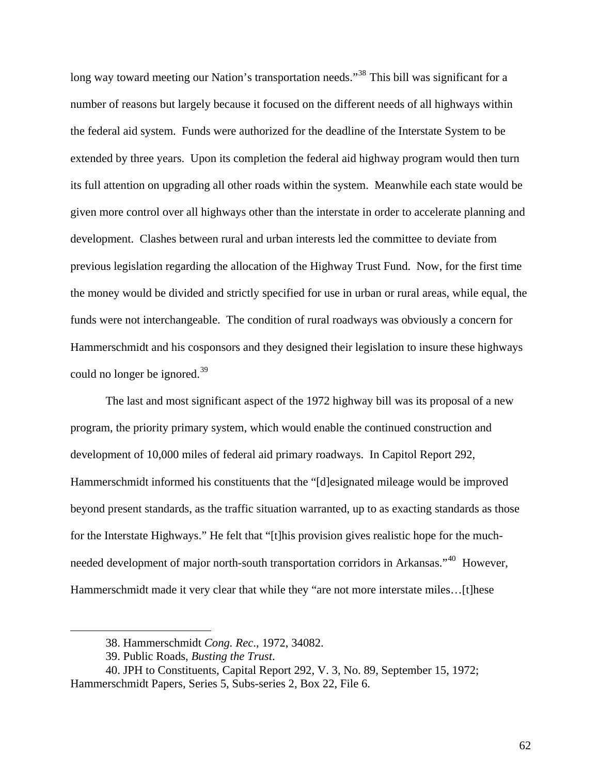long way toward meeting our Nation's transportation needs."<sup>[38](#page-69-0)</sup> This bill was significant for a number of reasons but largely because it focused on the different needs of all highways within the federal aid system. Funds were authorized for the deadline of the Interstate System to be extended by three years. Upon its completion the federal aid highway program would then turn its full attention on upgrading all other roads within the system. Meanwhile each state would be given more control over all highways other than the interstate in order to accelerate planning and development. Clashes between rural and urban interests led the committee to deviate from previous legislation regarding the allocation of the Highway Trust Fund. Now, for the first time the money would be divided and strictly specified for use in urban or rural areas, while equal, the funds were not interchangeable. The condition of rural roadways was obviously a concern for Hammerschmidt and his cosponsors and they designed their legislation to insure these highways could no longer be ignored. $39$ 

The last and most significant aspect of the 1972 highway bill was its proposal of a new program, the priority primary system, which would enable the continued construction and development of 10,000 miles of federal aid primary roadways. In Capitol Report 292, Hammerschmidt informed his constituents that the "[d]esignated mileage would be improved beyond present standards, as the traffic situation warranted, up to as exacting standards as those for the Interstate Highways." He felt that "[t]his provision gives realistic hope for the much-needed development of major north-south transportation corridors in Arkansas."<sup>[40](#page-69-2)</sup> However, Hammerschmidt made it very clear that while they "are not more interstate miles...[t]hese

<sup>38.</sup> Hammerschmidt *Cong. Rec*., 1972, 34082.

<sup>39.</sup> Public Roads, *Busting the Trust*.

<span id="page-69-2"></span><span id="page-69-1"></span><span id="page-69-0"></span><sup>40.</sup> JPH to Constituents, Capital Report 292, V. 3, No. 89, September 15, 1972; Hammerschmidt Papers, Series 5, Subs-series 2, Box 22, File 6.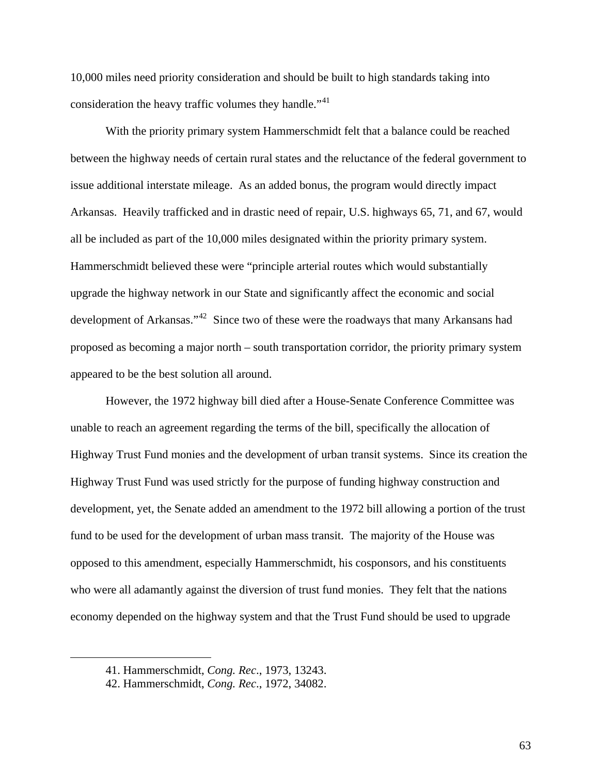10,000 miles need priority consideration and should be built to high standards taking into consideration the heavy traffic volumes they handle."<sup>[41](#page-70-0)</sup>

 With the priority primary system Hammerschmidt felt that a balance could be reached between the highway needs of certain rural states and the reluctance of the federal government to issue additional interstate mileage. As an added bonus, the program would directly impact Arkansas. Heavily trafficked and in drastic need of repair, U.S. highways 65, 71, and 67, would all be included as part of the 10,000 miles designated within the priority primary system. Hammerschmidt believed these were "principle arterial routes which would substantially upgrade the highway network in our State and significantly affect the economic and social development of Arkansas."<sup>[42](#page-70-1)</sup> Since two of these were the roadways that many Arkansans had proposed as becoming a major north – south transportation corridor, the priority primary system appeared to be the best solution all around.

However, the 1972 highway bill died after a House-Senate Conference Committee was unable to reach an agreement regarding the terms of the bill, specifically the allocation of Highway Trust Fund monies and the development of urban transit systems. Since its creation the Highway Trust Fund was used strictly for the purpose of funding highway construction and development, yet, the Senate added an amendment to the 1972 bill allowing a portion of the trust fund to be used for the development of urban mass transit. The majority of the House was opposed to this amendment, especially Hammerschmidt, his cosponsors, and his constituents who were all adamantly against the diversion of trust fund monies. They felt that the nations economy depended on the highway system and that the Trust Fund should be used to upgrade

<span id="page-70-1"></span><span id="page-70-0"></span> $\overline{a}$ 

<sup>41.</sup> Hammerschmidt, *Cong. Rec*., 1973, 13243.

<sup>42.</sup> Hammerschmidt, *Cong. Rec*., 1972, 34082.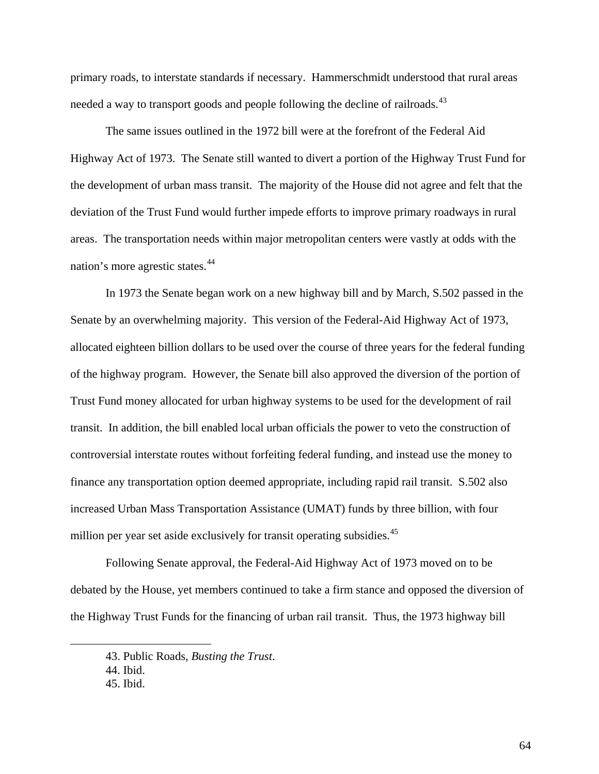primary roads, to interstate standards if necessary. Hammerschmidt understood that rural areas needed a way to transport goods and people following the decline of railroads.<sup>[43](#page-71-0)</sup>

The same issues outlined in the 1972 bill were at the forefront of the Federal Aid Highway Act of 1973. The Senate still wanted to divert a portion of the Highway Trust Fund for the development of urban mass transit. The majority of the House did not agree and felt that the deviation of the Trust Fund would further impede efforts to improve primary roadways in rural areas. The transportation needs within major metropolitan centers were vastly at odds with the nation's more agrestic states.<sup>[44](#page-71-1)</sup>

In 1973 the Senate began work on a new highway bill and by March, S.502 passed in the Senate by an overwhelming majority. This version of the Federal-Aid Highway Act of 1973, allocated eighteen billion dollars to be used over the course of three years for the federal funding of the highway program. However, the Senate bill also approved the diversion of the portion of Trust Fund money allocated for urban highway systems to be used for the development of rail transit. In addition, the bill enabled local urban officials the power to veto the construction of controversial interstate routes without forfeiting federal funding, and instead use the money to finance any transportation option deemed appropriate, including rapid rail transit. S.502 also increased Urban Mass Transportation Assistance (UMAT) funds by three billion, with four million per year set aside exclusively for transit operating subsidies.<sup>[45](#page-71-2)</sup>

Following Senate approval, the Federal-Aid Highway Act of 1973 moved on to be debated by the House, yet members continued to take a firm stance and opposed the diversion of the Highway Trust Funds for the financing of urban rail transit. Thus, the 1973 highway bill

<span id="page-71-0"></span><sup>43.</sup> Public Roads, *Busting the Trust*.

<sup>44.</sup> Ibid.

<span id="page-71-2"></span><span id="page-71-1"></span><sup>45.</sup> Ibid.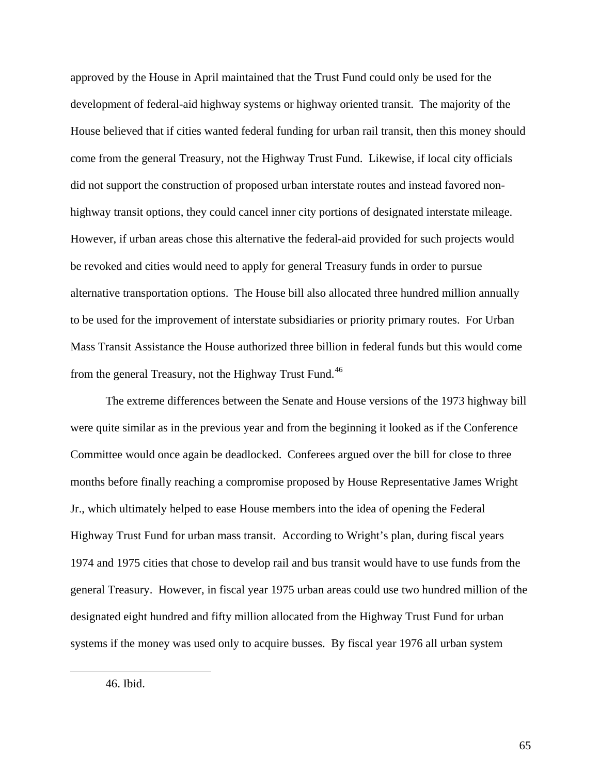approved by the House in April maintained that the Trust Fund could only be used for the development of federal-aid highway systems or highway oriented transit. The majority of the House believed that if cities wanted federal funding for urban rail transit, then this money should come from the general Treasury, not the Highway Trust Fund. Likewise, if local city officials did not support the construction of proposed urban interstate routes and instead favored nonhighway transit options, they could cancel inner city portions of designated interstate mileage. However, if urban areas chose this alternative the federal-aid provided for such projects would be revoked and cities would need to apply for general Treasury funds in order to pursue alternative transportation options. The House bill also allocated three hundred million annually to be used for the improvement of interstate subsidiaries or priority primary routes. For Urban Mass Transit Assistance the House authorized three billion in federal funds but this would come from the general Treasury, not the Highway Trust Fund.<sup>[46](#page-72-0)</sup>

The extreme differences between the Senate and House versions of the 1973 highway bill were quite similar as in the previous year and from the beginning it looked as if the Conference Committee would once again be deadlocked. Conferees argued over the bill for close to three months before finally reaching a compromise proposed by House Representative James Wright Jr., which ultimately helped to ease House members into the idea of opening the Federal Highway Trust Fund for urban mass transit. According to Wright's plan, during fiscal years 1974 and 1975 cities that chose to develop rail and bus transit would have to use funds from the general Treasury. However, in fiscal year 1975 urban areas could use two hundred million of the designated eight hundred and fifty million allocated from the Highway Trust Fund for urban systems if the money was used only to acquire busses. By fiscal year 1976 all urban system

<span id="page-72-0"></span><sup>46.</sup> Ibid.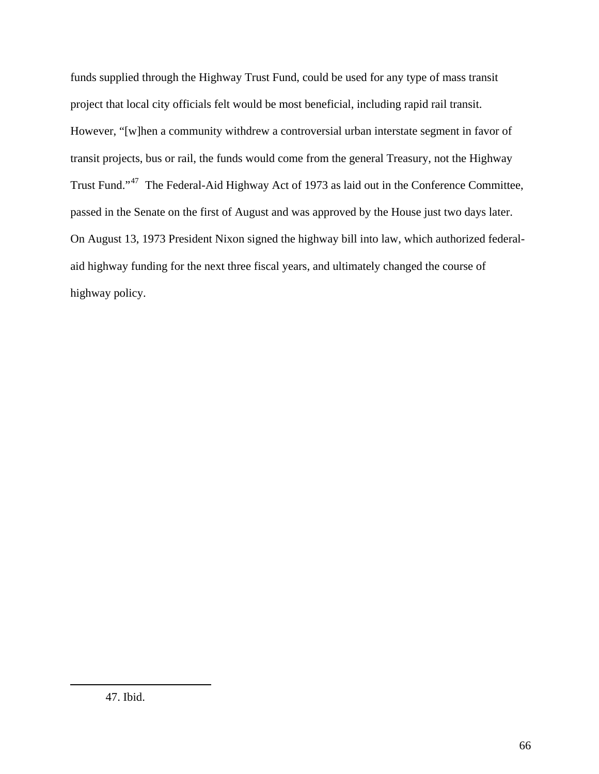funds supplied through the Highway Trust Fund, could be used for any type of mass transit project that local city officials felt would be most beneficial, including rapid rail transit. However, "[w]hen a community withdrew a controversial urban interstate segment in favor of transit projects, bus or rail, the funds would come from the general Treasury, not the Highway Trust Fund."[47](#page-73-0) The Federal-Aid Highway Act of 1973 as laid out in the Conference Committee, passed in the Senate on the first of August and was approved by the House just two days later. On August 13, 1973 President Nixon signed the highway bill into law, which authorized federalaid highway funding for the next three fiscal years, and ultimately changed the course of highway policy.

<span id="page-73-0"></span><u>.</u>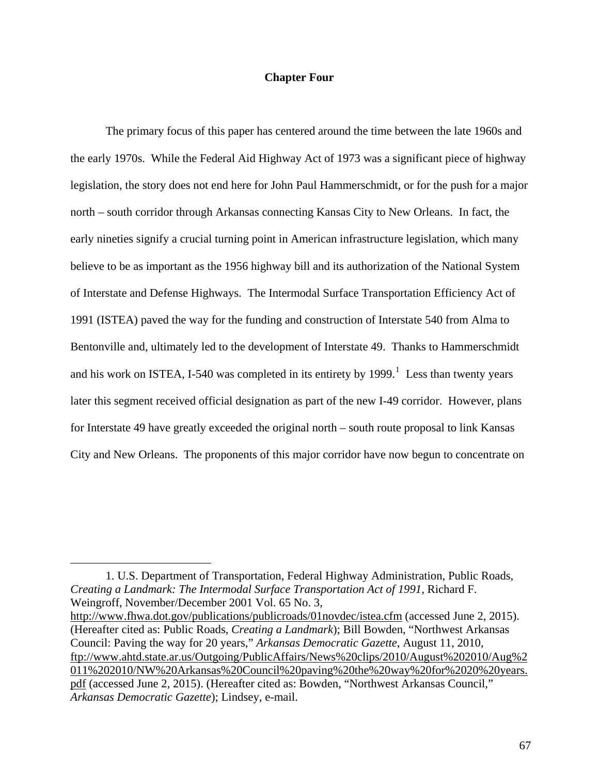### **Chapter Four**

The primary focus of this paper has centered around the time between the late 1960s and the early 1970s. While the Federal Aid Highway Act of 1973 was a significant piece of highway legislation, the story does not end here for John Paul Hammerschmidt, or for the push for a major north – south corridor through Arkansas connecting Kansas City to New Orleans. In fact, the early nineties signify a crucial turning point in American infrastructure legislation, which many believe to be as important as the 1956 highway bill and its authorization of the National System of Interstate and Defense Highways. The Intermodal Surface Transportation Efficiency Act of 1991 (ISTEA) paved the way for the funding and construction of Interstate 540 from Alma to Bentonville and, ultimately led to the development of Interstate 49. Thanks to Hammerschmidt and his work on ISTEA, I-540 was completed in its entirety by  $1999$  $1999$ .<sup>1</sup> Less than twenty years later this segment received official designation as part of the new I-49 corridor. However, plans for Interstate 49 have greatly exceeded the original north – south route proposal to link Kansas City and New Orleans. The proponents of this major corridor have now begun to concentrate on

<span id="page-74-0"></span>1. U.S. Department of Transportation, Federal Highway Administration, Public Roads, *Creating a Landmark: The Intermodal Surface Transportation Act of 1991*, Richard F. Weingroff, November/December 2001 Vol. 65 No. 3,

 $\overline{a}$ 

<http://www.fhwa.dot.gov/publications/publicroads/01novdec/istea.cfm> (accessed June 2, 2015). (Hereafter cited as: Public Roads, *Creating a Landmark*); Bill Bowden, "Northwest Arkansas Council: Paving the way for 20 years," *Arkansas Democratic Gazette*, August 11, 2010, [ftp://www.ahtd.state.ar.us/Outgoing/PublicAffairs/News%20clips/2010/August%202010/Aug%2](ftp://www.ahtd.state.ar.us/Outgoing/PublicAffairs/News%20clips/2010/August%202010/Aug%2011%202010/NW%20Arkansas%20Council%20paving%20the%20way%20for%2020%20years.pdf) [011%202010/NW%20Arkansas%20Council%20paving%20the%20way%20for%2020%20years.](ftp://www.ahtd.state.ar.us/Outgoing/PublicAffairs/News%20clips/2010/August%202010/Aug%2011%202010/NW%20Arkansas%20Council%20paving%20the%20way%20for%2020%20years.pdf) [pdf](ftp://www.ahtd.state.ar.us/Outgoing/PublicAffairs/News%20clips/2010/August%202010/Aug%2011%202010/NW%20Arkansas%20Council%20paving%20the%20way%20for%2020%20years.pdf) (accessed June 2, 2015). (Hereafter cited as: Bowden, "Northwest Arkansas Council," *Arkansas Democratic Gazette*); Lindsey, e-mail.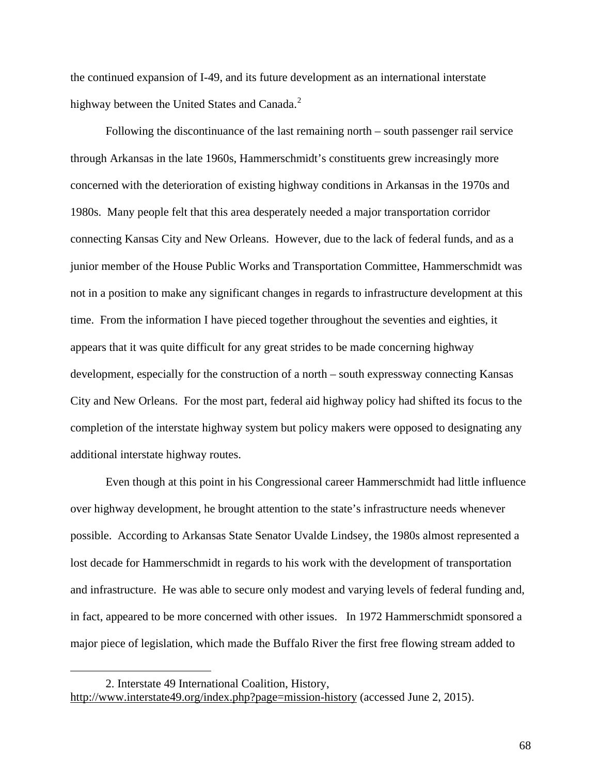the continued expansion of I-49, and its future development as an international interstate highway between the United States and Canada.<sup>[2](#page-75-0)</sup>

Following the discontinuance of the last remaining north – south passenger rail service through Arkansas in the late 1960s, Hammerschmidt's constituents grew increasingly more concerned with the deterioration of existing highway conditions in Arkansas in the 1970s and 1980s. Many people felt that this area desperately needed a major transportation corridor connecting Kansas City and New Orleans. However, due to the lack of federal funds, and as a junior member of the House Public Works and Transportation Committee, Hammerschmidt was not in a position to make any significant changes in regards to infrastructure development at this time. From the information I have pieced together throughout the seventies and eighties, it appears that it was quite difficult for any great strides to be made concerning highway development, especially for the construction of a north – south expressway connecting Kansas City and New Orleans. For the most part, federal aid highway policy had shifted its focus to the completion of the interstate highway system but policy makers were opposed to designating any additional interstate highway routes.

Even though at this point in his Congressional career Hammerschmidt had little influence over highway development, he brought attention to the state's infrastructure needs whenever possible. According to Arkansas State Senator Uvalde Lindsey, the 1980s almost represented a lost decade for Hammerschmidt in regards to his work with the development of transportation and infrastructure. He was able to secure only modest and varying levels of federal funding and, in fact, appeared to be more concerned with other issues. In 1972 Hammerschmidt sponsored a major piece of legislation, which made the Buffalo River the first free flowing stream added to

<span id="page-75-0"></span><sup>2.</sup> Interstate 49 International Coalition, History, <http://www.interstate49.org/index.php?page=mission-history> (accessed June 2, 2015).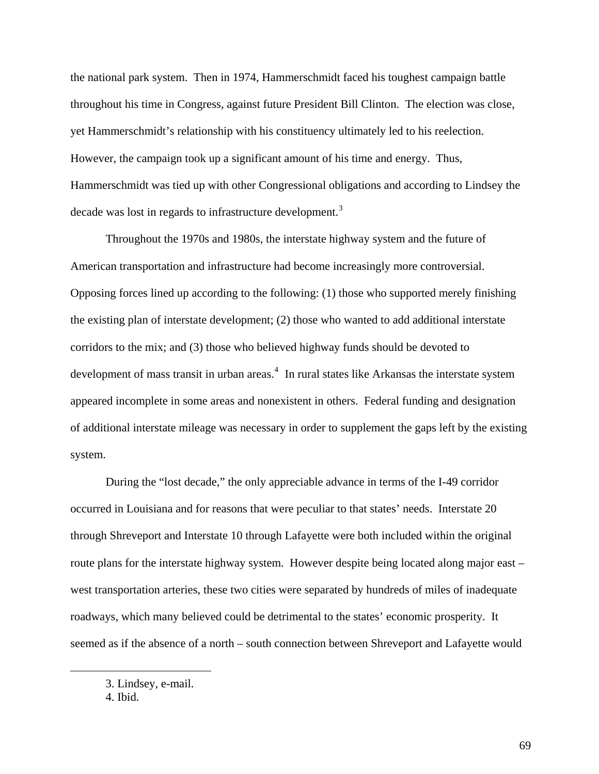the national park system. Then in 1974, Hammerschmidt faced his toughest campaign battle throughout his time in Congress, against future President Bill Clinton. The election was close, yet Hammerschmidt's relationship with his constituency ultimately led to his reelection. However, the campaign took up a significant amount of his time and energy. Thus, Hammerschmidt was tied up with other Congressional obligations and according to Lindsey the decade was lost in regards to infrastructure development.<sup>[3](#page-76-0)</sup>

Throughout the 1970s and 1980s, the interstate highway system and the future of American transportation and infrastructure had become increasingly more controversial. Opposing forces lined up according to the following: (1) those who supported merely finishing the existing plan of interstate development; (2) those who wanted to add additional interstate corridors to the mix; and (3) those who believed highway funds should be devoted to development of mass transit in urban areas.<sup>[4](#page-76-1)</sup> In rural states like Arkansas the interstate system appeared incomplete in some areas and nonexistent in others. Federal funding and designation of additional interstate mileage was necessary in order to supplement the gaps left by the existing system.

During the "lost decade," the only appreciable advance in terms of the I-49 corridor occurred in Louisiana and for reasons that were peculiar to that states' needs. Interstate 20 through Shreveport and Interstate 10 through Lafayette were both included within the original route plans for the interstate highway system. However despite being located along major east – west transportation arteries, these two cities were separated by hundreds of miles of inadequate roadways, which many believed could be detrimental to the states' economic prosperity. It seemed as if the absence of a north – south connection between Shreveport and Lafayette would

<span id="page-76-1"></span><span id="page-76-0"></span>1

<sup>3.</sup> Lindsey, e-mail.

<sup>4.</sup> Ibid.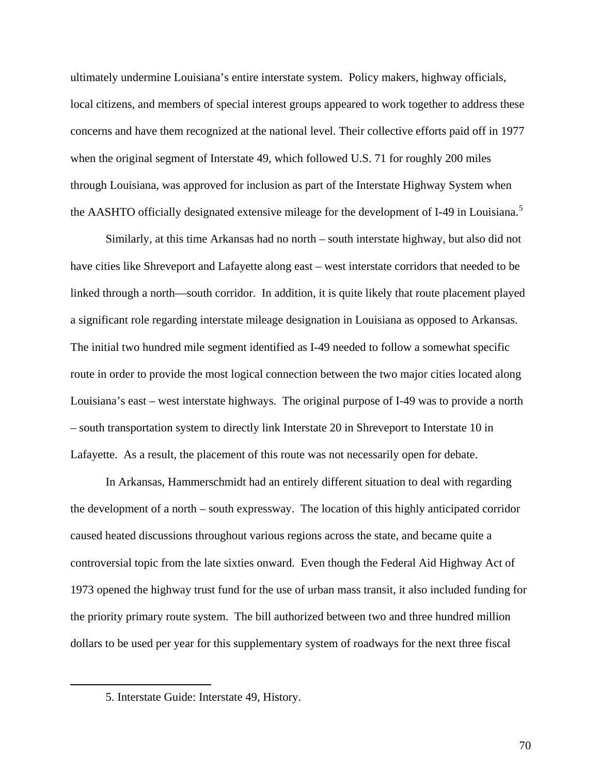ultimately undermine Louisiana's entire interstate system. Policy makers, highway officials, local citizens, and members of special interest groups appeared to work together to address these concerns and have them recognized at the national level. Their collective efforts paid off in 1977 when the original segment of Interstate 49, which followed U.S. 71 for roughly 200 miles through Louisiana, was approved for inclusion as part of the Interstate Highway System when the AASHTO officially designated extensive mileage for the development of I-49 in Louisiana.<sup>[5](#page-77-0)</sup>

Similarly, at this time Arkansas had no north – south interstate highway, but also did not have cities like Shreveport and Lafayette along east – west interstate corridors that needed to be linked through a north—south corridor. In addition, it is quite likely that route placement played a significant role regarding interstate mileage designation in Louisiana as opposed to Arkansas. The initial two hundred mile segment identified as I-49 needed to follow a somewhat specific route in order to provide the most logical connection between the two major cities located along Louisiana's east – west interstate highways. The original purpose of I-49 was to provide a north – south transportation system to directly link Interstate 20 in Shreveport to Interstate 10 in Lafayette. As a result, the placement of this route was not necessarily open for debate.

In Arkansas, Hammerschmidt had an entirely different situation to deal with regarding the development of a north – south expressway. The location of this highly anticipated corridor caused heated discussions throughout various regions across the state, and became quite a controversial topic from the late sixties onward. Even though the Federal Aid Highway Act of 1973 opened the highway trust fund for the use of urban mass transit, it also included funding for the priority primary route system. The bill authorized between two and three hundred million dollars to be used per year for this supplementary system of roadways for the next three fiscal

<span id="page-77-0"></span><sup>5.</sup> Interstate Guide: Interstate 49, History.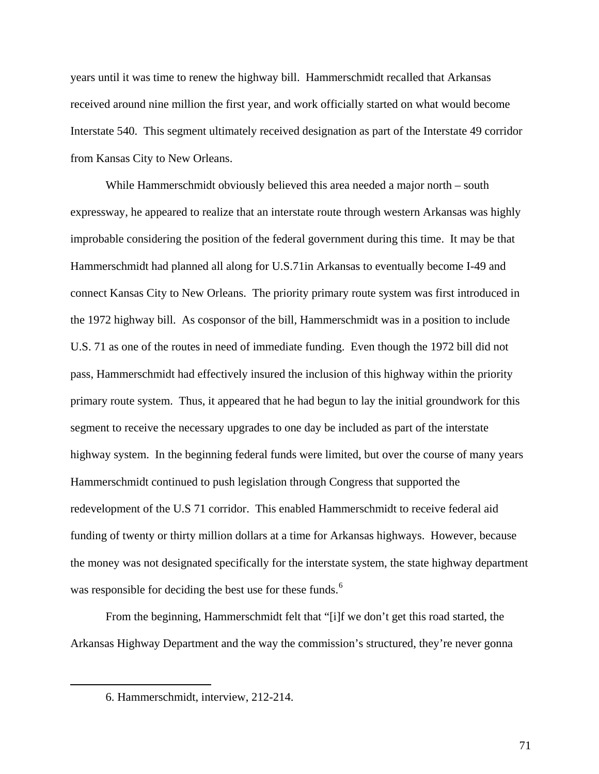years until it was time to renew the highway bill. Hammerschmidt recalled that Arkansas received around nine million the first year, and work officially started on what would become Interstate 540. This segment ultimately received designation as part of the Interstate 49 corridor from Kansas City to New Orleans.

While Hammerschmidt obviously believed this area needed a major north – south expressway, he appeared to realize that an interstate route through western Arkansas was highly improbable considering the position of the federal government during this time. It may be that Hammerschmidt had planned all along for U.S.71in Arkansas to eventually become I-49 and connect Kansas City to New Orleans. The priority primary route system was first introduced in the 1972 highway bill. As cosponsor of the bill, Hammerschmidt was in a position to include U.S. 71 as one of the routes in need of immediate funding. Even though the 1972 bill did not pass, Hammerschmidt had effectively insured the inclusion of this highway within the priority primary route system. Thus, it appeared that he had begun to lay the initial groundwork for this segment to receive the necessary upgrades to one day be included as part of the interstate highway system. In the beginning federal funds were limited, but over the course of many years Hammerschmidt continued to push legislation through Congress that supported the redevelopment of the U.S 71 corridor. This enabled Hammerschmidt to receive federal aid funding of twenty or thirty million dollars at a time for Arkansas highways. However, because the money was not designated specifically for the interstate system, the state highway department was responsible for deciding the best use for these funds.<sup>[6](#page-78-0)</sup>

<span id="page-78-0"></span>From the beginning, Hammerschmidt felt that "[i]f we don't get this road started, the Arkansas Highway Department and the way the commission's structured, they're never gonna

<sup>6.</sup> Hammerschmidt, interview, 212-214.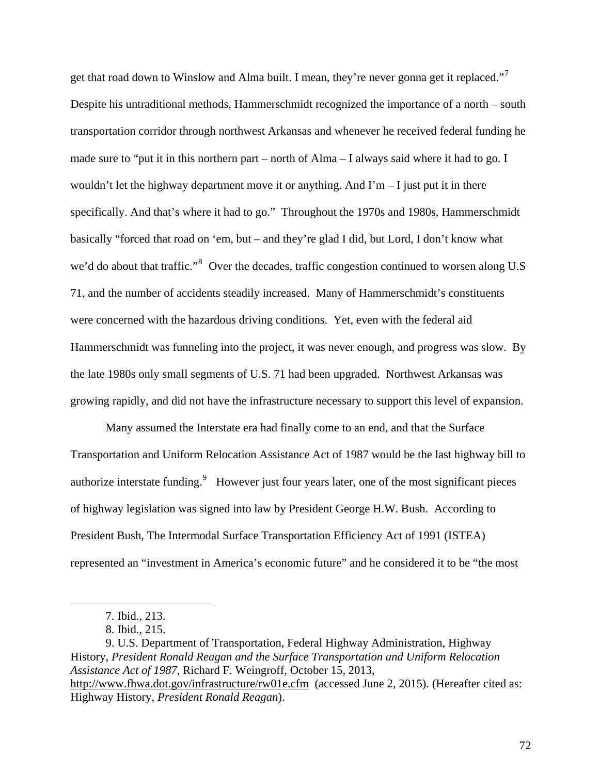get that road down to Winslow and Alma built. I mean, they're never gonna get it replaced."<sup>[7](#page-79-0)</sup> Despite his untraditional methods, Hammerschmidt recognized the importance of a north – south transportation corridor through northwest Arkansas and whenever he received federal funding he made sure to "put it in this northern part – north of Alma – I always said where it had to go. I wouldn't let the highway department move it or anything. And  $\Gamma m - I$  just put it in there specifically. And that's where it had to go." Throughout the 1970s and 1980s, Hammerschmidt basically "forced that road on 'em, but – and they're glad I did, but Lord, I don't know what we'd do about that traffic."<sup>[8](#page-79-1)</sup> Over the decades, traffic congestion continued to worsen along U.S 71, and the number of accidents steadily increased. Many of Hammerschmidt's constituents were concerned with the hazardous driving conditions. Yet, even with the federal aid Hammerschmidt was funneling into the project, it was never enough, and progress was slow. By the late 1980s only small segments of U.S. 71 had been upgraded. Northwest Arkansas was growing rapidly, and did not have the infrastructure necessary to support this level of expansion.

Many assumed the Interstate era had finally come to an end, and that the Surface Transportation and Uniform Relocation Assistance Act of 1987 would be the last highway bill to authorize interstate funding.<sup>[9](#page-79-2)</sup> However just four years later, one of the most significant pieces of highway legislation was signed into law by President George H.W. Bush. According to President Bush, The Intermodal Surface Transportation Efficiency Act of 1991 (ISTEA) represented an "investment in America's economic future" and he considered it to be "the most

<span id="page-79-0"></span>1

<span id="page-79-2"></span><span id="page-79-1"></span>9. U.S. Department of Transportation, Federal Highway Administration, Highway History, *President Ronald Reagan and the Surface Transportation and Uniform Relocation Assistance Act of 1987*, Richard F. Weingroff, October 15, 2013, <http://www.fhwa.dot.gov/infrastructure/rw01e.cfm>(accessed June 2, 2015). (Hereafter cited as: Highway History, *President Ronald Reagan*).

<sup>7.</sup> Ibid., 213.

<sup>8.</sup> Ibid., 215.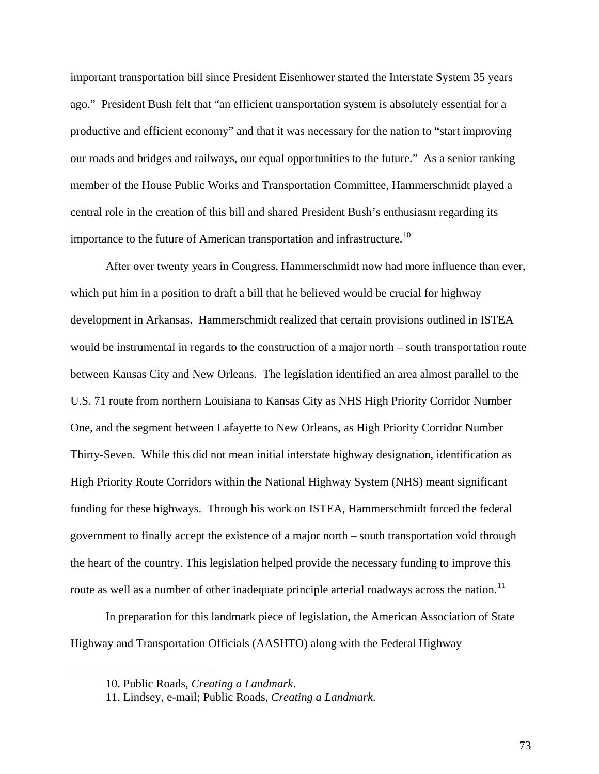important transportation bill since President Eisenhower started the Interstate System 35 years ago." President Bush felt that "an efficient transportation system is absolutely essential for a productive and efficient economy" and that it was necessary for the nation to "start improving our roads and bridges and railways, our equal opportunities to the future." As a senior ranking member of the House Public Works and Transportation Committee, Hammerschmidt played a central role in the creation of this bill and shared President Bush's enthusiasm regarding its importance to the future of American transportation and infrastructure.<sup>[10](#page-80-0)</sup>

After over twenty years in Congress, Hammerschmidt now had more influence than ever, which put him in a position to draft a bill that he believed would be crucial for highway development in Arkansas. Hammerschmidt realized that certain provisions outlined in ISTEA would be instrumental in regards to the construction of a major north – south transportation route between Kansas City and New Orleans. The legislation identified an area almost parallel to the U.S. 71 route from northern Louisiana to Kansas City as NHS High Priority Corridor Number One, and the segment between Lafayette to New Orleans, as High Priority Corridor Number Thirty-Seven. While this did not mean initial interstate highway designation, identification as High Priority Route Corridors within the National Highway System (NHS) meant significant funding for these highways. Through his work on ISTEA, Hammerschmidt forced the federal government to finally accept the existence of a major north – south transportation void through the heart of the country. This legislation helped provide the necessary funding to improve this route as well as a number of other inadequate principle arterial roadways across the nation.<sup>[11](#page-80-1)</sup>

In preparation for this landmark piece of legislation, the American Association of State Highway and Transportation Officials (AASHTO) along with the Federal Highway

<span id="page-80-1"></span><span id="page-80-0"></span>1

<sup>10.</sup> Public Roads, *Creating a Landmark*.

<sup>11.</sup> Lindsey, e-mail; Public Roads, *Creating a Landmark*.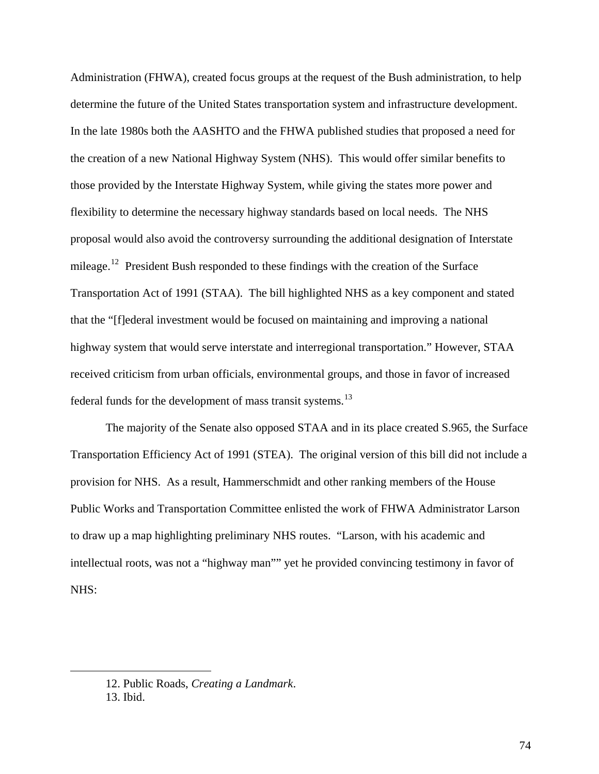Administration (FHWA), created focus groups at the request of the Bush administration, to help determine the future of the United States transportation system and infrastructure development. In the late 1980s both the AASHTO and the FHWA published studies that proposed a need for the creation of a new National Highway System (NHS). This would offer similar benefits to those provided by the Interstate Highway System, while giving the states more power and flexibility to determine the necessary highway standards based on local needs. The NHS proposal would also avoid the controversy surrounding the additional designation of Interstate mileage.<sup>[12](#page-81-0)</sup> President Bush responded to these findings with the creation of the Surface Transportation Act of 1991 (STAA). The bill highlighted NHS as a key component and stated that the "[f]ederal investment would be focused on maintaining and improving a national highway system that would serve interstate and interregional transportation." However, STAA received criticism from urban officials, environmental groups, and those in favor of increased federal funds for the development of mass transit systems.<sup>[13](#page-81-1)</sup>

The majority of the Senate also opposed STAA and in its place created S.965, the Surface Transportation Efficiency Act of 1991 (STEA). The original version of this bill did not include a provision for NHS. As a result, Hammerschmidt and other ranking members of the House Public Works and Transportation Committee enlisted the work of FHWA Administrator Larson to draw up a map highlighting preliminary NHS routes. "Larson, with his academic and intellectual roots, was not a "highway man"" yet he provided convincing testimony in favor of NHS:

<span id="page-81-0"></span><sup>12.</sup> Public Roads, *Creating a Landmark*.

<span id="page-81-1"></span><sup>13.</sup> Ibid.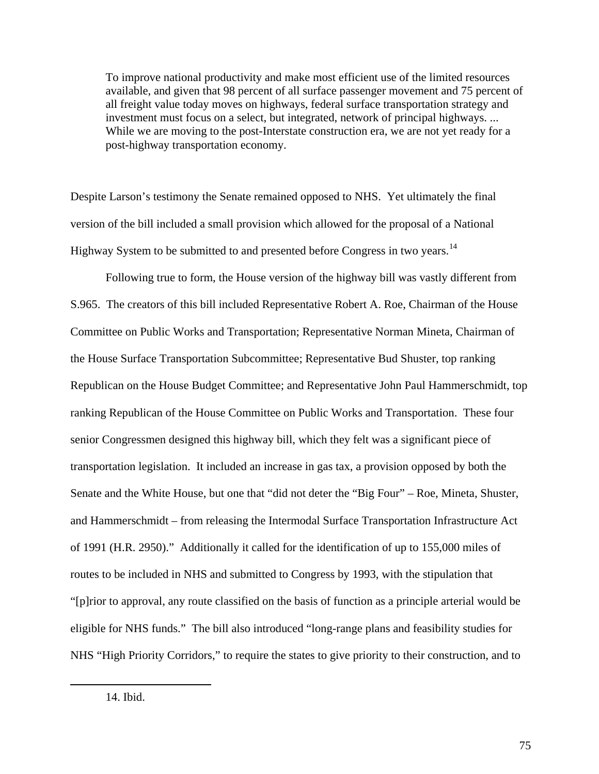To improve national productivity and make most efficient use of the limited resources available, and given that 98 percent of all surface passenger movement and 75 percent of all freight value today moves on highways, federal surface transportation strategy and investment must focus on a select, but integrated, network of principal highways. ... While we are moving to the post-Interstate construction era, we are not yet ready for a post-highway transportation economy.

Despite Larson's testimony the Senate remained opposed to NHS. Yet ultimately the final version of the bill included a small provision which allowed for the proposal of a National Highway System to be submitted to and presented before Congress in two years.<sup>[14](#page-82-0)</sup>

 Following true to form, the House version of the highway bill was vastly different from S.965. The creators of this bill included Representative Robert A. Roe, Chairman of the House Committee on Public Works and Transportation; Representative Norman Mineta, Chairman of the House Surface Transportation Subcommittee; Representative Bud Shuster, top ranking Republican on the House Budget Committee; and Representative John Paul Hammerschmidt, top ranking Republican of the House Committee on Public Works and Transportation. These four senior Congressmen designed this highway bill, which they felt was a significant piece of transportation legislation. It included an increase in gas tax, a provision opposed by both the Senate and the White House, but one that "did not deter the "Big Four" – Roe, Mineta, Shuster, and Hammerschmidt – from releasing the Intermodal Surface Transportation Infrastructure Act of 1991 (H.R. 2950)." Additionally it called for the identification of up to 155,000 miles of routes to be included in NHS and submitted to Congress by 1993, with the stipulation that "[p]rior to approval, any route classified on the basis of function as a principle arterial would be eligible for NHS funds." The bill also introduced "long-range plans and feasibility studies for NHS "High Priority Corridors," to require the states to give priority to their construction, and to

<span id="page-82-0"></span><sup>14.</sup> Ibid.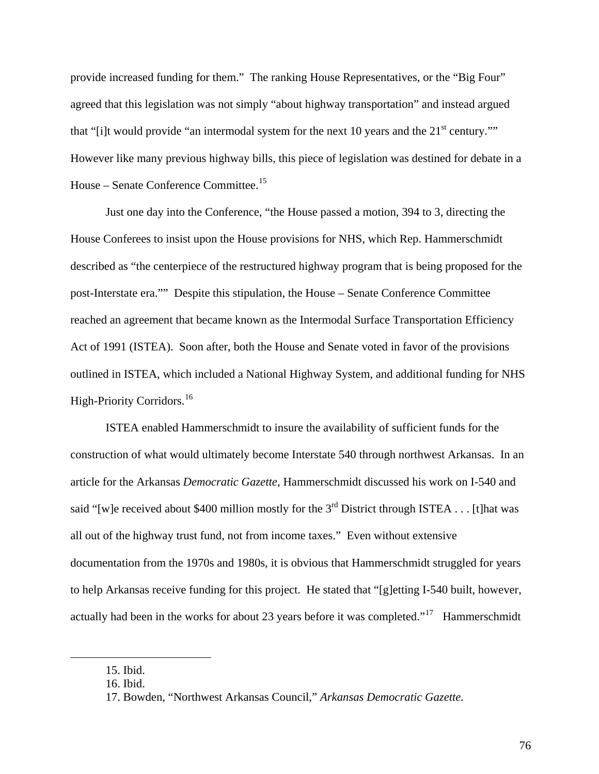provide increased funding for them." The ranking House Representatives, or the "Big Four" agreed that this legislation was not simply "about highway transportation" and instead argued that "[i]t would provide "an intermodal system for the next 10 years and the  $21<sup>st</sup>$  century."" However like many previous highway bills, this piece of legislation was destined for debate in a House – Senate Conference Committee.<sup>[15](#page-83-0)</sup>

 Just one day into the Conference, "the House passed a motion, 394 to 3, directing the House Conferees to insist upon the House provisions for NHS, which Rep. Hammerschmidt described as "the centerpiece of the restructured highway program that is being proposed for the post-Interstate era."" Despite this stipulation, the House – Senate Conference Committee reached an agreement that became known as the Intermodal Surface Transportation Efficiency Act of 1991 (ISTEA). Soon after, both the House and Senate voted in favor of the provisions outlined in ISTEA, which included a National Highway System, and additional funding for NHS High-Priority Corridors.<sup>[16](#page-83-1)</sup>

ISTEA enabled Hammerschmidt to insure the availability of sufficient funds for the construction of what would ultimately become Interstate 540 through northwest Arkansas. In an article for the Arkansas *Democratic Gazette*, Hammerschmidt discussed his work on I-540 and said "[w]e received about \$400 million mostly for the  $3<sup>rd</sup>$  District through ISTEA . . . [t]hat was all out of the highway trust fund, not from income taxes." Even without extensive documentation from the 1970s and 1980s, it is obvious that Hammerschmidt struggled for years to help Arkansas receive funding for this project. He stated that "[g]etting I-540 built, however, actually had been in the works for about 23 years before it was completed."<sup>[17](#page-83-2)</sup> Hammerschmidt

<span id="page-83-2"></span><span id="page-83-1"></span><span id="page-83-0"></span> $\overline{a}$ 

76

<sup>15.</sup> Ibid.

<sup>16.</sup> Ibid.

<sup>17.</sup> Bowden, "Northwest Arkansas Council," *Arkansas Democratic Gazette.*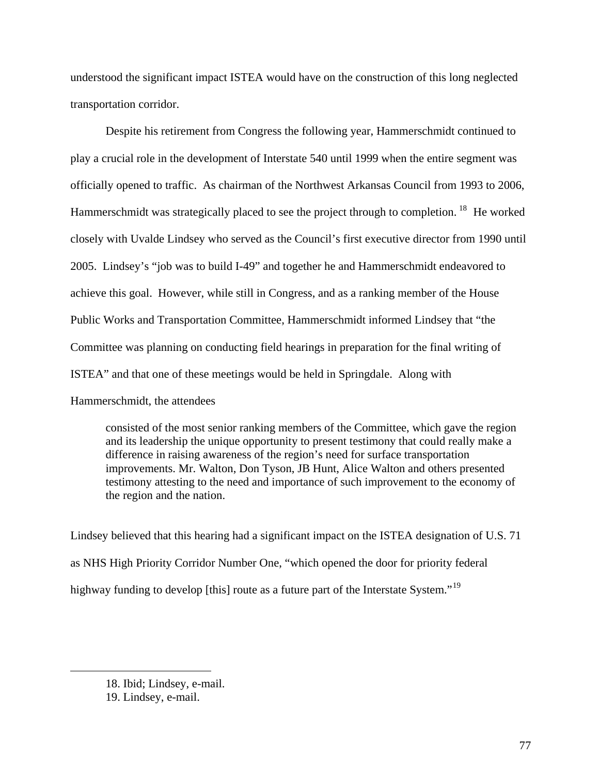understood the significant impact ISTEA would have on the construction of this long neglected transportation corridor.

Despite his retirement from Congress the following year, Hammerschmidt continued to play a crucial role in the development of Interstate 540 until 1999 when the entire segment was officially opened to traffic. As chairman of the Northwest Arkansas Council from 1993 to 2006, Hammerschmidt was strategically placed to see the project through to completion. <sup>[18](#page-84-0)</sup> He worked closely with Uvalde Lindsey who served as the Council's first executive director from 1990 until 2005. Lindsey's "job was to build I-49" and together he and Hammerschmidt endeavored to achieve this goal. However, while still in Congress, and as a ranking member of the House Public Works and Transportation Committee, Hammerschmidt informed Lindsey that "the Committee was planning on conducting field hearings in preparation for the final writing of ISTEA" and that one of these meetings would be held in Springdale. Along with Hammerschmidt, the attendees

consisted of the most senior ranking members of the Committee, which gave the region and its leadership the unique opportunity to present testimony that could really make a difference in raising awareness of the region's need for surface transportation improvements. Mr. Walton, Don Tyson, JB Hunt, Alice Walton and others presented testimony attesting to the need and importance of such improvement to the economy of the region and the nation.

Lindsey believed that this hearing had a significant impact on the ISTEA designation of U.S. 71 as NHS High Priority Corridor Number One, "which opened the door for priority federal highway funding to develop [this] route as a future part of the Interstate System."<sup>[19](#page-84-1)</sup>

<span id="page-84-0"></span><sup>18.</sup> Ibid; Lindsey, e-mail.

<span id="page-84-1"></span><sup>19.</sup> Lindsey, e-mail.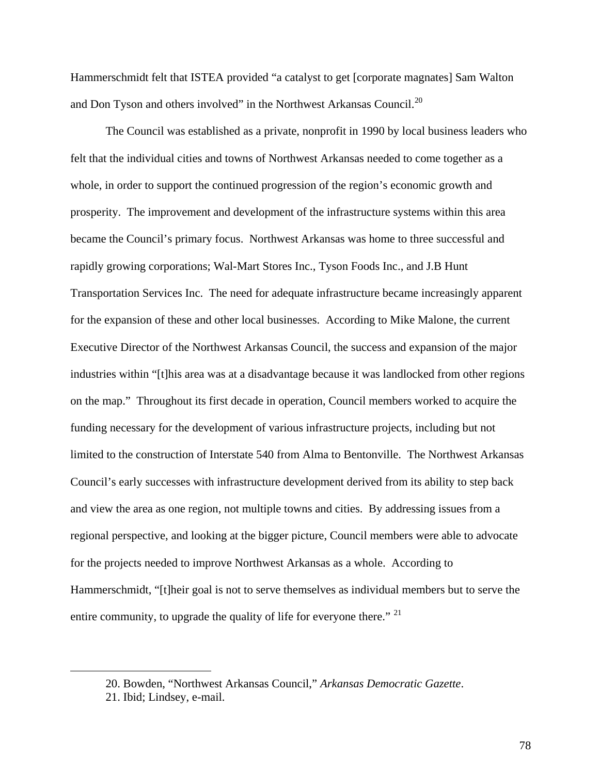Hammerschmidt felt that ISTEA provided "a catalyst to get [corporate magnates] Sam Walton and Don Tyson and others involved" in the Northwest Arkansas Council.<sup>[20](#page-85-0)</sup>

The Council was established as a private, nonprofit in 1990 by local business leaders who felt that the individual cities and towns of Northwest Arkansas needed to come together as a whole, in order to support the continued progression of the region's economic growth and prosperity. The improvement and development of the infrastructure systems within this area became the Council's primary focus. Northwest Arkansas was home to three successful and rapidly growing corporations; Wal-Mart Stores Inc., Tyson Foods Inc., and J.B Hunt Transportation Services Inc. The need for adequate infrastructure became increasingly apparent for the expansion of these and other local businesses. According to Mike Malone, the current Executive Director of the Northwest Arkansas Council, the success and expansion of the major industries within "[t]his area was at a disadvantage because it was landlocked from other regions on the map." Throughout its first decade in operation, Council members worked to acquire the funding necessary for the development of various infrastructure projects, including but not limited to the construction of Interstate 540 from Alma to Bentonville. The Northwest Arkansas Council's early successes with infrastructure development derived from its ability to step back and view the area as one region, not multiple towns and cities. By addressing issues from a regional perspective, and looking at the bigger picture, Council members were able to advocate for the projects needed to improve Northwest Arkansas as a whole. According to Hammerschmidt, "[t]heir goal is not to serve themselves as individual members but to serve the entire community, to upgrade the quality of life for everyone there." <sup>[21](#page-85-1)</sup>

<span id="page-85-1"></span><span id="page-85-0"></span><sup>20.</sup> Bowden, "Northwest Arkansas Council," *Arkansas Democratic Gazette*.

<sup>21.</sup> Ibid; Lindsey, e-mail.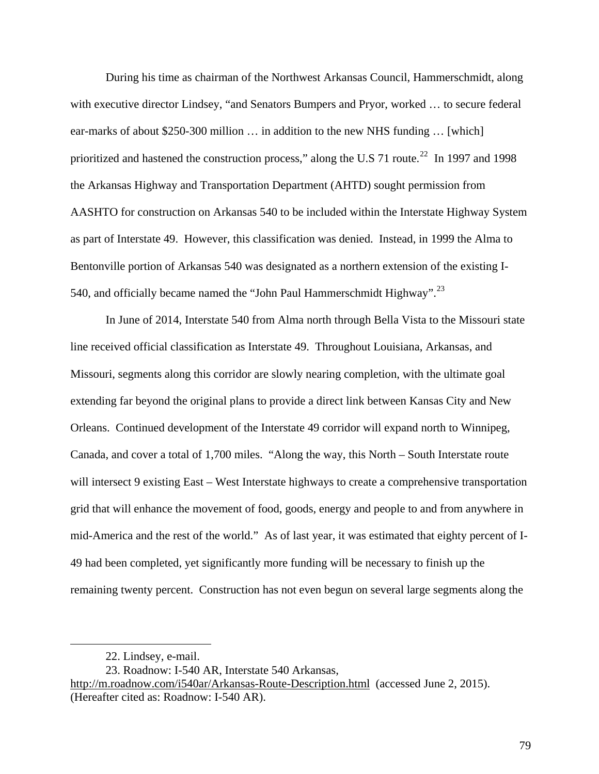During his time as chairman of the Northwest Arkansas Council, Hammerschmidt, along with executive director Lindsey, "and Senators Bumpers and Pryor, worked … to secure federal ear-marks of about \$250-300 million … in addition to the new NHS funding … [which] prioritized and hastened the construction process," along the U.S 71 route.<sup>[22](#page-86-0)</sup> In 1997 and 1998 the Arkansas Highway and Transportation Department (AHTD) sought permission from AASHTO for construction on Arkansas 540 to be included within the Interstate Highway System as part of Interstate 49. However, this classification was denied. Instead, in 1999 the Alma to Bentonville portion of Arkansas 540 was designated as a northern extension of the existing I-540, and officially became named the "John Paul Hammerschmidt Highway".<sup>[23](#page-86-1)</sup>

In June of 2014, Interstate 540 from Alma north through Bella Vista to the Missouri state line received official classification as Interstate 49. Throughout Louisiana, Arkansas, and Missouri, segments along this corridor are slowly nearing completion, with the ultimate goal extending far beyond the original plans to provide a direct link between Kansas City and New Orleans. Continued development of the Interstate 49 corridor will expand north to Winnipeg, Canada, and cover a total of 1,700 miles. "Along the way, this North – South Interstate route will intersect 9 existing East – West Interstate highways to create a comprehensive transportation grid that will enhance the movement of food, goods, energy and people to and from anywhere in mid-America and the rest of the world." As of last year, it was estimated that eighty percent of I-49 had been completed, yet significantly more funding will be necessary to finish up the remaining twenty percent. Construction has not even begun on several large segments along the

<sup>22.</sup> Lindsey, e-mail.

<sup>23.</sup> Roadnow: I-540 AR, Interstate 540 Arkansas,

<span id="page-86-1"></span><span id="page-86-0"></span><http://m.roadnow.com/i540ar/Arkansas-Route-Description.html> (accessed June 2, 2015). (Hereafter cited as: Roadnow: I-540 AR).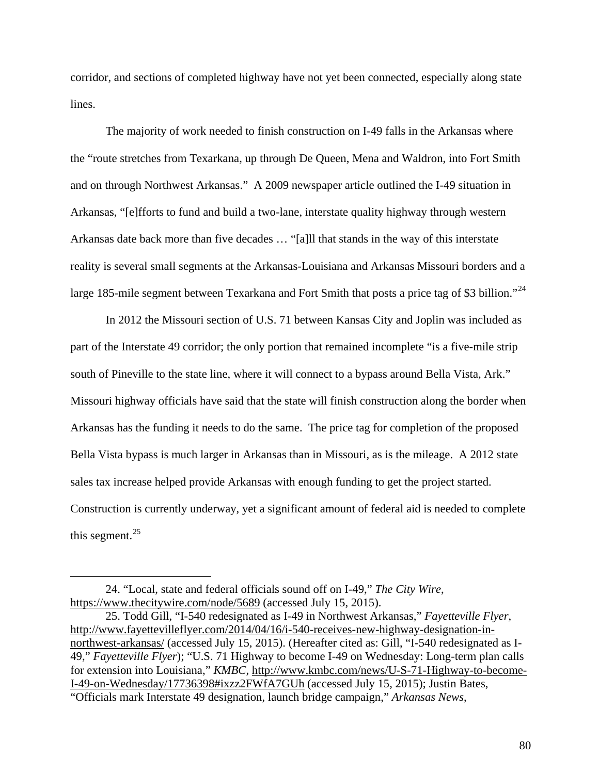corridor, and sections of completed highway have not yet been connected, especially along state lines.

The majority of work needed to finish construction on I-49 falls in the Arkansas where the "route stretches from Texarkana, up through De Queen, Mena and Waldron, into Fort Smith and on through Northwest Arkansas." A 2009 newspaper article outlined the I-49 situation in Arkansas, "[e]fforts to fund and build a two-lane, interstate quality highway through western Arkansas date back more than five decades … "[a]ll that stands in the way of this interstate reality is several small segments at the Arkansas-Louisiana and Arkansas Missouri borders and a large 185-mile segment between Texarkana and Fort Smith that posts a price tag of \$3 billion."<sup>[24](#page-87-0)</sup>

In 2012 the Missouri section of U.S. 71 between Kansas City and Joplin was included as part of the Interstate 49 corridor; the only portion that remained incomplete "is a five-mile strip south of Pineville to the state line, where it will connect to a bypass around Bella Vista, Ark." Missouri highway officials have said that the state will finish construction along the border when Arkansas has the funding it needs to do the same. The price tag for completion of the proposed Bella Vista bypass is much larger in Arkansas than in Missouri, as is the mileage. A 2012 state sales tax increase helped provide Arkansas with enough funding to get the project started. Construction is currently underway, yet a significant amount of federal aid is needed to complete this segment. $^{25}$  $^{25}$  $^{25}$ 

1

<span id="page-87-0"></span><sup>24. &</sup>quot;Local, state and federal officials sound off on I-49," *The City Wire*, <https://www.thecitywire.com/node/5689>(accessed July 15, 2015).

<span id="page-87-1"></span><sup>25.</sup> Todd Gill, "I-540 redesignated as I-49 in Northwest Arkansas," *Fayetteville Flyer*, [http://www.fayettevilleflyer.com/2014/04/16/i-540-receives-new-highway-designation-in](http://www.fayettevilleflyer.com/2014/04/16/i-540-receives-new-highway-designation-in-northwest-arkansas/)[northwest-arkansas/](http://www.fayettevilleflyer.com/2014/04/16/i-540-receives-new-highway-designation-in-northwest-arkansas/) (accessed July 15, 2015). (Hereafter cited as: Gill, "I-540 redesignated as I-49," *Fayetteville Flyer*); "U.S. 71 Highway to become I-49 on Wednesday: Long-term plan calls for extension into Louisiana," *KMBC*, [http://www.kmbc.com/news/U-S-71-Highway-to-become-](http://www.kmbc.com/news/U-S-71-Highway-to-become-I-49-on-Wednesday/17736398#ixzz2FWfA7GUh)[I-49-on-Wednesday/17736398#ixzz2FWfA7GUh](http://www.kmbc.com/news/U-S-71-Highway-to-become-I-49-on-Wednesday/17736398#ixzz2FWfA7GUh) (accessed July 15, 2015); Justin Bates, "Officials mark Interstate 49 designation, launch bridge campaign," *Arkansas News*,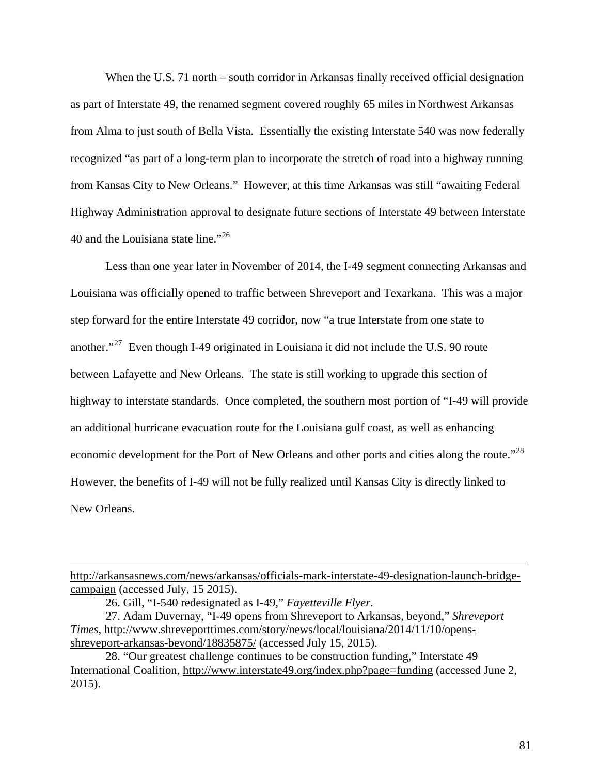When the U.S. 71 north – south corridor in Arkansas finally received official designation as part of Interstate 49, the renamed segment covered roughly 65 miles in Northwest Arkansas from Alma to just south of Bella Vista. Essentially the existing Interstate 540 was now federally recognized "as part of a long-term plan to incorporate the stretch of road into a highway running from Kansas City to New Orleans." However, at this time Arkansas was still "awaiting Federal Highway Administration approval to designate future sections of Interstate 49 between Interstate 40 and the Louisiana state line."<sup>[26](#page-88-0)</sup>

Less than one year later in November of 2014, the I-49 segment connecting Arkansas and Louisiana was officially opened to traffic between Shreveport and Texarkana. This was a major step forward for the entire Interstate 49 corridor, now "a true Interstate from one state to another."<sup>[27](#page-88-1)</sup> Even though I-49 originated in Louisiana it did not include the U.S. 90 route between Lafayette and New Orleans. The state is still working to upgrade this section of highway to interstate standards. Once completed, the southern most portion of "I-49 will provide an additional hurricane evacuation route for the Louisiana gulf coast, as well as enhancing economic development for the Port of New Orleans and other ports and cities along the route."<sup>[28](#page-88-2)</sup> However, the benefits of I-49 will not be fully realized until Kansas City is directly linked to New Orleans.

[http://arkansasnews.com/news/arkansas/officials-mark-interstate-49-designation-launch-bridge](http://arkansasnews.com/news/arkansas/officials-mark-interstate-49-designation-launch-bridge-campaign)[campaign](http://arkansasnews.com/news/arkansas/officials-mark-interstate-49-designation-launch-bridge-campaign) (accessed July, 15 2015).

<sup>26.</sup> Gill, "I-540 redesignated as I-49," *Fayetteville Flyer*.

<span id="page-88-1"></span><span id="page-88-0"></span><sup>27.</sup> Adam Duvernay, "I-49 opens from Shreveport to Arkansas, beyond," *Shreveport Times*, [http://www.shreveporttimes.com/story/news/local/louisiana/2014/11/10/opens](http://www.shreveporttimes.com/story/news/local/louisiana/2014/11/10/opens-shreveport-arkansas-beyond/18835875/)[shreveport-arkansas-beyond/18835875/](http://www.shreveporttimes.com/story/news/local/louisiana/2014/11/10/opens-shreveport-arkansas-beyond/18835875/) (accessed July 15, 2015).

<span id="page-88-2"></span><sup>28. &</sup>quot;Our greatest challenge continues to be construction funding," Interstate 49 International Coalition,<http://www.interstate49.org/index.php?page=funding>(accessed June 2, 2015).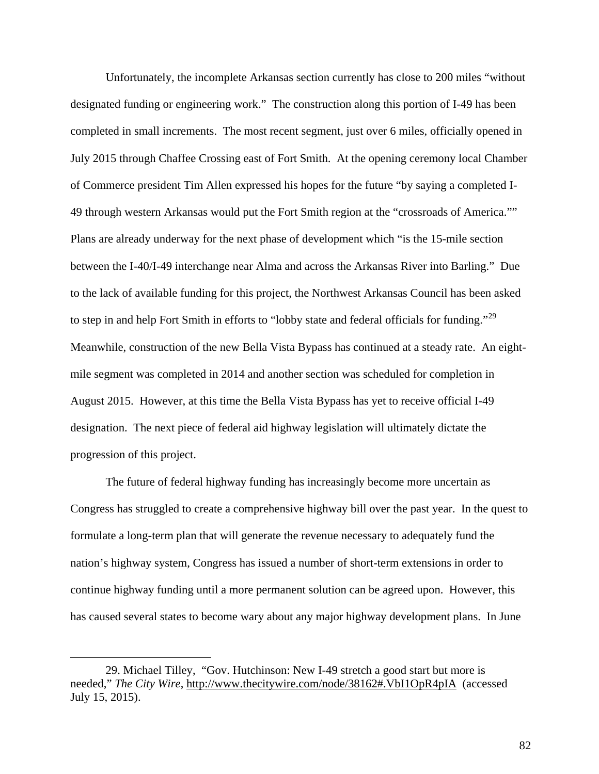Unfortunately, the incomplete Arkansas section currently has close to 200 miles "without designated funding or engineering work." The construction along this portion of I-49 has been completed in small increments. The most recent segment, just over 6 miles, officially opened in July 2015 through Chaffee Crossing east of Fort Smith. At the opening ceremony local Chamber of Commerce president Tim Allen expressed his hopes for the future "by saying a completed I-49 through western Arkansas would put the Fort Smith region at the "crossroads of America."" Plans are already underway for the next phase of development which "is the 15-mile section between the I-40/I-49 interchange near Alma and across the Arkansas River into Barling." Due to the lack of available funding for this project, the Northwest Arkansas Council has been asked to step in and help Fort Smith in efforts to "lobby state and federal officials for funding."<sup>[29](#page-89-0)</sup> Meanwhile, construction of the new Bella Vista Bypass has continued at a steady rate. An eightmile segment was completed in 2014 and another section was scheduled for completion in August 2015. However, at this time the Bella Vista Bypass has yet to receive official I-49 designation. The next piece of federal aid highway legislation will ultimately dictate the progression of this project.

The future of federal highway funding has increasingly become more uncertain as Congress has struggled to create a comprehensive highway bill over the past year. In the quest to formulate a long-term plan that will generate the revenue necessary to adequately fund the nation's highway system, Congress has issued a number of short-term extensions in order to continue highway funding until a more permanent solution can be agreed upon. However, this has caused several states to become wary about any major highway development plans. In June

<span id="page-89-0"></span><sup>29.</sup> Michael Tilley, "Gov. Hutchinson: New I-49 stretch a good start but more is needed," *The City Wire*, <http://www.thecitywire.com/node/38162#.VbI1OpR4pIA>(accessed July 15, 2015).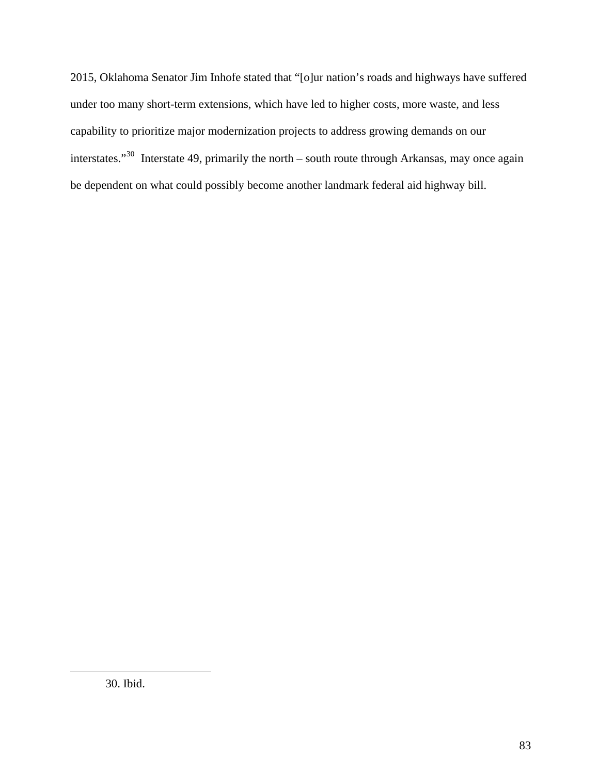<span id="page-90-0"></span>2015, Oklahoma Senator Jim Inhofe stated that "[o]ur nation's roads and highways have suffered under too many short-term extensions, which have led to higher costs, more waste, and less capability to prioritize major modernization projects to address growing demands on our interstates."[30](#page-90-0) Interstate 49, primarily the north – south route through Arkansas, may once again be dependent on what could possibly become another landmark federal aid highway bill.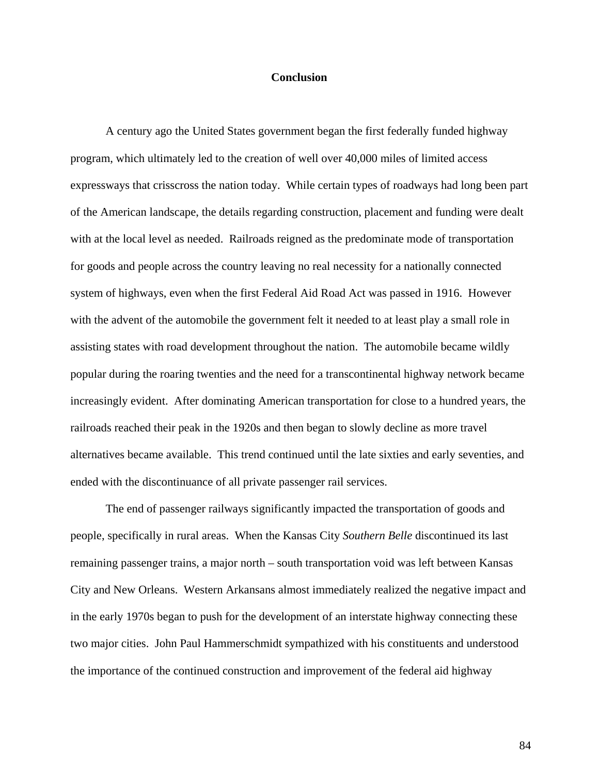#### **Conclusion**

A century ago the United States government began the first federally funded highway program, which ultimately led to the creation of well over 40,000 miles of limited access expressways that crisscross the nation today. While certain types of roadways had long been part of the American landscape, the details regarding construction, placement and funding were dealt with at the local level as needed. Railroads reigned as the predominate mode of transportation for goods and people across the country leaving no real necessity for a nationally connected system of highways, even when the first Federal Aid Road Act was passed in 1916. However with the advent of the automobile the government felt it needed to at least play a small role in assisting states with road development throughout the nation. The automobile became wildly popular during the roaring twenties and the need for a transcontinental highway network became increasingly evident. After dominating American transportation for close to a hundred years, the railroads reached their peak in the 1920s and then began to slowly decline as more travel alternatives became available. This trend continued until the late sixties and early seventies, and ended with the discontinuance of all private passenger rail services.

The end of passenger railways significantly impacted the transportation of goods and people, specifically in rural areas. When the Kansas City *Southern Belle* discontinued its last remaining passenger trains, a major north – south transportation void was left between Kansas City and New Orleans. Western Arkansans almost immediately realized the negative impact and in the early 1970s began to push for the development of an interstate highway connecting these two major cities. John Paul Hammerschmidt sympathized with his constituents and understood the importance of the continued construction and improvement of the federal aid highway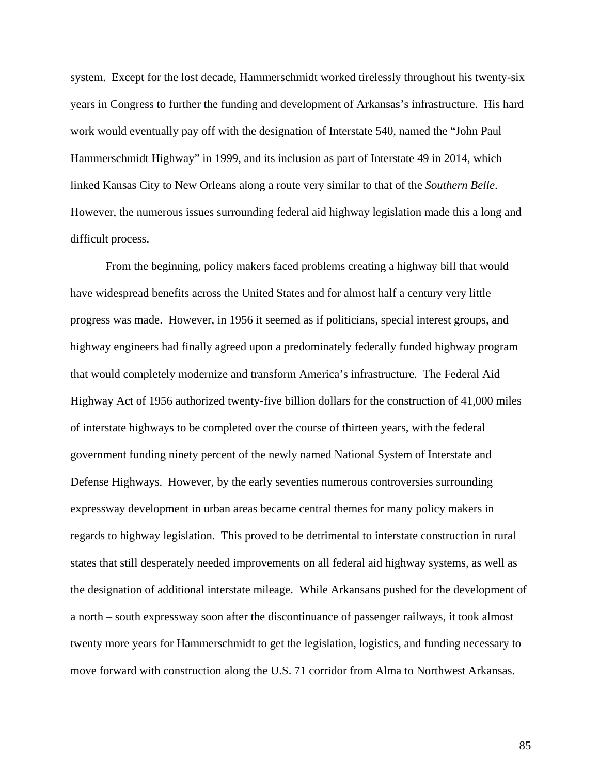system. Except for the lost decade, Hammerschmidt worked tirelessly throughout his twenty-six years in Congress to further the funding and development of Arkansas's infrastructure. His hard work would eventually pay off with the designation of Interstate 540, named the "John Paul Hammerschmidt Highway" in 1999, and its inclusion as part of Interstate 49 in 2014, which linked Kansas City to New Orleans along a route very similar to that of the *Southern Belle*. However, the numerous issues surrounding federal aid highway legislation made this a long and difficult process.

From the beginning, policy makers faced problems creating a highway bill that would have widespread benefits across the United States and for almost half a century very little progress was made. However, in 1956 it seemed as if politicians, special interest groups, and highway engineers had finally agreed upon a predominately federally funded highway program that would completely modernize and transform America's infrastructure. The Federal Aid Highway Act of 1956 authorized twenty-five billion dollars for the construction of 41,000 miles of interstate highways to be completed over the course of thirteen years, with the federal government funding ninety percent of the newly named National System of Interstate and Defense Highways. However, by the early seventies numerous controversies surrounding expressway development in urban areas became central themes for many policy makers in regards to highway legislation. This proved to be detrimental to interstate construction in rural states that still desperately needed improvements on all federal aid highway systems, as well as the designation of additional interstate mileage. While Arkansans pushed for the development of a north – south expressway soon after the discontinuance of passenger railways, it took almost twenty more years for Hammerschmidt to get the legislation, logistics, and funding necessary to move forward with construction along the U.S. 71 corridor from Alma to Northwest Arkansas.

85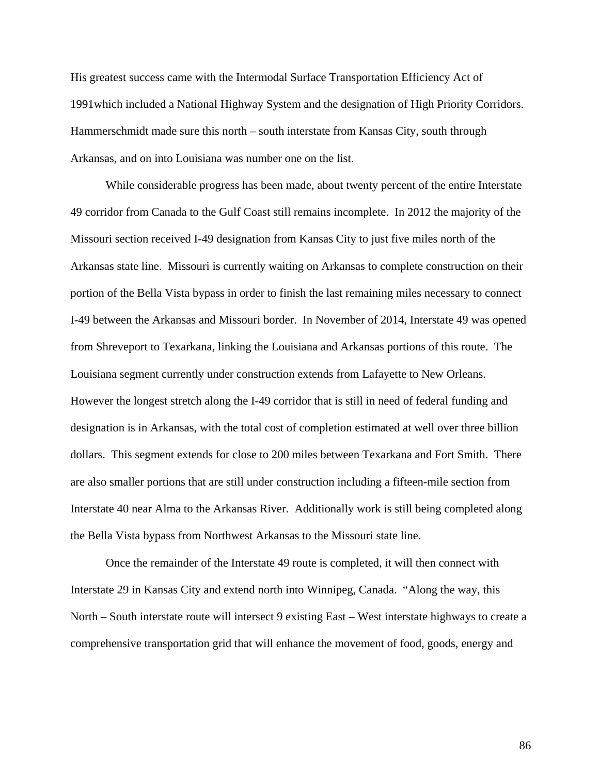His greatest success came with the Intermodal Surface Transportation Efficiency Act of 1991which included a National Highway System and the designation of High Priority Corridors. Hammerschmidt made sure this north – south interstate from Kansas City, south through Arkansas, and on into Louisiana was number one on the list.

While considerable progress has been made, about twenty percent of the entire Interstate 49 corridor from Canada to the Gulf Coast still remains incomplete. In 2012 the majority of the Missouri section received I-49 designation from Kansas City to just five miles north of the Arkansas state line. Missouri is currently waiting on Arkansas to complete construction on their portion of the Bella Vista bypass in order to finish the last remaining miles necessary to connect I-49 between the Arkansas and Missouri border. In November of 2014, Interstate 49 was opened from Shreveport to Texarkana, linking the Louisiana and Arkansas portions of this route. The Louisiana segment currently under construction extends from Lafayette to New Orleans. However the longest stretch along the I-49 corridor that is still in need of federal funding and designation is in Arkansas, with the total cost of completion estimated at well over three billion dollars. This segment extends for close to 200 miles between Texarkana and Fort Smith. There are also smaller portions that are still under construction including a fifteen-mile section from Interstate 40 near Alma to the Arkansas River. Additionally work is still being completed along the Bella Vista bypass from Northwest Arkansas to the Missouri state line.

Once the remainder of the Interstate 49 route is completed, it will then connect with Interstate 29 in Kansas City and extend north into Winnipeg, Canada. "Along the way, this North – South interstate route will intersect 9 existing East – West interstate highways to create a comprehensive transportation grid that will enhance the movement of food, goods, energy and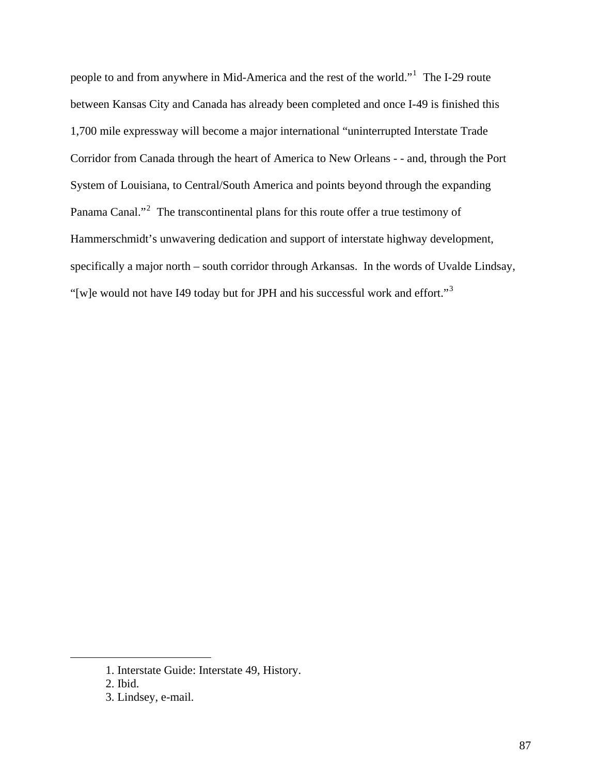people to and from anywhere in Mid-America and the rest of the world."<sup>[1](#page-94-0)</sup> The I-29 route between Kansas City and Canada has already been completed and once I-49 is finished this 1,700 mile expressway will become a major international "uninterrupted Interstate Trade Corridor from Canada through the heart of America to New Orleans - - and, through the Port System of Louisiana, to Central/South America and points beyond through the expanding Panama Canal."<sup>[2](#page-94-1)</sup> The transcontinental plans for this route offer a true testimony of Hammerschmidt's unwavering dedication and support of interstate highway development, specifically a major north – south corridor through Arkansas. In the words of Uvalde Lindsay, "[w]e would not have I49 today but for JPH and his successful work and effort."[3](#page-94-2)

<span id="page-94-0"></span><sup>1.</sup> Interstate Guide: Interstate 49, History.

<span id="page-94-1"></span><sup>2.</sup> Ibid.

<span id="page-94-2"></span><sup>3.</sup> Lindsey, e-mail.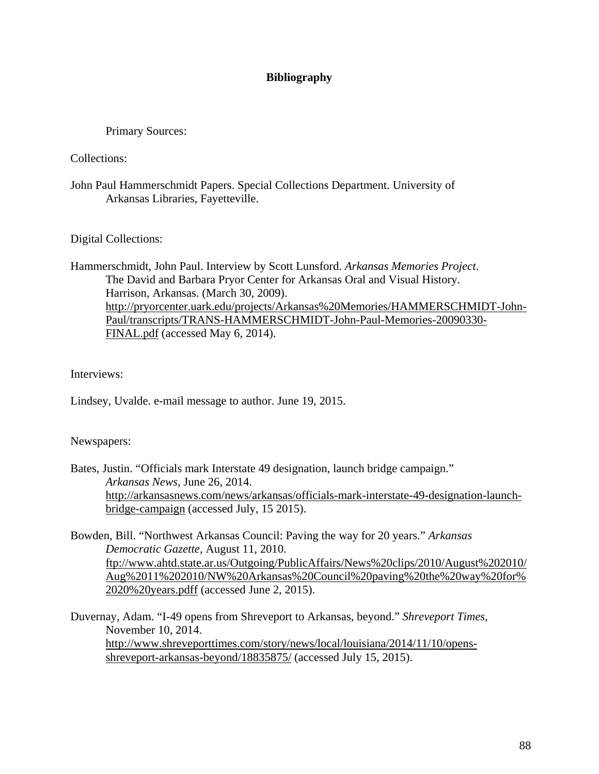# **Bibliography**

Primary Sources:

Collections:

John Paul Hammerschmidt Papers. Special Collections Department. University of Arkansas Libraries, Fayetteville.

Digital Collections:

Hammerschmidt, John Paul. Interview by Scott Lunsford. *Arkansas Memories Project*. The David and Barbara Pryor Center for Arkansas Oral and Visual History. Harrison, Arkansas. (March 30, 2009). [http://pryorcenter.uark.edu/projects/Arkansas%20Memories/HAMMERSCHMIDT-John-](http://pryorcenter.uark.edu/projects/Arkansas%20Memories/HAMMERSCHMIDT-John-Paul/transcripts/TRANS-HAMMERSCHMIDT-John-Paul-Memories-20090330-FINAL.pdf)[Paul/transcripts/TRANS-HAMMERSCHMIDT-John-Paul-Memories-20090330-](http://pryorcenter.uark.edu/projects/Arkansas%20Memories/HAMMERSCHMIDT-John-Paul/transcripts/TRANS-HAMMERSCHMIDT-John-Paul-Memories-20090330-FINAL.pdf) [FINAL.pdf](http://pryorcenter.uark.edu/projects/Arkansas%20Memories/HAMMERSCHMIDT-John-Paul/transcripts/TRANS-HAMMERSCHMIDT-John-Paul-Memories-20090330-FINAL.pdf) (accessed May 6, 2014).

Interviews:

Lindsey, Uvalde. e-mail message to author. June 19, 2015.

# Newspapers:

Bates, Justin. "Officials mark Interstate 49 designation, launch bridge campaign." *Arkansas News*, June 26, 2014. [http://arkansasnews.com/news/arkansas/officials-mark-interstate-49-designation-launch](http://arkansasnews.com/news/arkansas/officials-mark-interstate-49-designation-launch-bridge-campaign)[bridge-campaign](http://arkansasnews.com/news/arkansas/officials-mark-interstate-49-designation-launch-bridge-campaign) (accessed July, 15 2015).

Bowden, Bill. "Northwest Arkansas Council: Paving the way for 20 years." *Arkansas Democratic Gazette*, August 11, 2010. [ftp://www.ahtd.state.ar.us/Outgoing/PublicAffairs/News%20clips/2010/August%202010/](ftp://www.ahtd.state.ar.us/Outgoing/PublicAffairs/News%20clips/2010/August%202010/Aug%2011%202010/NW%20Arkansas%20Council%20paving%20the%20way%20for%2020%20years.pdff) [Aug%2011%202010/NW%20Arkansas%20Council%20paving%20the%20way%20for%](ftp://www.ahtd.state.ar.us/Outgoing/PublicAffairs/News%20clips/2010/August%202010/Aug%2011%202010/NW%20Arkansas%20Council%20paving%20the%20way%20for%2020%20years.pdff) [2020%20years.pdff](ftp://www.ahtd.state.ar.us/Outgoing/PublicAffairs/News%20clips/2010/August%202010/Aug%2011%202010/NW%20Arkansas%20Council%20paving%20the%20way%20for%2020%20years.pdff) (accessed June 2, 2015).

Duvernay, Adam. "I-49 opens from Shreveport to Arkansas, beyond." *Shreveport Times*, November 10, 2014. [http://www.shreveporttimes.com/story/news/local/louisiana/2014/11/10/opens](http://www.shreveporttimes.com/story/news/local/louisiana/2014/11/10/opens-shreveport-arkansas-beyond/18835875/)[shreveport-arkansas-beyond/18835875/](http://www.shreveporttimes.com/story/news/local/louisiana/2014/11/10/opens-shreveport-arkansas-beyond/18835875/) (accessed July 15, 2015).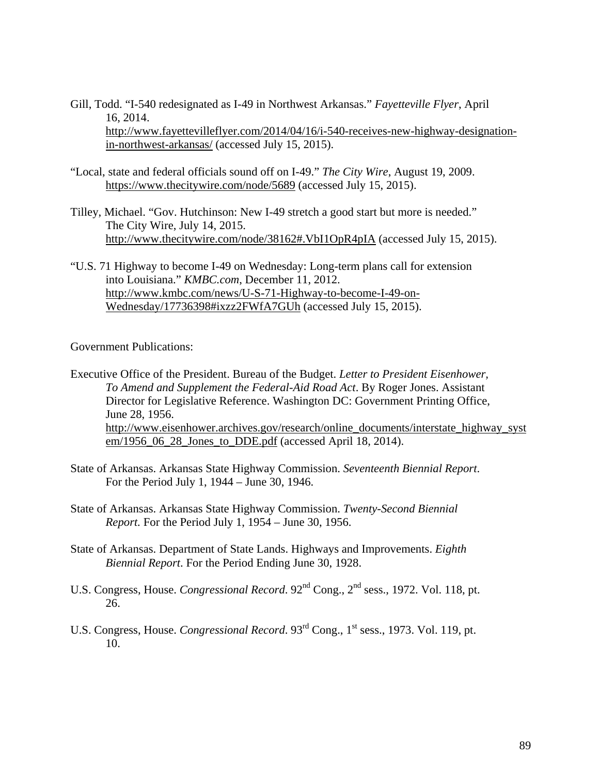Gill, Todd. "I-540 redesignated as I-49 in Northwest Arkansas." *Fayetteville Flyer*, April 16, 2014. [http://www.fayettevilleflyer.com/2014/04/16/i-540-receives-new-highway-designation](http://www.fayettevilleflyer.com/2014/04/16/i-540-receives-new-highway-designation-in-northwest-arkansas/)[in-northwest-arkansas/](http://www.fayettevilleflyer.com/2014/04/16/i-540-receives-new-highway-designation-in-northwest-arkansas/) (accessed July 15, 2015).

- "Local, state and federal officials sound off on I-49." *The City Wire*, August 19, 2009. <https://www.thecitywire.com/node/5689>(accessed July 15, 2015).
- Tilley, Michael. "Gov. Hutchinson: New I-49 stretch a good start but more is needed." The City Wire, July 14, 2015. <http://www.thecitywire.com/node/38162#.VbI1OpR4pIA> (accessed July 15, 2015).
- "U.S. 71 Highway to become I-49 on Wednesday: Long-term plans call for extension into Louisiana." *KMBC.com*, December 11, 2012. [http://www.kmbc.com/news/U-S-71-Highway-to-become-I-49-on-](http://www.kmbc.com/news/U-S-71-Highway-to-become-I-49-on-Wednesday/17736398#ixzz2FWfA7GUh)[Wednesday/17736398#ixzz2FWfA7GUh](http://www.kmbc.com/news/U-S-71-Highway-to-become-I-49-on-Wednesday/17736398#ixzz2FWfA7GUh) (accessed July 15, 2015).

Government Publications:

- State of Arkansas. Arkansas State Highway Commission. *Seventeenth Biennial Report*. For the Period July 1, 1944 – June 30, 1946.
- State of Arkansas. Arkansas State Highway Commission. *Twenty-Second Biennial Report.* For the Period July 1, 1954 – June 30, 1956.
- State of Arkansas. Department of State Lands. Highways and Improvements. *Eighth Biennial Report*. For the Period Ending June 30, 1928.
- U.S. Congress, House. *Congressional Record*. 92<sup>nd</sup> Cong., 2<sup>nd</sup> sess., 1972. Vol. 118, pt. 26.
- U.S. Congress, House. *Congressional Record*. 93rd Cong., 1st sess., 1973. Vol. 119, pt. 10.

Executive Office of the President. Bureau of the Budget. *Letter to President Eisenhower, To Amend and Supplement the Federal-Aid Road Act*. By Roger Jones. Assistant Director for Legislative Reference. Washington DC: Government Printing Office, June 28, 1956. [http://www.eisenhower.archives.gov/research/online\\_documents/interstate\\_highway\\_syst](http://www.eisenhower.archives.gov/research/online_documents/interstate_highway_system/1956_06_28_Jones_to_DDE.pdf) [em/1956\\_06\\_28\\_Jones\\_to\\_DDE.pdf](http://www.eisenhower.archives.gov/research/online_documents/interstate_highway_system/1956_06_28_Jones_to_DDE.pdf) (accessed April 18, 2014).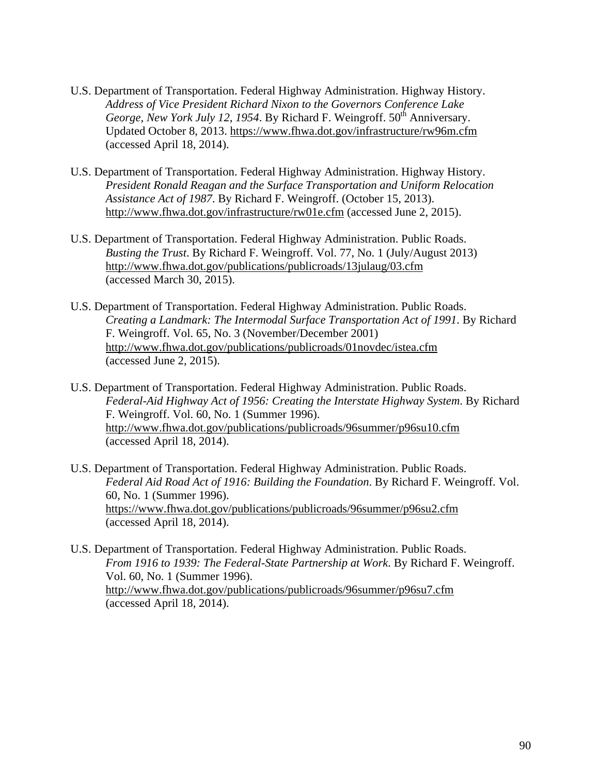- U.S. Department of Transportation. Federal Highway Administration. Highway History. *Address of Vice President Richard Nixon to the Governors Conference Lake George, New York July 12, 1954.* By Richard F. Weingroff. 50<sup>th</sup> Anniversary. Updated October 8, 2013.<https://www.fhwa.dot.gov/infrastructure/rw96m.cfm> (accessed April 18, 2014).
- U.S. Department of Transportation. Federal Highway Administration. Highway History. *President Ronald Reagan and the Surface Transportation and Uniform Relocation Assistance Act of 1987*. By Richard F. Weingroff. (October 15, 2013). <http://www.fhwa.dot.gov/infrastructure/rw01e.cfm>(accessed June 2, 2015).
- U.S. Department of Transportation. Federal Highway Administration. Public Roads. *Busting the Trust*. By Richard F. Weingroff. Vol. 77, No. 1 (July/August 2013) <http://www.fhwa.dot.gov/publications/publicroads/13julaug/03.cfm> (accessed March 30, 2015).
- U.S. Department of Transportation. Federal Highway Administration. Public Roads. *Creating a Landmark: The Intermodal Surface Transportation Act of 1991*. By Richard F. Weingroff. Vol. 65, No. 3 (November/December 2001) <http://www.fhwa.dot.gov/publications/publicroads/01novdec/istea.cfm> (accessed June 2, 2015).
- U.S. Department of Transportation. Federal Highway Administration. Public Roads. *Federal-Aid Highway Act of 1956: Creating the Interstate Highway System*. By Richard F. Weingroff. Vol. 60, No. 1 (Summer 1996). <http://www.fhwa.dot.gov/publications/publicroads/96summer/p96su10.cfm> (accessed April 18, 2014).
- U.S. Department of Transportation. Federal Highway Administration. Public Roads. *Federal Aid Road Act of 1916: Building the Foundation*. By Richard F. Weingroff. Vol. 60, No. 1 (Summer 1996). <https://www.fhwa.dot.gov/publications/publicroads/96summer/p96su2.cfm> (accessed April 18, 2014).
- U.S. Department of Transportation. Federal Highway Administration. Public Roads. *From 1916 to 1939: The Federal-State Partnership at Work*. By Richard F. Weingroff. Vol. 60, No. 1 (Summer 1996). <http://www.fhwa.dot.gov/publications/publicroads/96summer/p96su7.cfm> (accessed April 18, 2014).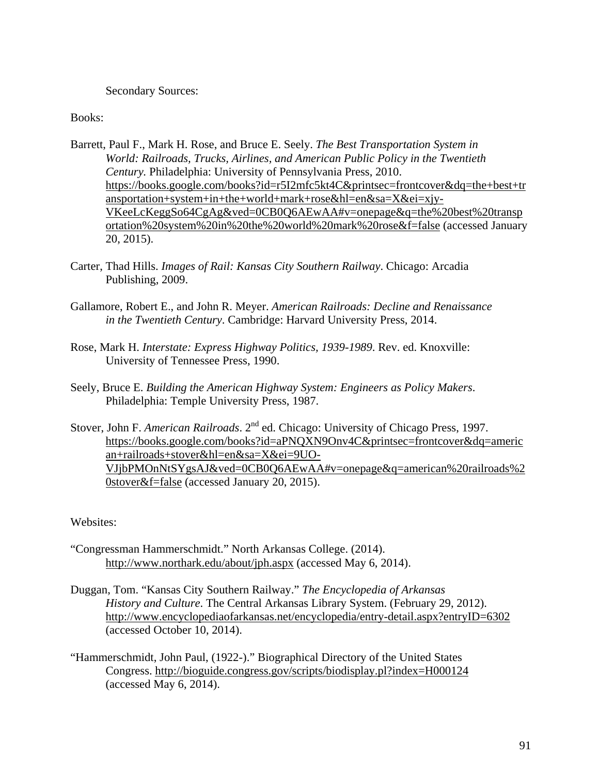## Secondary Sources:

### Books:

- Barrett, Paul F., Mark H. Rose, and Bruce E. Seely. *The Best Transportation System in World: Railroads, Trucks, Airlines, and American Public Policy in the Twentieth Century.* Philadelphia: University of Pennsylvania Press, 2010. [https://books.google.com/books?id=r5I2mfc5kt4C&printsec=frontcover&dq=the+best+tr](https://books.google.com/books?id=r5I2mfc5kt4C&printsec=frontcover&dq=the+best+transportation+system+in+the+world+mark+rose&hl=en&sa=X&ei=xjy-VKeeLcKeggSo64CgAg&ved=0CB0Q6AEwAA#v=onepage&q=the%20best%20transportation%20system%20in%20the%20world%20mark%20rose&f=false) [ansportation+system+in+the+world+mark+rose&hl=en&sa=X&ei=xjy-](https://books.google.com/books?id=r5I2mfc5kt4C&printsec=frontcover&dq=the+best+transportation+system+in+the+world+mark+rose&hl=en&sa=X&ei=xjy-VKeeLcKeggSo64CgAg&ved=0CB0Q6AEwAA#v=onepage&q=the%20best%20transportation%20system%20in%20the%20world%20mark%20rose&f=false)[VKeeLcKeggSo64CgAg&ved=0CB0Q6AEwAA#v=onepage&q=the%20best%20transp](https://books.google.com/books?id=r5I2mfc5kt4C&printsec=frontcover&dq=the+best+transportation+system+in+the+world+mark+rose&hl=en&sa=X&ei=xjy-VKeeLcKeggSo64CgAg&ved=0CB0Q6AEwAA#v=onepage&q=the%20best%20transportation%20system%20in%20the%20world%20mark%20rose&f=false) [ortation%20system%20in%20the%20world%20mark%20rose&f=false](https://books.google.com/books?id=r5I2mfc5kt4C&printsec=frontcover&dq=the+best+transportation+system+in+the+world+mark+rose&hl=en&sa=X&ei=xjy-VKeeLcKeggSo64CgAg&ved=0CB0Q6AEwAA#v=onepage&q=the%20best%20transportation%20system%20in%20the%20world%20mark%20rose&f=false) (accessed January 20, 2015).
- Carter, Thad Hills. *Images of Rail: Kansas City Southern Railway*. Chicago: Arcadia Publishing, 2009.
- Gallamore, Robert E., and John R. Meyer. *American Railroads: Decline and Renaissance in the Twentieth Century*. Cambridge: Harvard University Press, 2014.
- Rose, Mark H. *Interstate: Express Highway Politics, 1939-1989*. Rev. ed. Knoxville: University of Tennessee Press, 1990.
- Seely, Bruce E. *Building the American Highway System: Engineers as Policy Makers*. Philadelphia: Temple University Press, 1987.
- Stover, John F. *American Railroads*. 2<sup>nd</sup> ed. Chicago: University of Chicago Press, 1997. [https://books.google.com/books?id=aPNQXN9Onv4C&printsec=frontcover&dq=americ](https://books.google.com/books?id=aPNQXN9Onv4C&printsec=frontcover&dq=american+railroads+stover&hl=en&sa=X&ei=9UO-VJjbPMOnNtSYgsAJ&ved=0CB0Q6AEwAA#v=onepage&q=american%20railroads%20stover&f=false) [an+railroads+stover&hl=en&sa=X&ei=9UO-](https://books.google.com/books?id=aPNQXN9Onv4C&printsec=frontcover&dq=american+railroads+stover&hl=en&sa=X&ei=9UO-VJjbPMOnNtSYgsAJ&ved=0CB0Q6AEwAA#v=onepage&q=american%20railroads%20stover&f=false)[VJjbPMOnNtSYgsAJ&ved=0CB0Q6AEwAA#v=onepage&q=american%20railroads%2](https://books.google.com/books?id=aPNQXN9Onv4C&printsec=frontcover&dq=american+railroads+stover&hl=en&sa=X&ei=9UO-VJjbPMOnNtSYgsAJ&ved=0CB0Q6AEwAA#v=onepage&q=american%20railroads%20stover&f=false) [0stover&f=false](https://books.google.com/books?id=aPNQXN9Onv4C&printsec=frontcover&dq=american+railroads+stover&hl=en&sa=X&ei=9UO-VJjbPMOnNtSYgsAJ&ved=0CB0Q6AEwAA#v=onepage&q=american%20railroads%20stover&f=false) (accessed January 20, 2015).

Websites:

- "Congressman Hammerschmidt." North Arkansas College. (2014). <http://www.northark.edu/about/jph.aspx> (accessed May 6, 2014).
- Duggan, Tom. "Kansas City Southern Railway." *The Encyclopedia of Arkansas History and Culture*. The Central Arkansas Library System. (February 29, 2012). <http://www.encyclopediaofarkansas.net/encyclopedia/entry-detail.aspx?entryID=6302> (accessed October 10, 2014).
- "Hammerschmidt, John Paul, (1922-)." Biographical Directory of the United States Congress. <http://bioguide.congress.gov/scripts/biodisplay.pl?index=H000124> (accessed May 6, 2014).